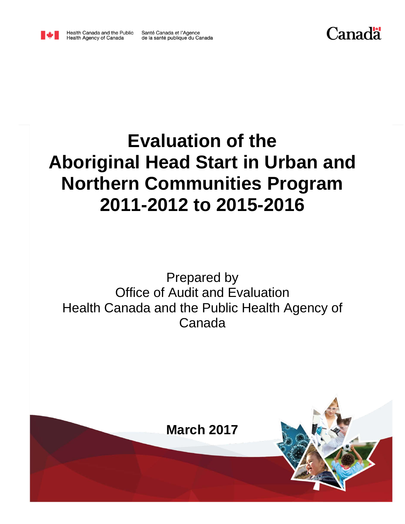

Health Canada and the Public<br>Health Agency of Canada

Santé Canada et l'Agence de la santé publique du Canada

# Canadä

# **Evaluation of the Aboriginal Head Start in Urban and Northern Communities Program 2011-2012 to 2015-2016**

## Prepared by Office of Audit and Evaluation Health Canada and the Public Health Agency of Canada

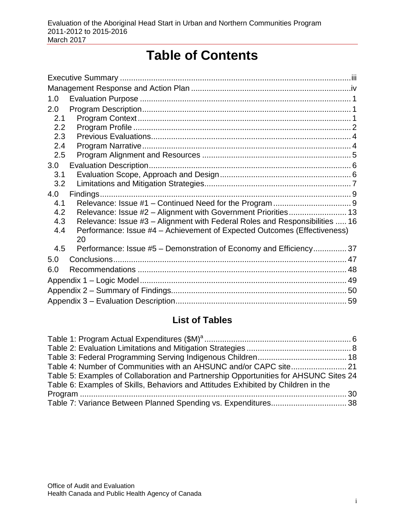## **Table of Contents**

| 1.0           |                                                                             |  |
|---------------|-----------------------------------------------------------------------------|--|
| 2.0           |                                                                             |  |
| 2.1           |                                                                             |  |
| $2.2^{\circ}$ |                                                                             |  |
| 2.3           |                                                                             |  |
| 2.4<br>2.5    |                                                                             |  |
|               |                                                                             |  |
| 3.0<br>3.1    |                                                                             |  |
| 3.2           |                                                                             |  |
| 4.0           | Findings.                                                                   |  |
| 4.1           |                                                                             |  |
| 4.2           | Relevance: Issue #2 - Alignment with Government Priorities 13               |  |
| 4.3           | Relevance: Issue #3 – Alignment with Federal Roles and Responsibilities  16 |  |
| 4.4           | Performance: Issue #4 - Achievement of Expected Outcomes (Effectiveness)    |  |
|               | 20                                                                          |  |
| 4.5           | Performance: Issue #5 - Demonstration of Economy and Efficiency 37          |  |
| 5.0           |                                                                             |  |
| 6.0           |                                                                             |  |
|               |                                                                             |  |
|               |                                                                             |  |
|               |                                                                             |  |

### **List of Tables**

| Table 5: Examples of Collaboration and Partnership Opportunities for AHSUNC Sites 24 |  |
|--------------------------------------------------------------------------------------|--|
| Table 6: Examples of Skills, Behaviors and Attitudes Exhibited by Children in the    |  |
|                                                                                      |  |
|                                                                                      |  |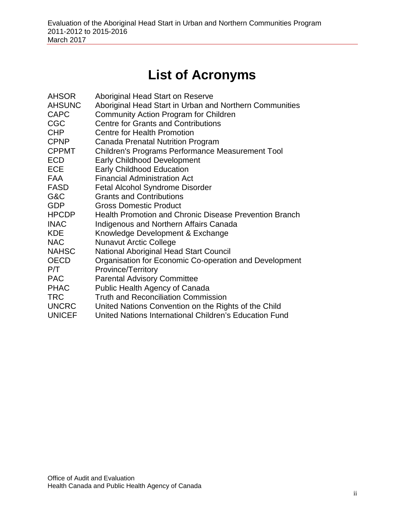## **List of Acronyms**

| <b>AHSOR</b><br><b>AHSUNC</b> | Aboriginal Head Start on Reserve<br>Aboriginal Head Start in Urban and Northern Communities |
|-------------------------------|---------------------------------------------------------------------------------------------|
| <b>CAPC</b>                   | Community Action Program for Children                                                       |
| <b>CGC</b>                    | <b>Centre for Grants and Contributions</b>                                                  |
| <b>CHP</b>                    | <b>Centre for Health Promotion</b>                                                          |
| <b>CPNP</b>                   | Canada Prenatal Nutrition Program                                                           |
| <b>CPPMT</b>                  | Children's Programs Performance Measurement Tool                                            |
| <b>ECD</b>                    | <b>Early Childhood Development</b>                                                          |
| <b>ECE</b>                    | <b>Early Childhood Education</b>                                                            |
| <b>FAA</b>                    | <b>Financial Administration Act</b>                                                         |
| <b>FASD</b>                   | <b>Fetal Alcohol Syndrome Disorder</b>                                                      |
| G&C                           | <b>Grants and Contributions</b>                                                             |
| <b>GDP</b>                    | <b>Gross Domestic Product</b>                                                               |
| <b>HPCDP</b>                  | <b>Health Promotion and Chronic Disease Prevention Branch</b>                               |
| <b>INAC</b>                   | Indigenous and Northern Affairs Canada                                                      |
| <b>KDE</b>                    | Knowledge Development & Exchange                                                            |
| <b>NAC</b>                    | <b>Nunavut Arctic College</b>                                                               |
| <b>NAHSC</b>                  | National Aboriginal Head Start Council                                                      |
| <b>OECD</b>                   | Organisation for Economic Co-operation and Development                                      |
| P/T                           | Province/Territory                                                                          |
| <b>PAC</b>                    | <b>Parental Advisory Committee</b>                                                          |
| <b>PHAC</b>                   | Public Health Agency of Canada                                                              |
| <b>TRC</b>                    | <b>Truth and Reconciliation Commission</b>                                                  |
| <b>UNCRC</b>                  | United Nations Convention on the Rights of the Child                                        |
| <b>UNICEF</b>                 | United Nations International Children's Education Fund                                      |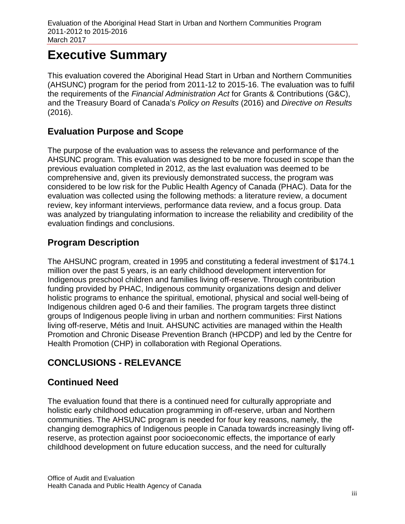## <span id="page-3-0"></span>**Executive Summary**

This evaluation covered the Aboriginal Head Start in Urban and Northern Communities (AHSUNC) program for the period from 2011-12 to 2015-16. The evaluation was to fulfil the requirements of the *Financial Administration Act* for Grants & Contributions (G&C), and the Treasury Board of Canada's *Policy on Results* (2016) and *Directive on Results* (2016).

#### **Evaluation Purpose and Scope**

The purpose of the evaluation was to assess the relevance and performance of the AHSUNC program. This evaluation was designed to be more focused in scope than the previous evaluation completed in 2012, as the last evaluation was deemed to be comprehensive and, given its previously demonstrated success, the program was considered to be low risk for the Public Health Agency of Canada (PHAC). Data for the evaluation was collected using the following methods: a literature review, a document review, key informant interviews, performance data review, and a focus group. Data was analyzed by triangulating information to increase the reliability and credibility of the evaluation findings and conclusions.

### **Program Description**

The AHSUNC program, created in 1995 and constituting a federal investment of \$174.1 million over the past 5 years, is an early childhood development intervention for Indigenous preschool children and families living off-reserve. Through contribution funding provided by PHAC, Indigenous community organizations design and deliver holistic programs to enhance the spiritual, emotional, physical and social well-being of Indigenous children aged 0-6 and their families. The program targets three distinct groups of Indigenous people living in urban and northern communities: First Nations living off-reserve, Métis and Inuit. AHSUNC activities are managed within the Health Promotion and Chronic Disease Prevention Branch (HPCDP) and led by the Centre for Health Promotion (CHP) in collaboration with Regional Operations.

### **CONCLUSIONS - RELEVANCE**

### **Continued Need**

The evaluation found that there is a continued need for culturally appropriate and holistic early childhood education programming in off-reserve, urban and Northern communities. The AHSUNC program is needed for four key reasons, namely, the changing demographics of Indigenous people in Canada towards increasingly living offreserve, as protection against poor socioeconomic effects, the importance of early childhood development on future education success, and the need for culturally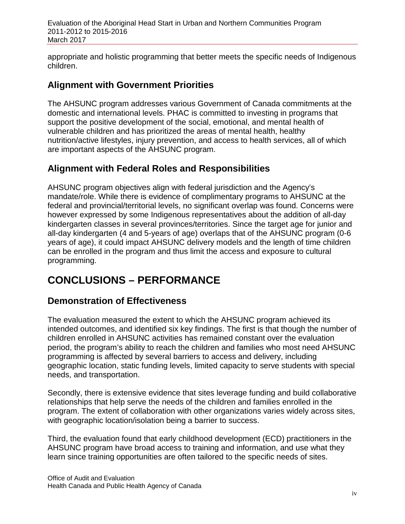Evaluation of the Aboriginal Head Start in Urban and Northern Communities Program 2011-2012 to 2015-2016 March 2017

appropriate and holistic programming that better meets the specific needs of Indigenous children.

#### **Alignment with Government Priorities**

The AHSUNC program addresses various Government of Canada commitments at the domestic and international levels. PHAC is committed to investing in programs that support the positive development of the social, emotional, and mental health of vulnerable children and has prioritized the areas of mental health, healthy nutrition/active lifestyles, injury prevention, and access to health services, all of which are important aspects of the AHSUNC program.

#### **Alignment with Federal Roles and Responsibilities**

AHSUNC program objectives align with federal jurisdiction and the Agency's mandate/role. While there is evidence of complimentary programs to AHSUNC at the federal and provincial/territorial levels, no significant overlap was found. Concerns were however expressed by some Indigenous representatives about the addition of all-day kindergarten classes in several provinces/territories. Since the target age for junior and all-day kindergarten (4 and 5-years of age) overlaps that of the AHSUNC program (0-6 years of age), it could impact AHSUNC delivery models and the length of time children can be enrolled in the program and thus limit the access and exposure to cultural programming.

## **CONCLUSIONS – PERFORMANCE**

#### **Demonstration of Effectiveness**

The evaluation measured the extent to which the AHSUNC program achieved its intended outcomes, and identified six key findings. The first is that though the number of children enrolled in AHSUNC activities has remained constant over the evaluation period, the program's ability to reach the children and families who most need AHSUNC programming is affected by several barriers to access and delivery, including geographic location, static funding levels, limited capacity to serve students with special needs, and transportation.

Secondly, there is extensive evidence that sites leverage funding and build collaborative relationships that help serve the needs of the children and families enrolled in the program. The extent of collaboration with other organizations varies widely across sites, with geographic location/isolation being a barrier to success.

Third, the evaluation found that early childhood development (ECD) practitioners in the AHSUNC program have broad access to training and information, and use what they learn since training opportunities are often tailored to the specific needs of sites.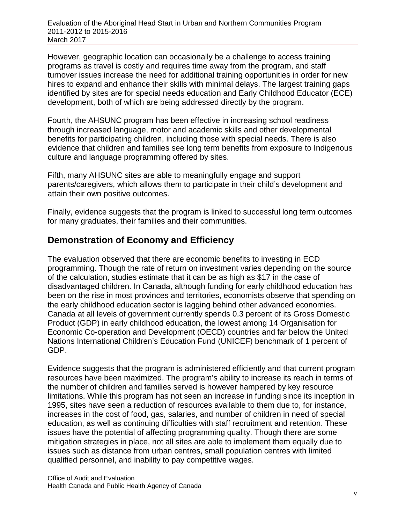However, geographic location can occasionally be a challenge to access training programs as travel is costly and requires time away from the program, and staff turnover issues increase the need for additional training opportunities in order for new hires to expand and enhance their skills with minimal delays. The largest training gaps identified by sites are for special needs education and Early Childhood Educator (ECE) development, both of which are being addressed directly by the program.

Fourth, the AHSUNC program has been effective in increasing school readiness through increased language, motor and academic skills and other developmental benefits for participating children, including those with special needs. There is also evidence that children and families see long term benefits from exposure to Indigenous culture and language programming offered by sites.

Fifth, many AHSUNC sites are able to meaningfully engage and support parents/caregivers, which allows them to participate in their child's development and attain their own positive outcomes.

Finally, evidence suggests that the program is linked to successful long term outcomes for many graduates, their families and their communities.

#### **Demonstration of Economy and Efficiency**

The evaluation observed that there are economic benefits to investing in ECD programming. Though the rate of return on investment varies depending on the source of the calculation, studies estimate that it can be as high as \$17 in the case of disadvantaged children. In Canada, although funding for early childhood education has been on the rise in most provinces and territories, economists observe that spending on the early childhood education sector is lagging behind other advanced economies. Canada at all levels of government currently spends 0.3 percent of its Gross Domestic Product (GDP) in early childhood education, the lowest among 14 Organisation for Economic Co-operation and Development (OECD) countries and far below the United Nations International Children's Education Fund (UNICEF) benchmark of 1 percent of GDP.

Evidence suggests that the program is administered efficiently and that current program resources have been maximized. The program's ability to increase its reach in terms of the number of children and families served is however hampered by key resource limitations. While this program has not seen an increase in funding since its inception in 1995, sites have seen a reduction of resources available to them due to, for instance, increases in the cost of food, gas, salaries, and number of children in need of special education, as well as continuing difficulties with staff recruitment and retention. These issues have the potential of affecting programming quality. Though there are some mitigation strategies in place, not all sites are able to implement them equally due to issues such as distance from urban centres, small population centres with limited qualified personnel, and inability to pay competitive wages.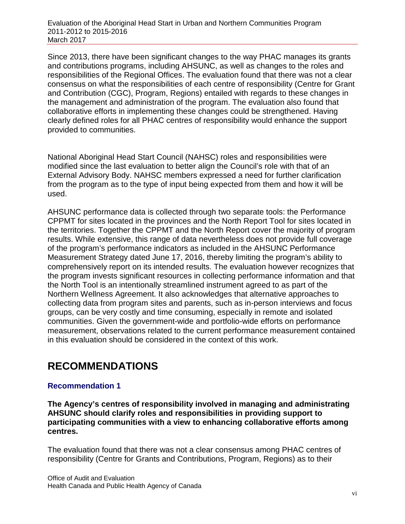Since 2013, there have been significant changes to the way PHAC manages its grants and contributions programs, including AHSUNC, as well as changes to the roles and responsibilities of the Regional Offices. The evaluation found that there was not a clear consensus on what the responsibilities of each centre of responsibility (Centre for Grant and Contribution (CGC), Program, Regions) entailed with regards to these changes in the management and administration of the program. The evaluation also found that collaborative efforts in implementing these changes could be strengthened. Having clearly defined roles for all PHAC centres of responsibility would enhance the support provided to communities.

National Aboriginal Head Start Council (NAHSC) roles and responsibilities were modified since the last evaluation to better align the Council's role with that of an External Advisory Body. NAHSC members expressed a need for further clarification from the program as to the type of input being expected from them and how it will be used.

AHSUNC performance data is collected through two separate tools: the Performance CPPMT for sites located in the provinces and the North Report Tool for sites located in the territories. Together the CPPMT and the North Report cover the majority of program results. While extensive, this range of data nevertheless does not provide full coverage of the program's performance indicators as included in the AHSUNC Performance Measurement Strategy dated June 17, 2016, thereby limiting the program's ability to comprehensively report on its intended results. The evaluation however recognizes that the program invests significant resources in collecting performance information and that the North Tool is an intentionally streamlined instrument agreed to as part of the Northern Wellness Agreement. It also acknowledges that alternative approaches to collecting data from program sites and parents, such as in-person interviews and focus groups, can be very costly and time consuming, especially in remote and isolated communities. Given the government-wide and portfolio-wide efforts on performance measurement, observations related to the current performance measurement contained in this evaluation should be considered in the context of this work.

## **RECOMMENDATIONS**

#### **Recommendation 1**

**The Agency's centres of responsibility involved in managing and administrating AHSUNC should clarify roles and responsibilities in providing support to participating communities with a view to enhancing collaborative efforts among centres.**

The evaluation found that there was not a clear consensus among PHAC centres of responsibility (Centre for Grants and Contributions, Program, Regions) as to their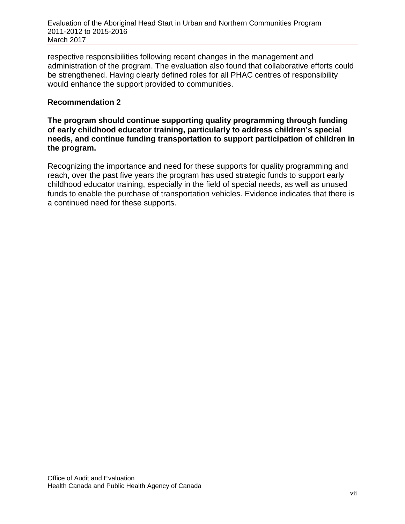respective responsibilities following recent changes in the management and administration of the program. The evaluation also found that collaborative efforts could be strengthened. Having clearly defined roles for all PHAC centres of responsibility would enhance the support provided to communities.

#### **Recommendation 2**

**The program should continue supporting quality programming through funding of early childhood educator training, particularly to address children's special needs, and continue funding transportation to support participation of children in the program.** 

Recognizing the importance and need for these supports for quality programming and reach, over the past five years the program has used strategic funds to support early childhood educator training, especially in the field of special needs, as well as unused funds to enable the purchase of transportation vehicles. Evidence indicates that there is a continued need for these supports.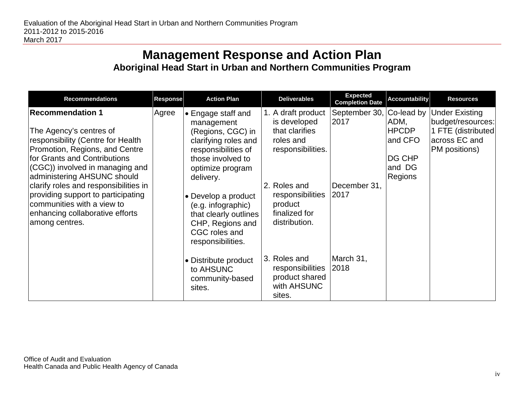## **Management Response and Action Plan Aboriginal Head Start in Urban and Northern Communities Program**

<span id="page-8-0"></span>

| <b>Recommendations</b>                                                                                                                                                                                                                                                                                                                                                                        | <b>Response</b> | <b>Action Plan</b>                                                                                                                                                                                                                                                                         | <b>Deliverables</b>                                                                                                                                                     | <b>Expected</b><br><b>Completion Date</b>     | <b>Accountability</b>                                                        | <b>Resources</b>                                                                                   |
|-----------------------------------------------------------------------------------------------------------------------------------------------------------------------------------------------------------------------------------------------------------------------------------------------------------------------------------------------------------------------------------------------|-----------------|--------------------------------------------------------------------------------------------------------------------------------------------------------------------------------------------------------------------------------------------------------------------------------------------|-------------------------------------------------------------------------------------------------------------------------------------------------------------------------|-----------------------------------------------|------------------------------------------------------------------------------|----------------------------------------------------------------------------------------------------|
| <b>Recommendation 1</b><br>The Agency's centres of<br>responsibility (Centre for Health<br>Promotion, Regions, and Centre<br>for Grants and Contributions<br>(CGC)) involved in managing and<br>administering AHSUNC should<br>clarify roles and responsibilities in<br>providing support to participating<br>communities with a view to<br>enhancing collaborative efforts<br>among centres. | Agree           | • Engage staff and<br>management<br>(Regions, CGC) in<br>clarifying roles and<br>responsibilities of<br>those involved to<br>optimize program<br>delivery.<br>• Develop a product<br>(e.g. infographic)<br>that clearly outlines<br>CHP, Regions and<br>CGC roles and<br>responsibilities. | 1. A draft product<br>is developed<br>that clarifies<br>roles and<br>responsibilities.<br>2. Roles and<br>responsibilities<br>product<br>finalized for<br>distribution. | September 30,<br>2017<br>December 31,<br>2017 | Co-lead by<br>ADM,<br>HPCDP<br>and CFO<br><b>DG CHP</b><br>and DG<br>Regions | <b>Under Existing</b><br>budget/resources:<br>1 FTE (distributed<br>across EC and<br>PM positions) |
|                                                                                                                                                                                                                                                                                                                                                                                               |                 | • Distribute product<br>to AHSUNC<br>community-based<br>sites.                                                                                                                                                                                                                             | 3. Roles and<br>responsibilities<br>product shared<br>with AHSUNC<br>sites.                                                                                             | March 31,<br>2018                             |                                                                              |                                                                                                    |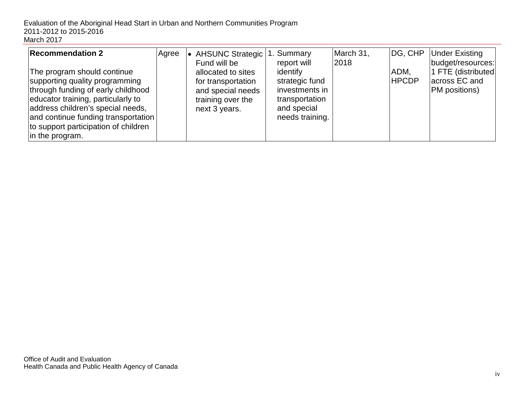| <b>Recommendation 2</b><br>The program should continue<br>supporting quality programming<br>through funding of early childhood<br>educator training, particularly to<br>address children's special needs,<br>and continue funding transportation<br>to support participation of children | Agree | <b>AHSUNC Strategic</b><br>Fund will be<br>allocated to sites<br>for transportation<br>and special needs<br>training over the<br>next 3 years. | 1. Summary<br>report will<br>identify<br>strategic fund<br>investments in<br>transportation<br>and special<br>needs training. | March 31,<br>2018 | DG, CHP<br>ADM,<br><b>HPCDP</b> | <b>Under Existing</b><br> budget/resources: <br>1 FTE (distributed)<br>lacross EC and<br><b>PM</b> positions) |
|------------------------------------------------------------------------------------------------------------------------------------------------------------------------------------------------------------------------------------------------------------------------------------------|-------|------------------------------------------------------------------------------------------------------------------------------------------------|-------------------------------------------------------------------------------------------------------------------------------|-------------------|---------------------------------|---------------------------------------------------------------------------------------------------------------|
| in the program.                                                                                                                                                                                                                                                                          |       |                                                                                                                                                |                                                                                                                               |                   |                                 |                                                                                                               |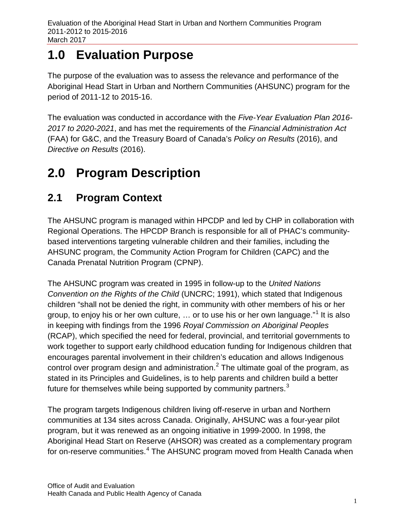## <span id="page-10-0"></span>**1.0 Evaluation Purpose**

The purpose of the evaluation was to assess the relevance and performance of the Aboriginal Head Start in Urban and Northern Communities (AHSUNC) program for the period of 2011-12 to 2015-16.

The evaluation was conducted in accordance with the *Five-Year Evaluation Plan 2016- 2017 to 2020-2021*, and has met the requirements of the *Financial Administration Act* (FAA) for G&C, and the Treasury Board of Canada's *Policy on Results* (2016), and *Directive on Results* (2016).

## <span id="page-10-1"></span>**2.0 Program Description**

## <span id="page-10-2"></span>**2.1 Program Context**

The AHSUNC program is managed within HPCDP and led by CHP in collaboration with Regional Operations. The HPCDP Branch is responsible for all of PHAC's communitybased interventions targeting vulnerable children and their families, including the AHSUNC program, the Community Action Program for Children (CAPC) and the Canada Prenatal Nutrition Program (CPNP).

The AHSUNC program was created in 1995 in follow-up to the *United Nations Convention on the Rights of the Child* (UNCRC; 1991), which stated that Indigenous children "shall not be denied the right, in community with other members of his or her group, to enjoy his or her own culture, ... or to use his or her own language."<sup>[1](#page-72-0)</sup> It is also in keeping with findings from the 1996 *Royal Commission on Aboriginal Peoples* (RCAP), which specified the need for federal, provincial, and territorial governments to work together to support early childhood education funding for Indigenous children that encourages parental involvement in their children's education and allows Indigenous control over program design and administration.<sup>[2](#page-72-1)</sup> The ultimate goal of the program, as stated in its Principles and Guidelines, is to help parents and children build a better future for themselves while being supported by community partners.<sup>[3](#page-72-2)</sup>

The program targets Indigenous children living off-reserve in urban and Northern communities at 134 sites across Canada. Originally, AHSUNC was a four-year pilot program, but it was renewed as an ongoing initiative in 1999-2000. In 1998, the Aboriginal Head Start on Reserve (AHSOR) was created as a complementary program for on-reserve communities.<sup>[4](#page-72-3)</sup> The AHSUNC program moved from Health Canada when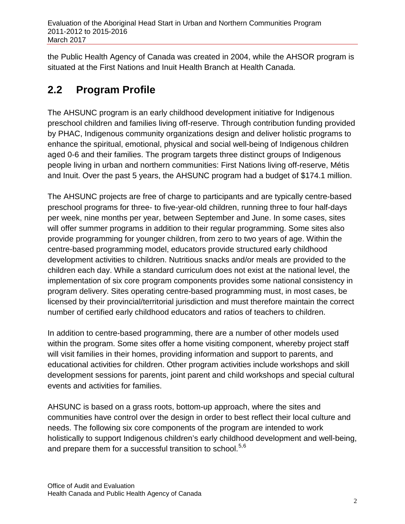the Public Health Agency of Canada was created in 2004, while the AHSOR program is situated at the First Nations and Inuit Health Branch at Health Canada.

## <span id="page-11-0"></span>**2.2 Program Profile**

The AHSUNC program is an early childhood development initiative for Indigenous preschool children and families living off-reserve. Through contribution funding provided by PHAC, Indigenous community organizations design and deliver holistic programs to enhance the spiritual, emotional, physical and social well-being of Indigenous children aged 0-6 and their families. The program targets three distinct groups of Indigenous people living in urban and northern communities: First Nations living off-reserve, Métis and Inuit. Over the past 5 years, the AHSUNC program had a budget of \$174.1 million.

The AHSUNC projects are free of charge to participants and are typically centre-based preschool programs for three- to five-year-old children, running three to four half-days per week, nine months per year, between September and June. In some cases, sites will offer summer programs in addition to their regular programming. Some sites also provide programming for younger children, from zero to two years of age. Within the centre-based programming model, educators provide structured early childhood development activities to children. Nutritious snacks and/or meals are provided to the children each day. While a standard curriculum does not exist at the national level, the implementation of six core program components provides some national consistency in program delivery. Sites operating centre-based programming must, in most cases, be licensed by their provincial/territorial jurisdiction and must therefore maintain the correct number of certified early childhood educators and ratios of teachers to children.

In addition to centre-based programming, there are a number of other models used within the program. Some sites offer a home visiting component, whereby project staff will visit families in their homes, providing information and support to parents, and educational activities for children. Other program activities include workshops and skill development sessions for parents, joint parent and child workshops and special cultural events and activities for families.

AHSUNC is based on a grass roots, bottom-up approach, where the sites and communities have control over the design in order to best reflect their local culture and needs. The following six core components of the program are intended to work holistically to support Indigenous children's early childhood development and well-being, and prepare them for a successful transition to school.<sup>[5](#page-73-0),[6](#page-73-1)</sup>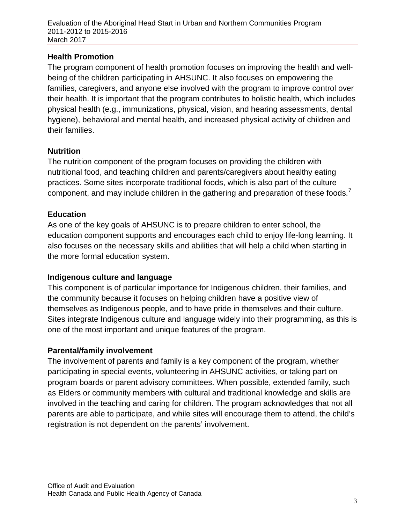Evaluation of the Aboriginal Head Start in Urban and Northern Communities Program 2011-2012 to 2015-2016 March 2017

#### **Health Promotion**

The program component of health promotion focuses on improving the health and wellbeing of the children participating in AHSUNC. It also focuses on empowering the families, caregivers, and anyone else involved with the program to improve control over their health. It is important that the program contributes to holistic health, which includes physical health (e.g., immunizations, physical, vision, and hearing assessments, dental hygiene), behavioral and mental health, and increased physical activity of children and their families.

#### **Nutrition**

The nutrition component of the program focuses on providing the children with nutritional food, and teaching children and parents/caregivers about healthy eating practices. Some sites incorporate traditional foods, which is also part of the culture component, and may include children in the gathering and preparation of these foods.<sup>[7](#page-74-0)</sup>

#### **Education**

As one of the key goals of AHSUNC is to prepare children to enter school, the education component supports and encourages each child to enjoy life-long learning. It also focuses on the necessary skills and abilities that will help a child when starting in the more formal education system.

#### **Indigenous culture and language**

This component is of particular importance for Indigenous children, their families, and the community because it focuses on helping children have a positive view of themselves as Indigenous people, and to have pride in themselves and their culture. Sites integrate Indigenous culture and language widely into their programming, as this is one of the most important and unique features of the program.

#### **Parental/family involvement**

The involvement of parents and family is a key component of the program, whether participating in special events, volunteering in AHSUNC activities, or taking part on program boards or parent advisory committees. When possible, extended family, such as Elders or community members with cultural and traditional knowledge and skills are involved in the teaching and caring for children. The program acknowledges that not all parents are able to participate, and while sites will encourage them to attend, the child's registration is not dependent on the parents' involvement.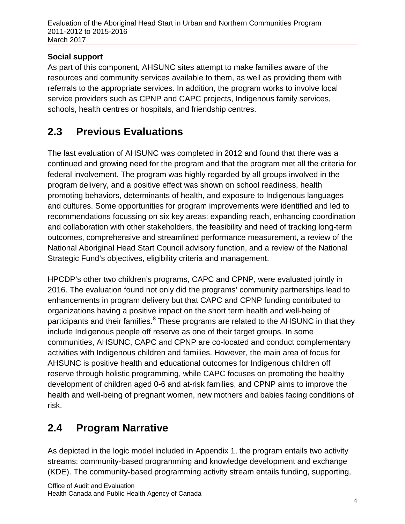#### **Social support**

As part of this component, AHSUNC sites attempt to make families aware of the resources and community services available to them, as well as providing them with referrals to the appropriate services. In addition, the program works to involve local service providers such as CPNP and CAPC projects, Indigenous family services, schools, health centres or hospitals, and friendship centres.

## <span id="page-13-0"></span>**2.3 Previous Evaluations**

The last evaluation of AHSUNC was completed in 2012 and found that there was a continued and growing need for the program and that the program met all the criteria for federal involvement. The program was highly regarded by all groups involved in the program delivery, and a positive effect was shown on school readiness, health promoting behaviors, determinants of health, and exposure to Indigenous languages and cultures. Some opportunities for program improvements were identified and led to recommendations focussing on six key areas: expanding reach, enhancing coordination and collaboration with other stakeholders, the feasibility and need of tracking long-term outcomes, comprehensive and streamlined performance measurement, a review of the National Aboriginal Head Start Council advisory function, and a review of the National Strategic Fund's objectives, eligibility criteria and management.

HPCDP's other two children's programs, CAPC and CPNP, were evaluated jointly in 2016. The evaluation found not only did the programs' community partnerships lead to enhancements in program delivery but that CAPC and CPNP funding contributed to organizations having a positive impact on the short term health and well-being of participants and their families.<sup>[8](#page-74-1)</sup> These programs are related to the AHSUNC in that they include Indigenous people off reserve as one of their target groups. In some communities, AHSUNC, CAPC and CPNP are co-located and conduct complementary activities with Indigenous children and families. However, the main area of focus for AHSUNC is positive health and educational outcomes for Indigenous children off reserve through holistic programming, while CAPC focuses on promoting the healthy development of children aged 0-6 and at-risk families, and CPNP aims to improve the health and well-being of pregnant women, new mothers and babies facing conditions of risk.

## <span id="page-13-1"></span>**2.4 Program Narrative**

As depicted in the logic model included in Appendix 1, the program entails two activity streams: community-based programming and knowledge development and exchange (KDE). The community-based programming activity stream entails funding, supporting,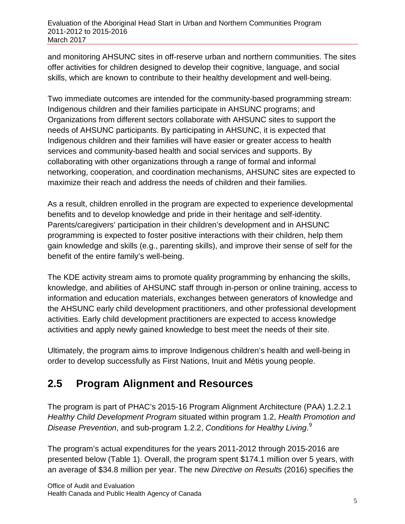and monitoring AHSUNC sites in off-reserve urban and northern communities. The sites offer activities for children designed to develop their cognitive, language, and social skills, which are known to contribute to their healthy development and well-being.

Two immediate outcomes are intended for the community-based programming stream: Indigenous children and their families participate in AHSUNC programs; and Organizations from different sectors collaborate with AHSUNC sites to support the needs of AHSUNC participants. By participating in AHSUNC, it is expected that Indigenous children and their families will have easier or greater access to health services and community-based health and social services and supports. By collaborating with other organizations through a range of formal and informal networking, cooperation, and coordination mechanisms, AHSUNC sites are expected to maximize their reach and address the needs of children and their families.

As a result, children enrolled in the program are expected to experience developmental benefits and to develop knowledge and pride in their heritage and self-identity. Parents/caregivers' participation in their children's development and in AHSUNC programming is expected to foster positive interactions with their children, help them gain knowledge and skills (e.g., parenting skills), and improve their sense of self for the benefit of the entire family's well-being.

The KDE activity stream aims to promote quality programming by enhancing the skills, knowledge, and abilities of AHSUNC staff through in-person or online training, access to information and education materials, exchanges between generators of knowledge and the AHSUNC early child development practitioners, and other professional development activities. Early child development practitioners are expected to access knowledge activities and apply newly gained knowledge to best meet the needs of their site.

Ultimately, the program aims to improve Indigenous children's health and well-being in order to develop successfully as First Nations, Inuit and Métis young people.

## <span id="page-14-0"></span>**2.5 Program Alignment and Resources**

The program is part of PHAC's 2015-16 Program Alignment Architecture (PAA) 1.2.2.1 *Healthy Child Development Program* situated within program 1.2, *Health Promotion and Disease Prevention*, and sub-program 1.2.2, *Conditions for Healthy Living*. [9](#page-74-2)

The program's actual expenditures for the years 2011-2012 through 2015-2016 are presented below (Table 1). Overall, the program spent \$174.1 million over 5 years, with an average of \$34.8 million per year. The new *Directive on Results* (2016) specifies the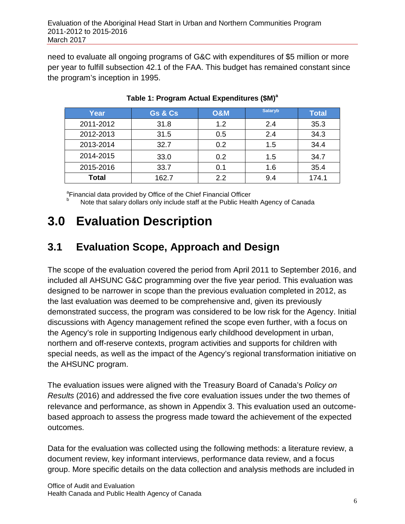need to evaluate all ongoing programs of G&C with expenditures of \$5 million or more per year to fulfill subsection 42.1 of the FAA. This budget has remained constant since the program's inception in 1995.

<span id="page-15-2"></span>

| Year         | Gs & Cs | <b>O&amp;M</b> | <b>Salaryb</b> | <b>Total</b> |
|--------------|---------|----------------|----------------|--------------|
| 2011-2012    | 31.8    | 1.2            | 2.4            | 35.3         |
| 2012-2013    | 31.5    | 0.5            | 2.4            | 34.3         |
| 2013-2014    | 32.7    | 0.2            | 1.5            | 34.4         |
| 2014-2015    | 33.0    | 0.2            | 1.5            | 34.7         |
| 2015-2016    | 33.7    | 0.1            | 1.6            | 35.4         |
| <b>Total</b> | 162.7   | 22             | 9.4            | 174.1        |

#### **Table 1: Program Actual Expenditures (\$M)<sup>a</sup>**

<sup>a</sup>Financial data provided by Office of the Chief Financial Officer

Note that salary dollars only include staff at the Public Health Agency of Canada

## <span id="page-15-0"></span>**3.0 Evaluation Description**

## <span id="page-15-1"></span>**3.1 Evaluation Scope, Approach and Design**

The scope of the evaluation covered the period from April 2011 to September 2016, and included all AHSUNC G&C programming over the five year period. This evaluation was designed to be narrower in scope than the previous evaluation completed in 2012, as the last evaluation was deemed to be comprehensive and, given its previously demonstrated success, the program was considered to be low risk for the Agency. Initial discussions with Agency management refined the scope even further, with a focus on the Agency's role in supporting Indigenous early childhood development in urban, northern and off-reserve contexts, program activities and supports for children with special needs, as well as the impact of the Agency's regional transformation initiative on the AHSUNC program.

The evaluation issues were aligned with the Treasury Board of Canada's *Policy on Results* (2016) and addressed the five core evaluation issues under the two themes of relevance and performance, as shown in Appendix 3. This evaluation used an outcomebased approach to assess the progress made toward the achievement of the expected outcomes.

Data for the evaluation was collected using the following methods: a literature review, a document review, key informant interviews, performance data review, and a focus group. More specific details on the data collection and analysis methods are included in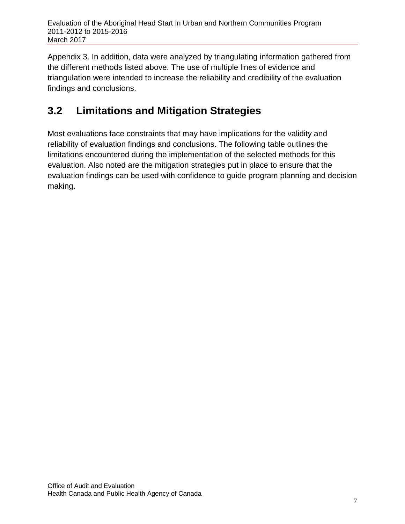Appendix 3. In addition, data were analyzed by triangulating information gathered from the different methods listed above. The use of multiple lines of evidence and triangulation were intended to increase the reliability and credibility of the evaluation findings and conclusions.

## <span id="page-16-0"></span>**3.2 Limitations and Mitigation Strategies**

Most evaluations face constraints that may have implications for the validity and reliability of evaluation findings and conclusions. The following table outlines the limitations encountered during the implementation of the selected methods for this evaluation. Also noted are the mitigation strategies put in place to ensure that the evaluation findings can be used with confidence to guide program planning and decision making.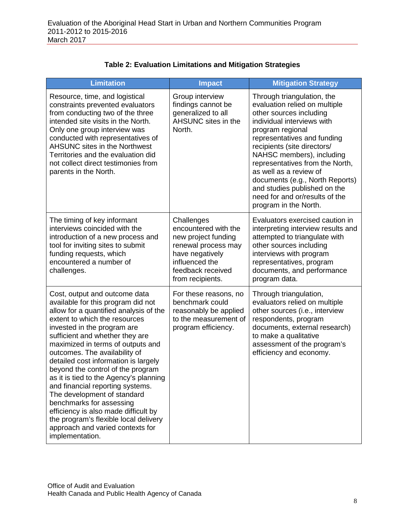| <b>Table 2: Evaluation Limitations and Mitigation Strategies</b> |  |
|------------------------------------------------------------------|--|
|------------------------------------------------------------------|--|

<span id="page-17-0"></span>

| <b>Limitation</b>                                                                                                                                                                                                                                                                                                                                                                                                                                                                                                                                                                                                                                    | <b>Impact</b>                                                                                                                                                  | <b>Mitigation Strategy</b>                                                                                                                                                                                                                                                                                                                                                                                                     |
|------------------------------------------------------------------------------------------------------------------------------------------------------------------------------------------------------------------------------------------------------------------------------------------------------------------------------------------------------------------------------------------------------------------------------------------------------------------------------------------------------------------------------------------------------------------------------------------------------------------------------------------------------|----------------------------------------------------------------------------------------------------------------------------------------------------------------|--------------------------------------------------------------------------------------------------------------------------------------------------------------------------------------------------------------------------------------------------------------------------------------------------------------------------------------------------------------------------------------------------------------------------------|
| Resource, time, and logistical<br>constraints prevented evaluators<br>from conducting two of the three<br>intended site visits in the North.<br>Only one group interview was<br>conducted with representatives of<br><b>AHSUNC sites in the Northwest</b><br>Territories and the evaluation did<br>not collect direct testimonies from<br>parents in the North.                                                                                                                                                                                                                                                                                      | Group interview<br>findings cannot be<br>generalized to all<br>AHSUNC sites in the<br>North.                                                                   | Through triangulation, the<br>evaluation relied on multiple<br>other sources including<br>individual interviews with<br>program regional<br>representatives and funding<br>recipients (site directors/<br>NAHSC members), including<br>representatives from the North,<br>as well as a review of<br>documents (e.g., North Reports)<br>and studies published on the<br>need for and or/results of the<br>program in the North. |
| The timing of key informant<br>interviews coincided with the<br>introduction of a new process and<br>tool for inviting sites to submit<br>funding requests, which<br>encountered a number of<br>challenges.                                                                                                                                                                                                                                                                                                                                                                                                                                          | Challenges<br>encountered with the<br>new project funding<br>renewal process may<br>have negatively<br>influenced the<br>feedback received<br>from recipients. | Evaluators exercised caution in<br>interpreting interview results and<br>attempted to triangulate with<br>other sources including<br>interviews with program<br>representatives, program<br>documents, and performance<br>program data.                                                                                                                                                                                        |
| Cost, output and outcome data<br>available for this program did not<br>allow for a quantified analysis of the<br>extent to which the resources<br>invested in the program are<br>sufficient and whether they are<br>maximized in terms of outputs and<br>outcomes. The availability of<br>detailed cost information is largely<br>beyond the control of the program<br>as it is tied to the Agency's planning<br>and financial reporting systems.<br>The development of standard<br>benchmarks for assessing<br>efficiency is also made difficult by<br>the program's flexible local delivery<br>approach and varied contexts for<br>implementation. | For these reasons, no<br>benchmark could<br>reasonably be applied<br>to the measurement of<br>program efficiency.                                              | Through triangulation,<br>evaluators relied on multiple<br>other sources (i.e., interview<br>respondents, program<br>documents, external research)<br>to make a qualitative<br>assessment of the program's<br>efficiency and economy.                                                                                                                                                                                          |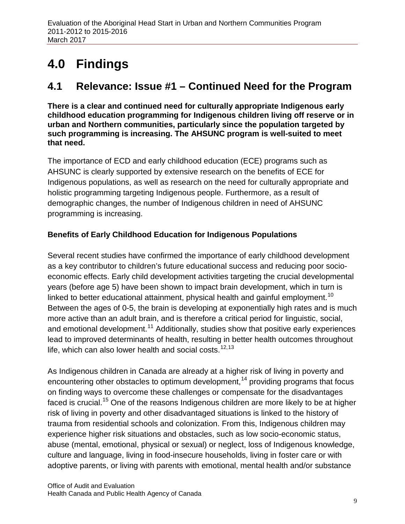## <span id="page-18-0"></span>**4.0 Findings**

## <span id="page-18-1"></span>**4.1 Relevance: Issue #1 – Continued Need for the Program**

**There is a clear and continued need for culturally appropriate Indigenous early childhood education programming for Indigenous children living off reserve or in urban and Northern communities, particularly since the population targeted by such programming is increasing. The AHSUNC program is well-suited to meet that need.**

The importance of ECD and early childhood education (ECE) programs such as AHSUNC is clearly supported by extensive research on the benefits of ECE for Indigenous populations, as well as research on the need for culturally appropriate and holistic programming targeting Indigenous people. Furthermore, as a result of demographic changes, the number of Indigenous children in need of AHSUNC programming is increasing.

#### **Benefits of Early Childhood Education for Indigenous Populations**

Several recent studies have confirmed the importance of early childhood development as a key contributor to children's future educational success and reducing poor socioeconomic effects. Early child development activities targeting the crucial developmental years (before age 5) have been shown to impact brain development, which in turn is linked to better educational attainment, physical health and gainful employment.<sup>[10](#page-75-0)</sup> Between the ages of 0-5, the brain is developing at exponentially high rates and is much more active than an adult brain, and is therefore a critical period for linguistic, social, and emotional development.<sup>[11](#page-75-1)</sup> Additionally, studies show that positive early experiences lead to improved determinants of health, resulting in better health outcomes throughout life, which can also lower health and social costs.<sup>[12](#page-75-2),[13](#page-75-3)</sup>

As Indigenous children in Canada are already at a higher risk of living in poverty and encountering other obstacles to optimum development,<sup>[14](#page-75-4)</sup> providing programs that focus on finding ways to overcome these challenges or compensate for the disadvantages faced is crucial.<sup>[15](#page-75-5)</sup> One of the reasons Indigenous children are more likely to be at higher risk of living in poverty and other disadvantaged situations is linked to the history of trauma from residential schools and colonization. From this, Indigenous children may experience higher risk situations and obstacles, such as low socio-economic status, abuse (mental, emotional, physical or sexual) or neglect, loss of Indigenous knowledge, culture and language, living in food-insecure households, living in foster care or with adoptive parents, or living with parents with emotional, mental health and/or substance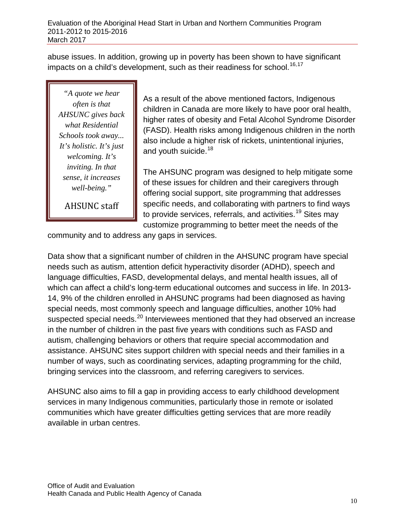abuse issues. In addition, growing up in poverty has been shown to have significant impacts on a child's development, such as their readiness for school.<sup>[16,](#page-76-0)[17](#page-76-1)</sup>

*"A quote we hear often is that AHSUNC gives back what Residential Schools took away... It's holistic. It's just welcoming. It's inviting. In that sense, it increases well-being."*

AHSUNC staff

As a result of the above mentioned factors, Indigenous children in Canada are more likely to have poor oral health, higher rates of obesity and Fetal Alcohol Syndrome Disorder (FASD). Health risks among Indigenous children in the north also include a higher risk of rickets, unintentional injuries, and youth suicide.<sup>[18](#page-76-2)</sup>

The AHSUNC program was designed to help mitigate some of these issues for children and their caregivers through offering social support, site programming that addresses specific needs, and collaborating with partners to find ways to provide services, referrals, and activities.<sup>[19](#page-76-3)</sup> Sites may customize programming to better meet the needs of the

community and to address any gaps in services.

Data show that a significant number of children in the AHSUNC program have special needs such as autism, attention deficit hyperactivity disorder (ADHD), speech and language difficulties, FASD, developmental delays, and mental health issues, all of which can affect a child's long-term educational outcomes and success in life. In 2013- 14, 9% of the children enrolled in AHSUNC programs had been diagnosed as having special needs, most commonly speech and language difficulties, another 10% had suspected special needs.<sup>[20](#page-76-4)</sup> Interviewees mentioned that they had observed an increase in the number of children in the past five years with conditions such as FASD and autism, challenging behaviors or others that require special accommodation and assistance. AHSUNC sites support children with special needs and their families in a number of ways, such as coordinating services, adapting programming for the child, bringing services into the classroom, and referring caregivers to services.

AHSUNC also aims to fill a gap in providing access to early childhood development services in many Indigenous communities, particularly those in remote or isolated communities which have greater difficulties getting services that are more readily available in urban centres.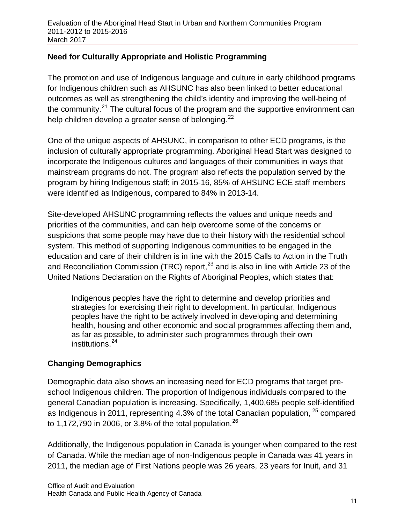#### **Need for Culturally Appropriate and Holistic Programming**

The promotion and use of Indigenous language and culture in early childhood programs for Indigenous children such as AHSUNC has also been linked to better educational outcomes as well as strengthening the child's identity and improving the well-being of the community.<sup>[21](#page-77-0)</sup> The cultural focus of the program and the supportive environment can help children develop a greater sense of belonging.<sup>[22](#page-77-1)</sup>

One of the unique aspects of AHSUNC, in comparison to other ECD programs, is the inclusion of culturally appropriate programming. Aboriginal Head Start was designed to incorporate the Indigenous cultures and languages of their communities in ways that mainstream programs do not. The program also reflects the population served by the program by hiring Indigenous staff; in 2015-16, 85% of AHSUNC ECE staff members were identified as Indigenous, compared to 84% in 2013-14.

Site-developed AHSUNC programming reflects the values and unique needs and priorities of the communities, and can help overcome some of the concerns or suspicions that some people may have due to their history with the residential school system. This method of supporting Indigenous communities to be engaged in the education and care of their children is in line with the 2015 Calls to Action in the Truth and Reconciliation Commission (TRC) report,  $^{23}$  $^{23}$  $^{23}$  and is also in line with Article 23 of the United Nations Declaration on the Rights of Aboriginal Peoples, which states that:

Indigenous peoples have the right to determine and develop priorities and strategies for exercising their right to development. In particular, Indigenous peoples have the right to be actively involved in developing and determining health, housing and other economic and social programmes affecting them and, as far as possible, to administer such programmes through their own institutions.<sup>[24](#page-77-3)</sup>

#### **Changing Demographics**

Demographic data also shows an increasing need for ECD programs that target preschool Indigenous children. The proportion of Indigenous individuals compared to the general Canadian population is increasing. Specifically, 1,400,685 people self-identified as Indigenous in 2011, representing 4.3% of the total Canadian population. <sup>[25](#page-77-4)</sup> compared to 1,172,790 in 2006, or 3.8% of the total population.<sup>[26](#page-77-5)</sup>

Additionally, the Indigenous population in Canada is younger when compared to the rest of Canada. While the median age of non-Indigenous people in Canada was 41 years in 2011, the median age of First Nations people was 26 years, 23 years for Inuit, and 31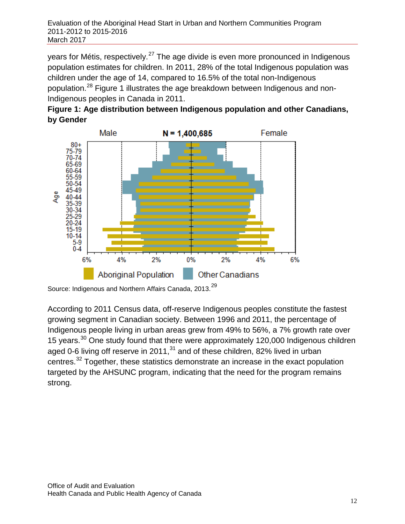years for Métis, respectively.<sup>[27](#page-77-6)</sup> The age divide is even more pronounced in Indigenous population estimates for children. In 2011, 28% of the total Indigenous population was children under the age of 14, compared to 16.5% of the total non-Indigenous population.[28](#page-77-7) Figure 1 illustrates the age breakdown between Indigenous and non-Indigenous peoples in Canada in 2011.





Source: Indigenous and Northern Affairs Canada, 2013.<sup>[29](#page-77-8)</sup>

According to 2011 Census data, off-reserve Indigenous peoples constitute the fastest growing segment in Canadian society. Between 1996 and 2011, the percentage of Indigenous people living in urban areas grew from 49% to 56%, a 7% growth rate over 15 years.<sup>[30](#page-77-9)</sup> One study found that there were approximately 120,000 Indigenous children aged 0-6 living off reserve in 2011, $31$  and of these children, 82% lived in urban centres.[32](#page-77-11) Together, these statistics demonstrate an increase in the exact population targeted by the AHSUNC program, indicating that the need for the program remains strong.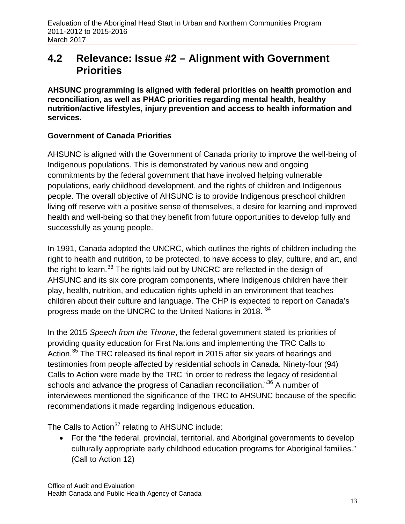### <span id="page-22-0"></span>**4.2 Relevance: Issue #2 – Alignment with Government Priorities**

**AHSUNC programming is aligned with federal priorities on health promotion and reconciliation, as well as PHAC priorities regarding mental health, healthy nutrition/active lifestyles, injury prevention and access to health information and services.**

#### **Government of Canada Priorities**

AHSUNC is aligned with the Government of Canada priority to improve the well-being of Indigenous populations. This is demonstrated by various new and ongoing commitments by the federal government that have involved helping vulnerable populations, early childhood development, and the rights of children and Indigenous people. The overall objective of AHSUNC is to provide Indigenous preschool children living off reserve with a positive sense of themselves, a desire for learning and improved health and well-being so that they benefit from future opportunities to develop fully and successfully as young people.

In 1991, Canada adopted the UNCRC, which outlines the rights of children including the right to health and nutrition, to be protected, to have access to play, culture, and art, and the right to learn.<sup>[33](#page-77-12)</sup> The rights laid out by UNCRC are reflected in the design of AHSUNC and its six core program components, where Indigenous children have their play, health, nutrition, and education rights upheld in an environment that teaches children about their culture and language. The CHP is expected to report on Canada's progress made on the UNCRC to the United Nations in 2018. [34](#page-77-13)

In the 2015 *Speech from the Throne*, the federal government stated its priorities of providing quality education for First Nations and implementing the TRC Calls to Action.<sup>[35](#page-77-14)</sup> The TRC released its final report in 2015 after six years of hearings and testimonies from people affected by residential schools in Canada. Ninety-four (94) Calls to Action were made by the TRC "in order to redress the legacy of residential schools and advance the progress of Canadian reconciliation."<sup>[36](#page-77-15)</sup> A number of interviewees mentioned the significance of the TRC to AHSUNC because of the specific recommendations it made regarding Indigenous education.

The Calls to Action<sup>[37](#page-77-16)</sup> relating to AHSUNC include:

• For the "the federal, provincial, territorial, and Aboriginal governments to develop culturally appropriate early childhood education programs for Aboriginal families." (Call to Action 12)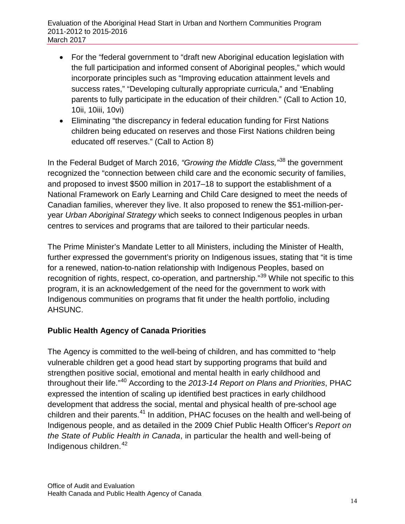- For the "federal government to "draft new Aboriginal education legislation with the full participation and informed consent of Aboriginal peoples," which would incorporate principles such as "Improving education attainment levels and success rates," "Developing culturally appropriate curricula," and "Enabling parents to fully participate in the education of their children." (Call to Action 10, 10ii, 10iii, 10vi)
- Eliminating "the discrepancy in federal education funding for First Nations children being educated on reserves and those First Nations children being educated off reserves." (Call to Action 8)

In the Federal Budget of March 2016, *"Growing the Middle Class,"*[38](#page-77-17) the government recognized the "connection between child care and the economic security of families, and proposed to invest \$500 million in 2017–18 to support the establishment of a National Framework on Early Learning and Child Care designed to meet the needs of Canadian families, wherever they live. It also proposed to renew the \$51-million-peryear *Urban Aboriginal Strategy* which seeks to connect Indigenous peoples in urban centres to services and programs that are tailored to their particular needs.

The Prime Minister's Mandate Letter to all Ministers, including the Minister of Health, further expressed the government's priority on Indigenous issues, stating that "it is time for a renewed, nation-to-nation relationship with Indigenous Peoples, based on recognition of rights, respect, co-operation, and partnership."<sup>[39](#page-77-18)</sup> While not specific to this program, it is an acknowledgement of the need for the government to work with Indigenous communities on programs that fit under the health portfolio, including AHSUNC.

#### **Public Health Agency of Canada Priorities**

The Agency is committed to the well-being of children, and has committed to "help vulnerable children get a good head start by supporting programs that build and strengthen positive social, emotional and mental health in early childhood and throughout their life."[40](#page-77-19) According to the *2013-14 Report on Plans and Priorities*, PHAC expressed the intention of scaling up identified best practices in early childhood development that address the social, mental and physical health of pre-school age children and their parents.<sup>[41](#page-77-20)</sup> In addition, PHAC focuses on the health and well-being of Indigenous people, and as detailed in the 2009 Chief Public Health Officer's *Report on the State of Public Health in Canada*, in particular the health and well-being of Indigenous children.<sup>[42](#page-77-21)</sup>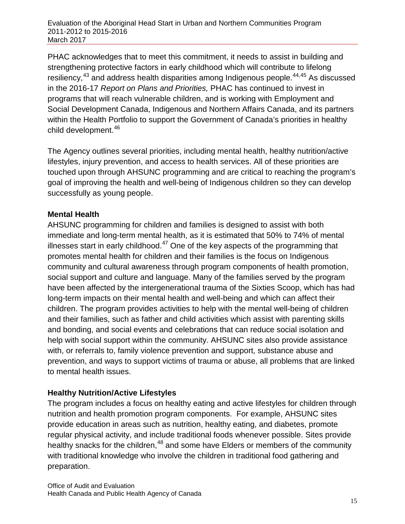Evaluation of the Aboriginal Head Start in Urban and Northern Communities Program 2011-2012 to 2015-2016 March 2017

PHAC acknowledges that to meet this commitment, it needs to assist in building and strengthening protective factors in early childhood which will contribute to lifelong resiliency,<sup>[43](#page-77-5)</sup> and address health disparities among Indigenous people.<sup>[44,](#page-77-22)[45](#page-77-23)</sup> As discussed in the 2016-17 *Report on Plans and Priorities,* PHAC has continued to invest in programs that will reach vulnerable children, and is working with Employment and Social Development Canada, Indigenous and Northern Affairs Canada, and its partners within the Health Portfolio to support the Government of Canada's priorities in healthy child development.<sup>[46](#page-77-24)</sup>

The Agency outlines several priorities, including mental health, healthy nutrition/active lifestyles, injury prevention, and access to health services. All of these priorities are touched upon through AHSUNC programming and are critical to reaching the program's goal of improving the health and well-being of Indigenous children so they can develop successfully as young people.

#### **Mental Health**

AHSUNC programming for children and families is designed to assist with both immediate and long-term mental health, as it is estimated that 50% to 74% of mental illnesses start in early childhood. $47$  One of the key aspects of the programming that promotes mental health for children and their families is the focus on Indigenous community and cultural awareness through program components of health promotion, social support and culture and language. Many of the families served by the program have been affected by the intergenerational trauma of the Sixties Scoop, which has had long-term impacts on their mental health and well-being and which can affect their children. The program provides activities to help with the mental well-being of children and their families, such as father and child activities which assist with parenting skills and bonding, and social events and celebrations that can reduce social isolation and help with social support within the community. AHSUNC sites also provide assistance with, or referrals to, family violence prevention and support, substance abuse and prevention, and ways to support victims of trauma or abuse, all problems that are linked to mental health issues.

#### **Healthy Nutrition/Active Lifestyles**

The program includes a focus on healthy eating and active lifestyles for children through nutrition and health promotion program components. For example, AHSUNC sites provide education in areas such as nutrition, healthy eating, and diabetes, promote regular physical activity, and include traditional foods whenever possible. Sites provide healthy snacks for the children,<sup>[48](#page-77-26)</sup> and some have Elders or members of the community with traditional knowledge who involve the children in traditional food gathering and preparation.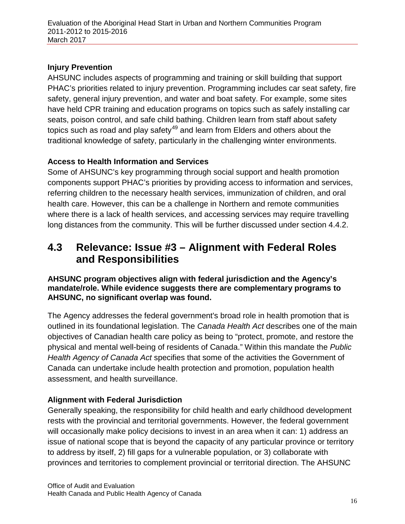#### **Injury Prevention**

AHSUNC includes aspects of programming and training or skill building that support PHAC's priorities related to injury prevention. Programming includes car seat safety, fire safety, general injury prevention, and water and boat safety. For example, some sites have held CPR training and education programs on topics such as safely installing car seats, poison control, and safe child bathing. Children learn from staff about safety topics such as road and play safety<sup>[49](#page-77-27)</sup> and learn from Elders and others about the traditional knowledge of safety, particularly in the challenging winter environments.

#### **Access to Health Information and Services**

Some of AHSUNC's key programming through social support and health promotion components support PHAC's priorities by providing access to information and services, referring children to the necessary health services, immunization of children, and oral health care. However, this can be a challenge in Northern and remote communities where there is a lack of health services, and accessing services may require travelling long distances from the community. This will be further discussed under section 4.4.2.

### <span id="page-25-0"></span>**4.3 Relevance: Issue #3 – Alignment with Federal Roles and Responsibilities**

#### **AHSUNC program objectives align with federal jurisdiction and the Agency's mandate/role. While evidence suggests there are complementary programs to AHSUNC, no significant overlap was found.**

The Agency addresses the federal government's broad role in health promotion that is outlined in its foundational legislation. The *Canada Health Act* describes one of the main objectives of Canadian health care policy as being to "protect, promote, and restore the physical and mental well-being of residents of Canada." Within this mandate the *Public Health Agency of Canada Act* specifies that some of the activities the Government of Canada can undertake include health protection and promotion, population health assessment, and health surveillance.

#### **Alignment with Federal Jurisdiction**

Generally speaking, the responsibility for child health and early childhood development rests with the provincial and territorial governments. However, the federal government will occasionally make policy decisions to invest in an area when it can: 1) address an issue of national scope that is beyond the capacity of any particular province or territory to address by itself, 2) fill gaps for a vulnerable population, or 3) collaborate with provinces and territories to complement provincial or territorial direction. The AHSUNC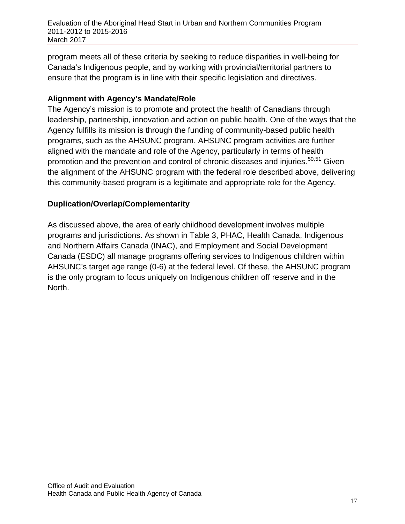program meets all of these criteria by seeking to reduce disparities in well-being for Canada's Indigenous people, and by working with provincial/territorial partners to ensure that the program is in line with their specific legislation and directives.

#### **Alignment with Agency's Mandate/Role**

The Agency's mission is to promote and protect the health of Canadians through leadership, partnership, innovation and action on public health. One of the ways that the Agency fulfills its mission is through the funding of community-based public health programs, such as the AHSUNC program. AHSUNC program activities are further aligned with the mandate and role of the Agency, particularly in terms of health promotion and the prevention and control of chronic diseases and injuries.<sup>[50](#page-77-12),[51](#page-77-28)</sup> Given the alignment of the AHSUNC program with the federal role described above, delivering this community-based program is a legitimate and appropriate role for the Agency.

#### **Duplication/Overlap/Complementarity**

<span id="page-26-0"></span>As discussed above, the area of early childhood development involves multiple programs and jurisdictions. As shown in Table 3, PHAC, Health Canada, Indigenous and Northern Affairs Canada (INAC), and Employment and Social Development Canada (ESDC) all manage programs offering services to Indigenous children within AHSUNC's target age range (0-6) at the federal level. Of these, the AHSUNC program is the only program to focus uniquely on Indigenous children off reserve and in the North.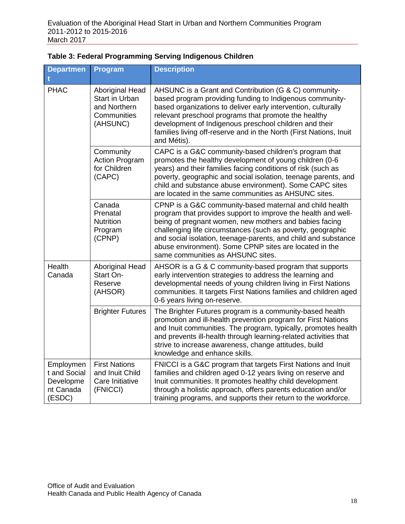| <b>Departmen</b>                                              | Program                                                                             | <b>Description</b>                                                                                                                                                                                                                                                                                                                                                                                                 |
|---------------------------------------------------------------|-------------------------------------------------------------------------------------|--------------------------------------------------------------------------------------------------------------------------------------------------------------------------------------------------------------------------------------------------------------------------------------------------------------------------------------------------------------------------------------------------------------------|
|                                                               |                                                                                     |                                                                                                                                                                                                                                                                                                                                                                                                                    |
| <b>PHAC</b>                                                   | Aboriginal Head<br><b>Start in Urban</b><br>and Northern<br>Communities<br>(AHSUNC) | AHSUNC is a Grant and Contribution (G & C) community-<br>based program providing funding to Indigenous community-<br>based organizations to deliver early intervention, culturally<br>relevant preschool programs that promote the healthy<br>development of Indigenous preschool children and their<br>families living off-reserve and in the North (First Nations, Inuit<br>and Métis).                          |
|                                                               | Community<br><b>Action Program</b><br>for Children<br>(CAPC)                        | CAPC is a G&C community-based children's program that<br>promotes the healthy development of young children (0-6<br>years) and their families facing conditions of risk (such as<br>poverty, geographic and social isolation, teenage parents, and<br>child and substance abuse environment). Some CAPC sites<br>are located in the same communities as AHSUNC sites.                                              |
|                                                               | Canada<br>Prenatal<br><b>Nutrition</b><br>Program<br>(CPNP)                         | CPNP is a G&C community-based maternal and child health<br>program that provides support to improve the health and well-<br>being of pregnant women, new mothers and babies facing<br>challenging life circumstances (such as poverty, geographic<br>and social isolation, teenage-parents, and child and substance<br>abuse environment). Some CPNP sites are located in the<br>same communities as AHSUNC sites. |
| Health<br>Canada                                              | Aboriginal Head<br>Start On-<br>Reserve<br>(AHSOR)                                  | AHSOR is a G & C community-based program that supports<br>early intervention strategies to address the learning and<br>developmental needs of young children living in First Nations<br>communities. It targets First Nations families and children aged<br>0-6 years living on-reserve.                                                                                                                           |
|                                                               | <b>Brighter Futures</b>                                                             | The Brighter Futures program is a community-based health<br>promotion and ill-health prevention program for First Nations<br>and Inuit communities. The program, typically, promotes health<br>and prevents ill-health through learning-related activities that<br>strive to increase awareness, change attitudes, build<br>knowledge and enhance skills.                                                          |
| Employmen<br>t and Social<br>Developme<br>nt Canada<br>(ESDC) | <b>First Nations</b><br>and Inuit Child<br>Care Initiative<br>(FNICCI)              | FNICCI is a G&C program that targets First Nations and Inuit<br>families and children aged 0-12 years living on reserve and<br>Inuit communities. It promotes healthy child development<br>through a holistic approach, offers parents education and/or<br>training programs, and supports their return to the workforce.                                                                                          |

#### **Table 3: Federal Programming Serving Indigenous Children**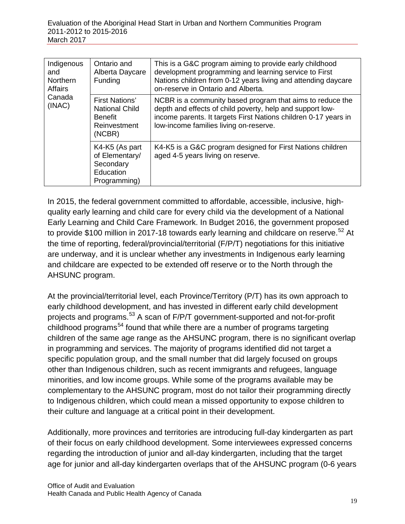| Indigenous<br>and<br><b>Northern</b><br><b>Affairs</b> | Ontario and<br>Alberta Daycare<br>Funding                                           | This is a G&C program aiming to provide early childhood<br>development programming and learning service to First<br>Nations children from 0-12 years living and attending daycare<br>on-reserve in Ontario and Alberta.             |
|--------------------------------------------------------|-------------------------------------------------------------------------------------|-------------------------------------------------------------------------------------------------------------------------------------------------------------------------------------------------------------------------------------|
| Canada<br>(INAC)                                       | First Nations'<br><b>National Child</b><br><b>Benefit</b><br>Reinvestment<br>(NCBR) | NCBR is a community based program that aims to reduce the<br>depth and effects of child poverty, help and support low-<br>income parents. It targets First Nations children 0-17 years in<br>low-income families living on-reserve. |
|                                                        | K4-K5 (As part<br>of Elementary/<br>Secondary<br>Education<br>Programming)          | K4-K5 is a G&C program designed for First Nations children<br>aged 4-5 years living on reserve.                                                                                                                                     |

In 2015, the federal government committed to affordable, accessible, inclusive, highquality early learning and child care for every child via the development of a National Early Learning and Child Care Framework. In Budget 2016, the government proposed to provide \$100 million in 2017-18 towards early learning and childcare on reserve.<sup>[52](#page-77-29)</sup> At the time of reporting, federal/provincial/territorial (F/P/T) negotiations for this initiative are underway, and it is unclear whether any investments in Indigenous early learning and childcare are expected to be extended off reserve or to the North through the AHSUNC program.

At the provincial/territorial level, each Province/Territory (P/T) has its own approach to early childhood development, and has invested in different early child development projects and programs.[53](#page-77-30) A scan of F/P/T government-supported and not-for-profit childhood programs<sup>[54](#page-77-31)</sup> found that while there are a number of programs targeting children of the same age range as the AHSUNC program, there is no significant overlap in programming and services. The majority of programs identified did not target a specific population group, and the small number that did largely focused on groups other than Indigenous children, such as recent immigrants and refugees, language minorities, and low income groups. While some of the programs available may be complementary to the AHSUNC program, most do not tailor their programming directly to Indigenous children, which could mean a missed opportunity to expose children to their culture and language at a critical point in their development.

Additionally, more provinces and territories are introducing full-day kindergarten as part of their focus on early childhood development. Some interviewees expressed concerns regarding the introduction of junior and all-day kindergarten, including that the target age for junior and all-day kindergarten overlaps that of the AHSUNC program (0-6 years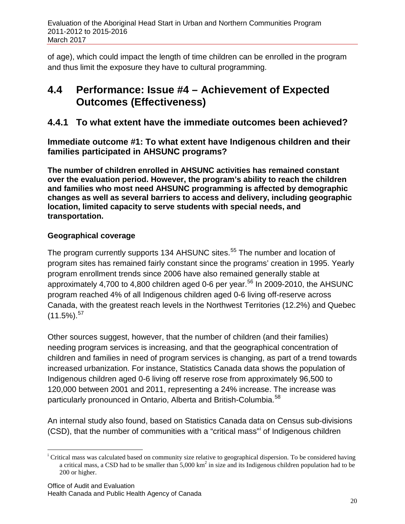of age), which could impact the length of time children can be enrolled in the program and thus limit the exposure they have to cultural programming.

## <span id="page-29-0"></span>**4.4 Performance: Issue #4 – Achievement of Expected Outcomes (Effectiveness)**

### **4.4.1 To what extent have the immediate outcomes been achieved?**

**Immediate outcome #1: To what extent have Indigenous children and their families participated in AHSUNC programs?**

**The number of children enrolled in AHSUNC activities has remained constant over the evaluation period. However, the program's ability to reach the children and families who most need AHSUNC programming is affected by demographic changes as well as several barriers to access and delivery, including geographic location, limited capacity to serve students with special needs, and transportation.**

#### **Geographical coverage**

The program currently supports 134 AHSUNC sites.<sup>[55](#page-77-32)</sup> The number and location of program sites has remained fairly constant since the programs' creation in 1995. Yearly program enrollment trends since 2006 have also remained generally stable at approximately 4,700 to 4,800 children aged 0-6 per year.<sup>[56](#page-77-33)</sup> In 2009-2010, the AHSUNC program reached 4% of all Indigenous children aged 0-6 living off-reserve across Canada, with the greatest reach levels in the Northwest Territories (12.2%) and Quebec  $(11.5\%)$ .  $57$ 

Other sources suggest, however, that the number of children (and their families) needing program services is increasing, and that the geographical concentration of children and families in need of program services is changing, as part of a trend towards increased urbanization. For instance, Statistics Canada data shows the population of Indigenous children aged 0-6 living off reserve rose from approximately 96,500 to 120,000 between 2001 and 2011, representing a 24% increase. The increase was particularly pronounced in Ontario, Alberta and British-Columbia.<sup>[58](#page-77-35)</sup>

An internal study also found, based on Statistics Canada data on Census sub-divisions (CSD), that the number of commun[i](#page-29-1)ties with a "critical mass" of Indigenous children

<span id="page-29-1"></span>i <sup>i</sup> Critical mass was calculated based on community size relative to geographical dispersion. To be considered having a critical mass, a CSD had to be smaller than  $5,000 \text{ km}^2$  in size and its Indigenous children population had to be 200 or higher.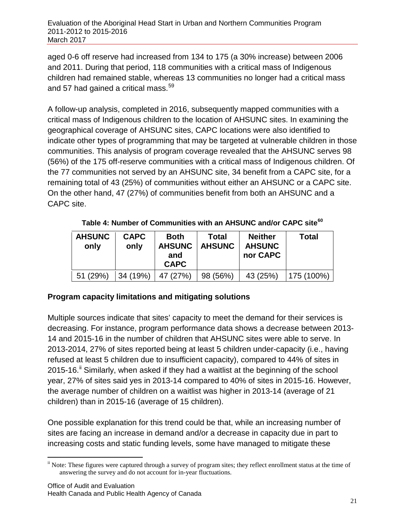Evaluation of the Aboriginal Head Start in Urban and Northern Communities Program 2011-2012 to 2015-2016 March 2017

aged 0-6 off reserve had increased from 134 to 175 (a 30% increase) between 2006 and 2011. During that period, 118 communities with a critical mass of Indigenous children had remained stable, whereas 13 communities no longer had a critical mass and 57 had gained a critical mass.<sup>[59](#page-77-5)</sup>

A follow-up analysis, completed in 2016, subsequently mapped communities with a critical mass of Indigenous children to the location of AHSUNC sites. In examining the geographical coverage of AHSUNC sites, CAPC locations were also identified to indicate other types of programming that may be targeted at vulnerable children in those communities. This analysis of program coverage revealed that the AHSUNC serves 98 (56%) of the 175 off-reserve communities with a critical mass of Indigenous children. Of the 77 communities not served by an AHSUNC site, 34 benefit from a CAPC site, for a remaining total of 43 (25%) of communities without either an AHSUNC or a CAPC site. On the other hand, 47 (27%) of communities benefit from both an AHSUNC and a CAPC site.

<span id="page-30-0"></span>

| <b>AHSUNC</b><br>only | <b>CAPC</b><br>only | <b>Both</b><br><b>AHSUNC</b><br>and<br><b>CAPC</b> | Total<br><b>AHSUNC</b> | <b>Neither</b><br><b>AHSUNC</b><br>nor CAPC | <b>Total</b>  |
|-----------------------|---------------------|----------------------------------------------------|------------------------|---------------------------------------------|---------------|
| 51 (29%)              | 34 (19%)  47 (27%)  |                                                    | 98(56%)                | 43 (25%)                                    | $ 175(100\%)$ |

**Table 4: Number of Communities with an AHSUNC and/or CAPC site[60](#page-77-36)**

#### **Program capacity limitations and mitigating solutions**

Multiple sources indicate that sites' capacity to meet the demand for their services is decreasing. For instance, program performance data shows a decrease between 2013- 14 and 2015-16 in the number of children that AHSUNC sites were able to serve. In 2013-2014, 27% of sites reported being at least 5 children under-capacity (i.e., having refused at least 5 children due to insufficient capacity), compared to 44% of sites in  $2015-16$ . Similarly, when asked if they had a waitlist at the beginning of the school year, 27% of sites said yes in 2013-14 compared to 40% of sites in 2015-16. However, the average number of children on a waitlist was higher in 2013-14 (average of 21 children) than in 2015-16 (average of 15 children).

One possible explanation for this trend could be that, while an increasing number of sites are facing an increase in demand and/or a decrease in capacity due in part to increasing costs and static funding levels, some have managed to mitigate these

<span id="page-30-1"></span><sup>&</sup>lt;sup>ii</sup> Note: These figures were captured through a survey of program sites; they reflect enrollment status at the time of answering the survey and do not account for in-year fluctuations.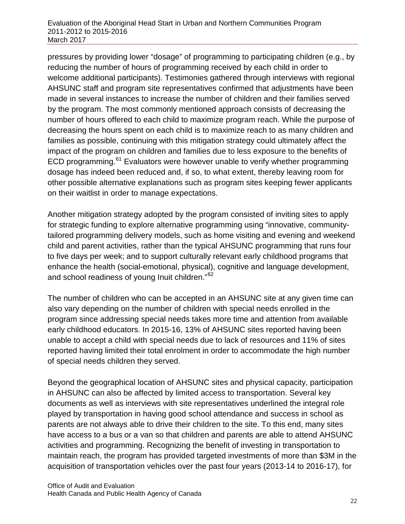pressures by providing lower "dosage" of programming to participating children (e.g., by reducing the number of hours of programming received by each child in order to welcome additional participants). Testimonies gathered through interviews with regional AHSUNC staff and program site representatives confirmed that adjustments have been made in several instances to increase the number of children and their families served by the program. The most commonly mentioned approach consists of decreasing the number of hours offered to each child to maximize program reach. While the purpose of decreasing the hours spent on each child is to maximize reach to as many children and families as possible, continuing with this mitigation strategy could ultimately affect the impact of the program on children and families due to less exposure to the benefits of ECD programming.<sup>[61](#page-77-37)</sup> Evaluators were however unable to verify whether programming dosage has indeed been reduced and, if so, to what extent, thereby leaving room for other possible alternative explanations such as program sites keeping fewer applicants on their waitlist in order to manage expectations.

Another mitigation strategy adopted by the program consisted of inviting sites to apply for strategic funding to explore alternative programming using "innovative, communitytailored programming delivery models, such as home visiting and evening and weekend child and parent activities, rather than the typical AHSUNC programming that runs four to five days per week; and to support culturally relevant early childhood programs that enhance the health (social-emotional, physical), cognitive and language development, and school readiness of young Inuit children."[62](#page-77-38)

The number of children who can be accepted in an AHSUNC site at any given time can also vary depending on the number of children with special needs enrolled in the program since addressing special needs takes more time and attention from available early childhood educators. In 2015-16, 13% of AHSUNC sites reported having been unable to accept a child with special needs due to lack of resources and 11% of sites reported having limited their total enrolment in order to accommodate the high number of special needs children they served.

Beyond the geographical location of AHSUNC sites and physical capacity, participation in AHSUNC can also be affected by limited access to transportation. Several key documents as well as interviews with site representatives underlined the integral role played by transportation in having good school attendance and success in school as parents are not always able to drive their children to the site. To this end, many sites have access to a bus or a van so that children and parents are able to attend AHSUNC activities and programming. Recognizing the benefit of investing in transportation to maintain reach, the program has provided targeted investments of more than \$3M in the acquisition of transportation vehicles over the past four years (2013-14 to 2016-17), for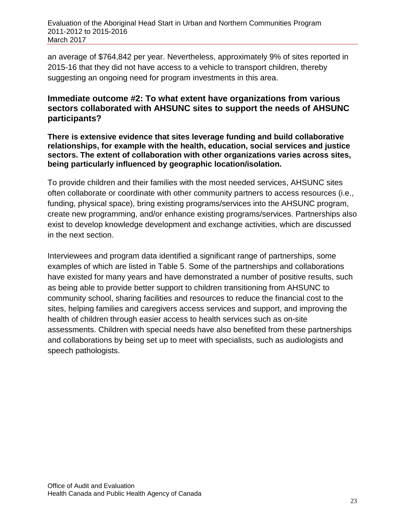Evaluation of the Aboriginal Head Start in Urban and Northern Communities Program 2011-2012 to 2015-2016 March 2017

an average of \$764,842 per year. Nevertheless, approximately 9% of sites reported in 2015-16 that they did not have access to a vehicle to transport children, thereby suggesting an ongoing need for program investments in this area.

#### **Immediate outcome #2: To what extent have organizations from various sectors collaborated with AHSUNC sites to support the needs of AHSUNC participants?**

**There is extensive evidence that sites leverage funding and build collaborative relationships, for example with the health, education, social services and justice sectors. The extent of collaboration with other organizations varies across sites, being particularly influenced by geographic location/isolation.**

To provide children and their families with the most needed services, AHSUNC sites often collaborate or coordinate with other community partners to access resources (i.e., funding, physical space), bring existing programs/services into the AHSUNC program, create new programming, and/or enhance existing programs/services. Partnerships also exist to develop knowledge development and exchange activities, which are discussed in the next section.

Interviewees and program data identified a significant range of partnerships, some examples of which are listed in Table 5. Some of the partnerships and collaborations have existed for many years and have demonstrated a number of positive results, such as being able to provide better support to children transitioning from AHSUNC to community school, sharing facilities and resources to reduce the financial cost to the sites, helping families and caregivers access services and support, and improving the health of children through easier access to health services such as on-site assessments. Children with special needs have also benefited from these partnerships and collaborations by being set up to meet with specialists, such as audiologists and speech pathologists.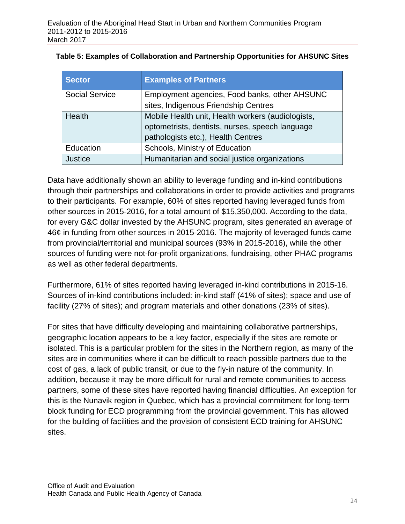| <b>Sector</b>                                                          | <b>Examples of Partners</b>                       |
|------------------------------------------------------------------------|---------------------------------------------------|
| <b>Social Service</b><br>Employment agencies, Food banks, other AHSUNC |                                                   |
|                                                                        | sites, Indigenous Friendship Centres              |
| <b>Health</b>                                                          | Mobile Health unit, Health workers (audiologists, |
|                                                                        | optometrists, dentists, nurses, speech language   |
|                                                                        | pathologists etc.), Health Centres                |
| Education                                                              | Schools, Ministry of Education                    |
| <b>Justice</b>                                                         | Humanitarian and social justice organizations     |

<span id="page-33-0"></span>**Table 5: Examples of Collaboration and Partnership Opportunities for AHSUNC Sites** 

Data have additionally shown an ability to leverage funding and in-kind contributions through their partnerships and collaborations in order to provide activities and programs to their participants. For example, 60% of sites reported having leveraged funds from other sources in 2015-2016, for a total amount of \$15,350,000. According to the data, for every G&C dollar invested by the AHSUNC program, sites generated an average of 46¢ in funding from other sources in 2015-2016. The majority of leveraged funds came from provincial/territorial and municipal sources (93% in 2015-2016), while the other sources of funding were not-for-profit organizations, fundraising, other PHAC programs as well as other federal departments.

Furthermore, 61% of sites reported having leveraged in-kind contributions in 2015-16. Sources of in-kind contributions included: in-kind staff (41% of sites); space and use of facility (27% of sites); and program materials and other donations (23% of sites).

For sites that have difficulty developing and maintaining collaborative partnerships, geographic location appears to be a key factor, especially if the sites are remote or isolated. This is a particular problem for the sites in the Northern region, as many of the sites are in communities where it can be difficult to reach possible partners due to the cost of gas, a lack of public transit, or due to the fly-in nature of the community. In addition, because it may be more difficult for rural and remote communities to access partners, some of these sites have reported having financial difficulties. An exception for this is the Nunavik region in Quebec, which has a provincial commitment for long-term block funding for ECD programming from the provincial government. This has allowed for the building of facilities and the provision of consistent ECD training for AHSUNC sites.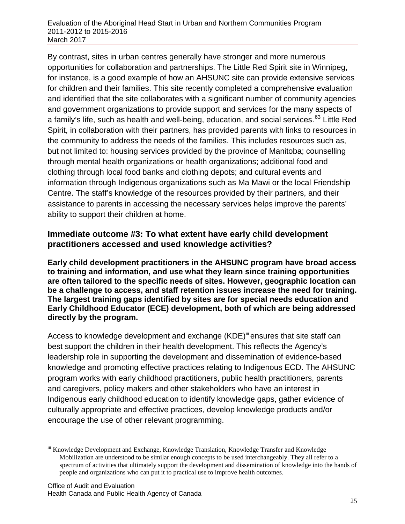By contrast, sites in urban centres generally have stronger and more numerous opportunities for collaboration and partnerships. The Little Red Spirit site in Winnipeg, for instance, is a good example of how an AHSUNC site can provide extensive services for children and their families. This site recently completed a comprehensive evaluation and identified that the site collaborates with a significant number of community agencies and government organizations to provide support and services for the many aspects of a family's life, such as health and well-being, education, and social services.<sup>[63](#page-77-39)</sup> Little Red Spirit, in collaboration with their partners, has provided parents with links to resources in the community to address the needs of the families. This includes resources such as, but not limited to: housing services provided by the province of Manitoba; counselling through mental health organizations or health organizations; additional food and clothing through local food banks and clothing depots; and cultural events and information through Indigenous organizations such as Ma Mawi or the local Friendship Centre. The staff's knowledge of the resources provided by their partners, and their assistance to parents in accessing the necessary services helps improve the parents' ability to support their children at home.

#### **Immediate outcome #3: To what extent have early child development practitioners accessed and used knowledge activities?**

**Early child development practitioners in the AHSUNC program have broad access to training and information, and use what they learn since training opportunities are often tailored to the specific needs of sites. However, geographic location can be a challenge to access, and staff retention issues increase the need for training. The largest training gaps identified by sites are for special needs education and Early Childhood Educator (ECE) development, both of which are being addressed directly by the program.** 

Access to knowledge development and exchange (KDE)<sup>[iii](#page-34-0)</sup> ensures that site staff can best support the children in their health development. This reflects the Agency's leadership role in supporting the development and dissemination of evidence‐based knowledge and promoting effective practices relating to Indigenous ECD. The AHSUNC program works with early childhood practitioners, public health practitioners, parents and caregivers, policy makers and other stakeholders who have an interest in Indigenous early childhood education to identify knowledge gaps, gather evidence of culturally appropriate and effective practices, develop knowledge products and/or encourage the use of other relevant programming.

<span id="page-34-0"></span>iii Knowledge Development and Exchange, Knowledge Translation, Knowledge Transfer and Knowledge Mobilization are understood to be similar enough concepts to be used interchangeably. They all refer to a spectrum of activities that ultimately support the development and dissemination of knowledge into the hands of people and organizations who can put it to practical use to improve health outcomes.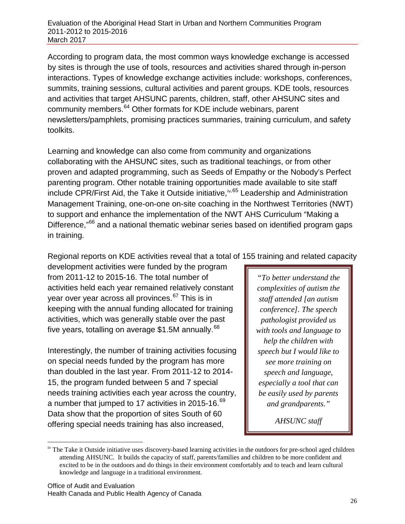According to program data, the most common ways knowledge exchange is accessed by sites is through the use of tools, resources and activities shared through in-person interactions. Types of knowledge exchange activities include: workshops, conferences, summits, training sessions, cultural activities and parent groups. KDE tools, resources and activities that target AHSUNC parents, children, staff, other AHSUNC sites and community members.[64](#page-77-40) Other formats for KDE include webinars, parent newsletters/pamphlets, promising practices summaries, training curriculum, and safety toolkits.

Learning and knowledge can also come from community and organizations collaborating with the AHSUNC sites, such as traditional teachings, or from other proven and adapted programming, such as Seeds of Empathy or the Nobody's Perfect parenting program. Other notable training opportunities made available to site staff include CPR/First Aid, the Take it Outside initiative, [iv,](#page-35-0) [65](#page-77-41) Leadership and Administration Management Training, one-on-one on-site coaching in the Northwest Territories (NWT) to support and enhance the implementation of the NWT AHS Curriculum "Making a Difference,<sup>"[66](#page-77-42)</sup> and a national thematic webinar series based on identified program gaps in training.

Regional reports on KDE activities reveal that a total of 155 training and related capacity

development activities were funded by the program from 2011-12 to 2015-16. The total number of activities held each year remained relatively constant year over year across all provinces.<sup>[67](#page-77-43)</sup> This is in keeping with the annual funding allocated for training activities, which was generally stable over the past five years, totalling on average  $$1.5M$  annually.<sup>[68](#page-77-44)</sup>

Interestingly, the number of training activities focusing on special needs funded by the program has more than doubled in the last year. From 2011-12 to 2014- 15, the program funded between 5 and 7 special needs training activities each year across the country, a number that jumped to 17 activities in 2015-16.<sup>[69](#page-77-45)</sup> Data show that the proportion of sites South of 60 offering special needs training has also increased,

*"To better understand the complexities of autism the staff attended [an autism conference]. The speech pathologist provided us with tools and language to help the children with speech but I would like to see more training on speech and language, especially a tool that can be easily used by parents and grandparents."*

*AHSUNC staff*

<span id="page-35-0"></span><sup>&</sup>lt;sup>iv</sup> The Take it Outside initiative uses discovery-based learning activities in the outdoors for pre-school aged children attending AHSUNC. It builds the capacity of staff, parents/families and children to be more confident and excited to be in the outdoors and do things in their environment comfortably and to teach and learn cultural knowledge and language in a traditional environment.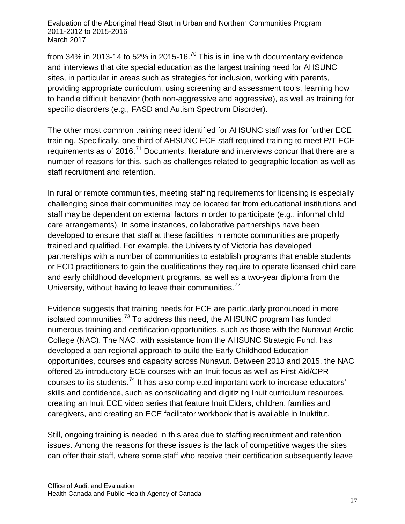from 34% in 2013-14 to 52% in 2015-16.<sup>[70](#page-77-0)</sup> This is in line with documentary evidence and interviews that cite special education as the largest training need for AHSUNC sites, in particular in areas such as strategies for inclusion, working with parents, providing appropriate curriculum, using screening and assessment tools, learning how to handle difficult behavior (both non-aggressive and aggressive), as well as training for specific disorders (e.g., FASD and Autism Spectrum Disorder).

The other most common training need identified for AHSUNC staff was for further ECE training. Specifically, one third of AHSUNC ECE staff required training to meet P/T ECE requirements as of 2016.<sup>[71](#page-77-1)</sup> Documents, literature and interviews concur that there are a number of reasons for this, such as challenges related to geographic location as well as staff recruitment and retention.

In rural or remote communities, meeting staffing requirements for licensing is especially challenging since their communities may be located far from educational institutions and staff may be dependent on external factors in order to participate (e.g., informal child care arrangements). In some instances, collaborative partnerships have been developed to ensure that staff at these facilities in remote communities are properly trained and qualified. For example, the University of Victoria has developed partnerships with a number of communities to establish programs that enable students or ECD practitioners to gain the qualifications they require to operate licensed child care and early childhood development programs, as well as a two-year diploma from the University, without having to leave their communities.<sup>[72](#page-77-2)</sup>

Evidence suggests that training needs for ECE are particularly pronounced in more isolated communities. $73$  To address this need, the AHSUNC program has funded numerous training and certification opportunities, such as those with the Nunavut Arctic College (NAC). The NAC, with assistance from the AHSUNC Strategic Fund, has developed a pan regional approach to build the Early Childhood Education opportunities, courses and capacity across Nunavut. Between 2013 and 2015, the NAC offered 25 introductory ECE courses with an Inuit focus as well as First Aid/CPR courses to its students.[74](#page-77-4) It has also completed important work to increase educators' skills and confidence, such as consolidating and digitizing Inuit curriculum resources, creating an Inuit ECE video series that feature Inuit Elders, children, families and caregivers, and creating an ECE facilitator workbook that is available in Inuktitut.

Still, ongoing training is needed in this area due to staffing recruitment and retention issues. Among the reasons for these issues is the lack of competitive wages the sites can offer their staff, where some staff who receive their certification subsequently leave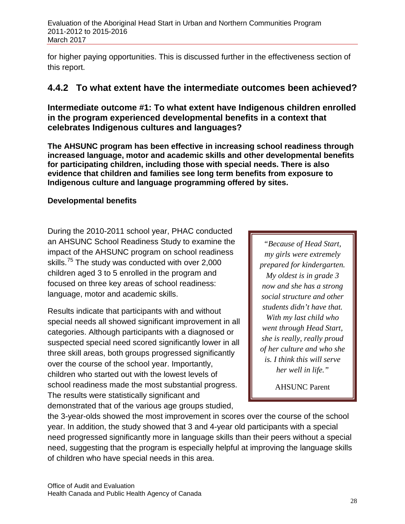for higher paying opportunities. This is discussed further in the effectiveness section of this report.

## **4.4.2 To what extent have the intermediate outcomes been achieved?**

**Intermediate outcome #1: To what extent have Indigenous children enrolled in the program experienced developmental benefits in a context that celebrates Indigenous cultures and languages?**

**The AHSUNC program has been effective in increasing school readiness through increased language, motor and academic skills and other developmental benefits for participating children, including those with special needs. There is also evidence that children and families see long term benefits from exposure to Indigenous culture and language programming offered by sites.** 

### **Developmental benefits**

During the 2010-2011 school year, PHAC conducted an AHSUNC School Readiness Study to examine the impact of the AHSUNC program on school readiness skills.<sup>[75](#page-77-5)</sup> The study was conducted with over 2,000 children aged 3 to 5 enrolled in the program and focused on three key areas of school readiness: language, motor and academic skills.

Results indicate that participants with and without special needs all showed significant improvement in all categories. Although participants with a diagnosed or suspected special need scored significantly lower in all three skill areas, both groups progressed significantly over the course of the school year. Importantly, children who started out with the lowest levels of school readiness made the most substantial progress. The results were statistically significant and demonstrated that of the various age groups studied,

*"Because of Head Start, my girls were extremely prepared for kindergarten. My oldest is in grade 3 now and she has a strong social structure and other students didn't have that. With my last child who went through Head Start, she is really, really proud of her culture and who she is. I think this will serve her well in life."*

AHSUNC Parent

the 3-year-olds showed the most improvement in scores over the course of the school year. In addition, the study showed that 3 and 4-year old participants with a special need progressed significantly more in language skills than their peers without a special need, suggesting that the program is especially helpful at improving the language skills of children who have special needs in this area.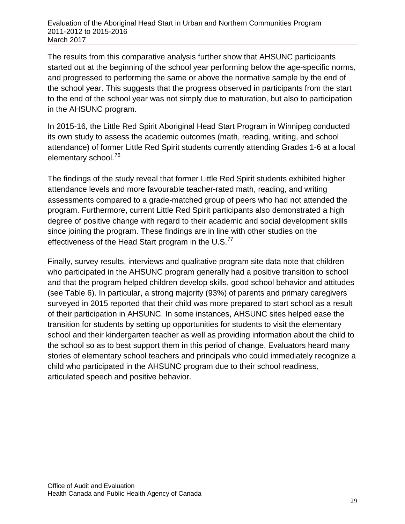The results from this comparative analysis further show that AHSUNC participants started out at the beginning of the school year performing below the age-specific norms, and progressed to performing the same or above the normative sample by the end of the school year. This suggests that the progress observed in participants from the start to the end of the school year was not simply due to maturation, but also to participation in the AHSUNC program.

In 2015-16, the Little Red Spirit Aboriginal Head Start Program in Winnipeg conducted its own study to assess the academic outcomes (math, reading, writing, and school attendance) of former Little Red Spirit students currently attending Grades 1-6 at a local elementary school.[76](#page-77-6)

The findings of the study reveal that former Little Red Spirit students exhibited higher attendance levels and more favourable teacher-rated math, reading, and writing assessments compared to a grade-matched group of peers who had not attended the program. Furthermore, current Little Red Spirit participants also demonstrated a high degree of positive change with regard to their academic and social development skills since joining the program. These findings are in line with other studies on the effectiveness of the Head Start program in the U.S. $^{77}$  $^{77}$  $^{77}$ 

Finally, survey results, interviews and qualitative program site data note that children who participated in the AHSUNC program generally had a positive transition to school and that the program helped children develop skills, good school behavior and attitudes (see Table 6). In particular, a strong majority (93%) of parents and primary caregivers surveyed in 2015 reported that their child was more prepared to start school as a result of their participation in AHSUNC. In some instances, AHSUNC sites helped ease the transition for students by setting up opportunities for students to visit the elementary school and their kindergarten teacher as well as providing information about the child to the school so as to best support them in this period of change. Evaluators heard many stories of elementary school teachers and principals who could immediately recognize a child who participated in the AHSUNC program due to their school readiness, articulated speech and positive behavior.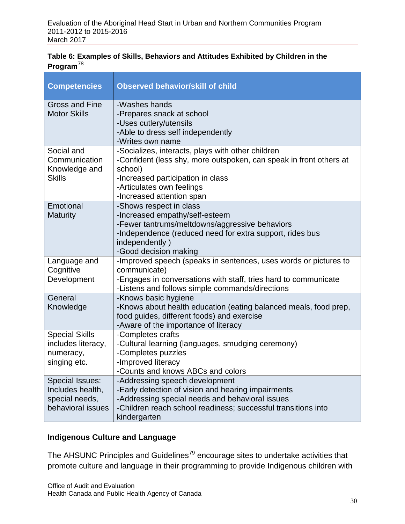### **Table 6: Examples of Skills, Behaviors and Attitudes Exhibited by Children in the Program**[78](#page-77-8)

| <b>Competencies</b>                                                        | <b>Observed behavior/skill of child</b>                                                                                                                                                                                           |
|----------------------------------------------------------------------------|-----------------------------------------------------------------------------------------------------------------------------------------------------------------------------------------------------------------------------------|
| Gross and Fine<br><b>Motor Skills</b>                                      | -Washes hands<br>-Prepares snack at school<br>-Uses cutlery/utensils<br>-Able to dress self independently<br>-Writes own name                                                                                                     |
| Social and<br>Communication<br>Knowledge and<br><b>Skills</b>              | -Socializes, interacts, plays with other children<br>-Confident (less shy, more outspoken, can speak in front others at<br>school)<br>-Increased participation in class<br>-Articulates own feelings<br>-Increased attention span |
| Emotional<br><b>Maturity</b>                                               | -Shows respect in class<br>-Increased empathy/self-esteem<br>-Fewer tantrums/meltdowns/aggressive behaviors<br>-Independence (reduced need for extra support, rides bus<br>independently)<br>-Good decision making                |
| Language and<br>Cognitive<br>Development                                   | -Improved speech (speaks in sentences, uses words or pictures to<br>communicate)<br>-Engages in conversations with staff, tries hard to communicate<br>-Listens and follows simple commands/directions                            |
| General<br>Knowledge                                                       | -Knows basic hygiene<br>-Knows about health education (eating balanced meals, food prep,<br>food guides, different foods) and exercise<br>-Aware of the importance of literacy                                                    |
| <b>Special Skills</b><br>includes literacy,<br>numeracy,<br>singing etc.   | -Completes crafts<br>-Cultural learning (languages, smudging ceremony)<br>-Completes puzzles<br>-Improved literacy<br>Counts and knows ABCs and colors                                                                            |
| Special Issues:<br>Includes health,<br>special needs,<br>behavioral issues | -Addressing speech development<br>-Early detection of vision and hearing impairments<br>-Addressing special needs and behavioral issues<br>-Children reach school readiness; successful transitions into<br>kindergarten          |

### **Indigenous Culture and Language**

The AHSUNC Principles and Guidelines<sup>[79](#page-77-9)</sup> encourage sites to undertake activities that promote culture and language in their programming to provide Indigenous children with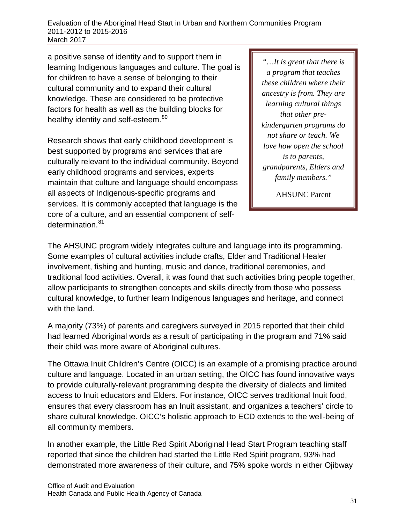a positive sense of identity and to support them in learning Indigenous languages and culture. The goal is for children to have a sense of belonging to their cultural community and to expand their cultural knowledge. These are considered to be protective factors for health as well as the building blocks for healthy identity and self-esteem.<sup>[80](#page-77-10)</sup>

Research shows that early childhood development is best supported by programs and services that are culturally relevant to the individual community. Beyond early childhood programs and services, experts maintain that culture and language should encompass all aspects of Indigenous-specific programs and services. It is commonly accepted that language is the core of a culture, and an essential component of self-determination.<sup>[81](#page-77-11)</sup>

*"…It is great that there is a program that teaches these children where their ancestry is from. They are learning cultural things that other prekindergarten programs do not share or teach. We love how open the school is to parents, grandparents, Elders and family members."*

AHSUNC Parent

The AHSUNC program widely integrates culture and language into its programming. Some examples of cultural activities include crafts, Elder and Traditional Healer involvement, fishing and hunting, music and dance, traditional ceremonies, and traditional food activities. Overall, it was found that such activities bring people together, allow participants to strengthen concepts and skills directly from those who possess cultural knowledge, to further learn Indigenous languages and heritage, and connect with the land.

A majority (73%) of parents and caregivers surveyed in 2015 reported that their child had learned Aboriginal words as a result of participating in the program and 71% said their child was more aware of Aboriginal cultures.

The Ottawa Inuit Children's Centre (OICC) is an example of a promising practice around culture and language. Located in an urban setting, the OICC has found innovative ways to provide culturally-relevant programming despite the diversity of dialects and limited access to Inuit educators and Elders. For instance, OICC serves traditional Inuit food, ensures that every classroom has an Inuit assistant, and organizes a teachers' circle to share cultural knowledge. OICC's holistic approach to ECD extends to the well-being of all community members.

In another example, the Little Red Spirit Aboriginal Head Start Program teaching staff reported that since the children had started the Little Red Spirit program, 93% had demonstrated more awareness of their culture, and 75% spoke words in either Ojibway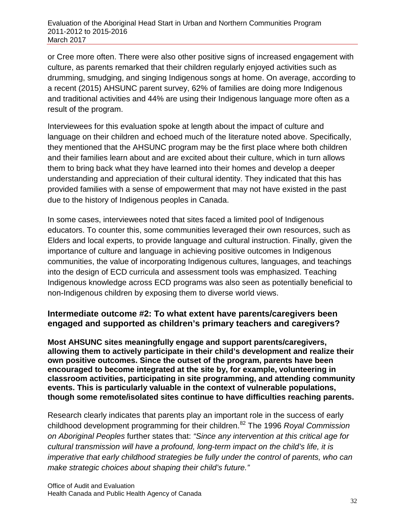or Cree more often. There were also other positive signs of increased engagement with culture, as parents remarked that their children regularly enjoyed activities such as drumming, smudging, and singing Indigenous songs at home. On average, according to a recent (2015) AHSUNC parent survey, 62% of families are doing more Indigenous and traditional activities and 44% are using their Indigenous language more often as a result of the program.

Interviewees for this evaluation spoke at length about the impact of culture and language on their children and echoed much of the literature noted above. Specifically, they mentioned that the AHSUNC program may be the first place where both children and their families learn about and are excited about their culture, which in turn allows them to bring back what they have learned into their homes and develop a deeper understanding and appreciation of their cultural identity. They indicated that this has provided families with a sense of empowerment that may not have existed in the past due to the history of Indigenous peoples in Canada.

In some cases, interviewees noted that sites faced a limited pool of Indigenous educators. To counter this, some communities leveraged their own resources, such as Elders and local experts, to provide language and cultural instruction. Finally, given the importance of culture and language in achieving positive outcomes in Indigenous communities, the value of incorporating Indigenous cultures, languages, and teachings into the design of ECD curricula and assessment tools was emphasized. Teaching Indigenous knowledge across ECD programs was also seen as potentially beneficial to non-Indigenous children by exposing them to diverse world views.

### **Intermediate outcome #2: To what extent have parents/caregivers been engaged and supported as children's primary teachers and caregivers?**

**Most AHSUNC sites meaningfully engage and support parents/caregivers, allowing them to actively participate in their child's development and realize their own positive outcomes. Since the outset of the program, parents have been encouraged to become integrated at the site by, for example, volunteering in classroom activities, participating in site programming, and attending community events. This is particularly valuable in the context of vulnerable populations, though some remote/isolated sites continue to have difficulties reaching parents.**

Research clearly indicates that parents play an important role in the success of early childhood development programming for their children.[82](#page-77-12) The 1996 *Royal Commission on Aboriginal Peoples* further states that: *"Since any intervention at this critical age for cultural transmission will have a profound, long-term impact on the child's life, it is imperative that early childhood strategies be fully under the control of parents, who can make strategic choices about shaping their child's future."*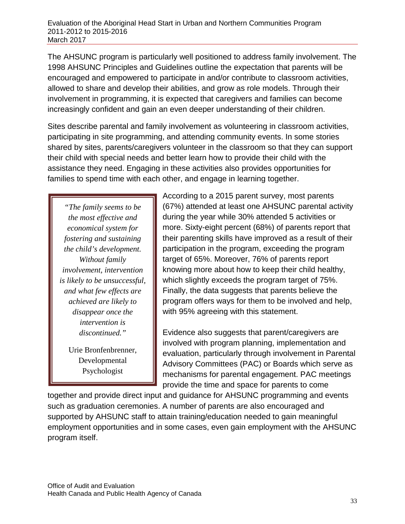The AHSUNC program is particularly well positioned to address family involvement. The 1998 AHSUNC Principles and Guidelines outline the expectation that parents will be encouraged and empowered to participate in and/or contribute to classroom activities, allowed to share and develop their abilities, and grow as role models. Through their involvement in programming, it is expected that caregivers and families can become increasingly confident and gain an even deeper understanding of their children.

Sites describe parental and family involvement as volunteering in classroom activities, participating in site programming, and attending community events. In some stories shared by sites, parents/caregivers volunteer in the classroom so that they can support their child with special needs and better learn how to provide their child with the assistance they need. Engaging in these activities also provides opportunities for families to spend time with each other, and engage in learning together.

*"The family seems to be the most effective and economical system for fostering and sustaining the child's development. Without family involvement, intervention is likely to be unsuccessful, and what few effects are achieved are likely to disappear once the intervention is discontinued."*

Urie Bronfenbrenner, Developmental Psychologist

According to a 2015 parent survey, most parents (67%) attended at least one AHSUNC parental activity during the year while 30% attended 5 activities or more. Sixty-eight percent (68%) of parents report that their parenting skills have improved as a result of their participation in the program, exceeding the program target of 65%. Moreover, 76% of parents report knowing more about how to keep their child healthy, which slightly exceeds the program target of 75%. Finally, the data suggests that parents believe the program offers ways for them to be involved and help, with 95% agreeing with this statement.

Evidence also suggests that parent/caregivers are involved with program planning, implementation and evaluation, particularly through involvement in Parental Advisory Committees (PAC) or Boards which serve as mechanisms for parental engagement. PAC meetings provide the time and space for parents to come

together and provide direct input and guidance for AHSUNC programming and events such as graduation ceremonies. A number of parents are also encouraged and supported by AHSUNC staff to attain training/education needed to gain meaningful employment opportunities and in some cases, even gain employment with the AHSUNC program itself.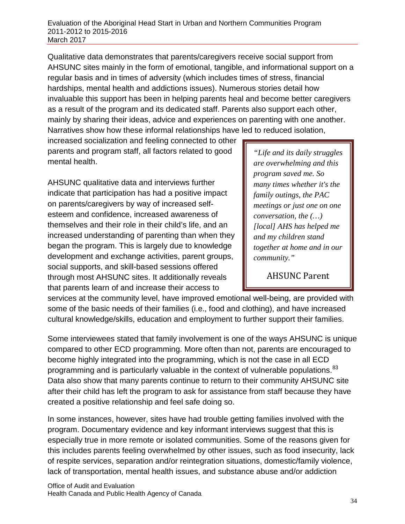Qualitative data demonstrates that parents/caregivers receive social support from AHSUNC sites mainly in the form of emotional, tangible, and informational support on a regular basis and in times of adversity (which includes times of stress, financial hardships, mental health and addictions issues). Numerous stories detail how invaluable this support has been in helping parents heal and become better caregivers as a result of the program and its dedicated staff. Parents also support each other, mainly by sharing their ideas, advice and experiences on parenting with one another. Narratives show how these informal relationships have led to reduced isolation,

increased socialization and feeling connected to other parents and program staff, all factors related to good mental health.

AHSUNC qualitative data and interviews further indicate that participation has had a positive impact on parents/caregivers by way of increased selfesteem and confidence, increased awareness of themselves and their role in their child's life, and an increased understanding of parenting than when they began the program. This is largely due to knowledge development and exchange activities, parent groups, social supports, and skill-based sessions offered through most AHSUNC sites. It additionally reveals that parents learn of and increase their access to

*"Life and its daily struggles are overwhelming and this program saved me. So many times whether it's the family outings, the PAC meetings or just one on one conversation, the (…) [local] AHS has helped me and my children stand together at home and in our community."* 

AHSUNC Parent

services at the community level, have improved emotional well-being, are provided with some of the basic needs of their families (i.e., food and clothing), and have increased cultural knowledge/skills, education and employment to further support their families.

Some interviewees stated that family involvement is one of the ways AHSUNC is unique compared to other ECD programming. More often than not, parents are encouraged to become highly integrated into the programming, which is not the case in all ECD programming and is particularly valuable in the context of vulnerable populations.<sup>[83](#page-77-13)</sup> Data also show that many parents continue to return to their community AHSUNC site after their child has left the program to ask for assistance from staff because they have created a positive relationship and feel safe doing so.

In some instances, however, sites have had trouble getting families involved with the program. Documentary evidence and key informant interviews suggest that this is especially true in more remote or isolated communities. Some of the reasons given for this includes parents feeling overwhelmed by other issues, such as food insecurity, lack of respite services, separation and/or reintegration situations, domestic/family violence, lack of transportation, mental health issues, and substance abuse and/or addiction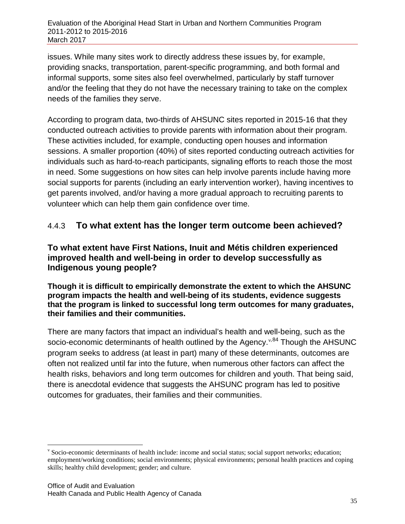issues. While many sites work to directly address these issues by, for example, providing snacks, transportation, parent-specific programming, and both formal and informal supports, some sites also feel overwhelmed, particularly by staff turnover and/or the feeling that they do not have the necessary training to take on the complex needs of the families they serve.

According to program data, two-thirds of AHSUNC sites reported in 2015-16 that they conducted outreach activities to provide parents with information about their program. These activities included, for example, conducting open houses and information sessions. A smaller proportion (40%) of sites reported conducting outreach activities for individuals such as hard-to-reach participants, signaling efforts to reach those the most in need. Some suggestions on how sites can help involve parents include having more social supports for parents (including an early intervention worker), having incentives to get parents involved, and/or having a more gradual approach to recruiting parents to volunteer which can help them gain confidence over time.

## 4.4.3 **To what extent has the longer term outcome been achieved?**

### **To what extent have First Nations, Inuit and Métis children experienced improved health and well-being in order to develop successfully as Indigenous young people?**

### **Though it is difficult to empirically demonstrate the extent to which the AHSUNC program impacts the health and well-being of its students, evidence suggests that the program is linked to successful long term outcomes for many graduates, their families and their communities.**

There are many factors that impact an individual's health and well-being, such as the socio-economic determinants of health outlined by the Agency.<sup>[v](#page-44-0),[84](#page-77-14)</sup> Though the AHSUNC program seeks to address (at least in part) many of these determinants, outcomes are often not realized until far into the future, when numerous other factors can affect the health risks, behaviors and long term outcomes for children and youth. That being said, there is anecdotal evidence that suggests the AHSUNC program has led to positive outcomes for graduates, their families and their communities.

<span id="page-44-0"></span>v Socio-economic determinants of health include: income and social status; social support networks; education; employment/working conditions; social environments; physical environments; personal health practices and coping skills; healthy child development; gender; and culture.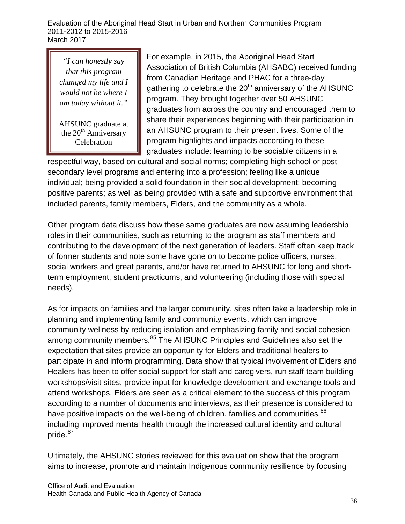*"I can honestly say that this program changed my life and I would not be where I am today without it."* 

AHSUNC graduate at the  $20<sup>th</sup>$  Anniversary Celebration

For example, in 2015, the Aboriginal Head Start Association of British Columbia (AHSABC) received funding from Canadian Heritage and PHAC for a three-day gathering to celebrate the  $20<sup>th</sup>$  anniversary of the AHSUNC program. They brought together over 50 AHSUNC graduates from across the country and encouraged them to share their experiences beginning with their participation in an AHSUNC program to their present lives. Some of the program highlights and impacts according to these graduates include: learning to be sociable citizens in a

respectful way, based on cultural and social norms; completing high school or postsecondary level programs and entering into a profession; feeling like a unique individual; being provided a solid foundation in their social development; becoming positive parents; as well as being provided with a safe and supportive environment that included parents, family members, Elders, and the community as a whole.

Other program data discuss how these same graduates are now assuming leadership roles in their communities, such as returning to the program as staff members and contributing to the development of the next generation of leaders. Staff often keep track of former students and note some have gone on to become police officers, nurses, social workers and great parents, and/or have returned to AHSUNC for long and shortterm employment, student practicums, and volunteering (including those with special needs).

As for impacts on families and the larger community, sites often take a leadership role in planning and implementing family and community events, which can improve community wellness by reducing isolation and emphasizing family and social cohesion among community members.<sup>[85](#page-77-15)</sup> The AHSUNC Principles and Guidelines also set the expectation that sites provide an opportunity for Elders and traditional healers to participate in and inform programming. Data show that typical involvement of Elders and Healers has been to offer social support for staff and caregivers, run staff team building workshops/visit sites, provide input for knowledge development and exchange tools and attend workshops. Elders are seen as a critical element to the success of this program according to a number of documents and interviews, as their presence is considered to have positive impacts on the well-being of children, families and communities, <sup>[86](#page-77-16)</sup> including improved mental health through the increased cultural identity and cultural pride.<sup>[87](#page-77-17)</sup>

Ultimately, the AHSUNC stories reviewed for this evaluation show that the program aims to increase, promote and maintain Indigenous community resilience by focusing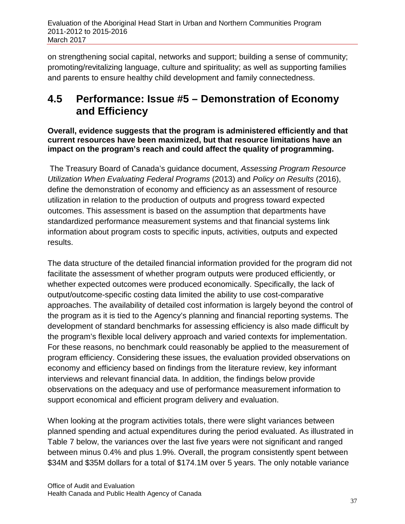on strengthening social capital, networks and support; building a sense of community; promoting/revitalizing language, culture and spirituality; as well as supporting families and parents to ensure healthy child development and family connectedness.

## **4.5 Performance: Issue #5 – Demonstration of Economy and Efficiency**

**Overall, evidence suggests that the program is administered efficiently and that current resources have been maximized, but that resource limitations have an impact on the program's reach and could affect the quality of programming.** 

The Treasury Board of Canada's guidance document, *Assessing Program Resource Utilization When Evaluating Federal Programs* (2013) and *Policy on Results* (2016), define the demonstration of economy and efficiency as an assessment of resource utilization in relation to the production of outputs and progress toward expected outcomes. This assessment is based on the assumption that departments have standardized performance measurement systems and that financial systems link information about program costs to specific inputs, activities, outputs and expected results.

The data structure of the detailed financial information provided for the program did not facilitate the assessment of whether program outputs were produced efficiently, or whether expected outcomes were produced economically. Specifically, the lack of output/outcome-specific costing data limited the ability to use cost-comparative approaches. The availability of detailed cost information is largely beyond the control of the program as it is tied to the Agency's planning and financial reporting systems. The development of standard benchmarks for assessing efficiency is also made difficult by the program's flexible local delivery approach and varied contexts for implementation. For these reasons, no benchmark could reasonably be applied to the measurement of program efficiency. Considering these issues, the evaluation provided observations on economy and efficiency based on findings from the literature review, key informant interviews and relevant financial data. In addition, the findings below provide observations on the adequacy and use of performance measurement information to support economical and efficient program delivery and evaluation.

When looking at the program activities totals, there were slight variances between planned spending and actual expenditures during the period evaluated. As illustrated in Table 7 below, the variances over the last five years were not significant and ranged between minus 0.4% and plus 1.9%. Overall, the program consistently spent between \$34M and \$35M dollars for a total of \$174.1M over 5 years. The only notable variance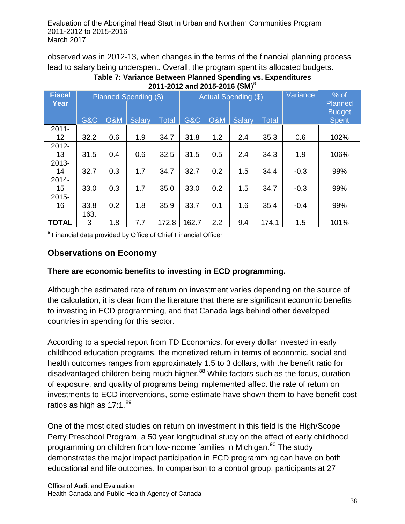observed was in 2012-13, when changes in the terms of the financial planning process lead to salary being underspent. Overall, the program spent its allocated budgets.

| Table 7: Variance Between Planned Spending vs. Expenditures |  |
|-------------------------------------------------------------|--|
| 2011-2012 and 2015-2016 (\$M) <sup>a</sup>                  |  |

| <b>Fiscal</b>  |                | Planned Spending (\$) |               |       | Actual Spending (\$) |                |               |              | Variance | $%$ of                                   |
|----------------|----------------|-----------------------|---------------|-------|----------------------|----------------|---------------|--------------|----------|------------------------------------------|
| Year           | <b>G&amp;C</b> | <b>O&amp;M</b>        | <b>Salary</b> | Total | G&C                  | <b>O&amp;M</b> | <b>Salary</b> | <b>Total</b> |          | Planned<br><b>Budget</b><br><b>Spent</b> |
| $2011 -$<br>12 | 32.2           | 0.6                   | 1.9           | 34.7  | 31.8                 | 1.2            | 2.4           | 35.3         | 0.6      | 102%                                     |
| 2012-<br>13    | 31.5           | 0.4                   | 0.6           | 32.5  | 31.5                 | 0.5            | 2.4           | 34.3         | 1.9      | 106%                                     |
| 2013-<br>14    | 32.7           | 0.3                   | 1.7           | 34.7  | 32.7                 | 0.2            | 1.5           | 34.4         | $-0.3$   | 99%                                      |
| $2014 -$<br>15 | 33.0           | 0.3                   | 1.7           | 35.0  | 33.0                 | 0.2            | 1.5           | 34.7         | $-0.3$   | 99%                                      |
| $2015 -$<br>16 | 33.8           | 0.2                   | 1.8           | 35.9  | 33.7                 | 0.1            | 1.6           | 35.4         | $-0.4$   | 99%                                      |
| <b>TOTAL</b>   | 163.<br>3      | 1.8                   | 7.7           | 172.8 | 162.7                | 2.2            | 9.4           | 174.1        | 1.5      | 101%                                     |

<sup>a</sup> Financial data provided by Office of Chief Financial Officer

## **Observations on Economy**

### **There are economic benefits to investing in ECD programming.**

Although the estimated rate of return on investment varies depending on the source of the calculation, it is clear from the literature that there are significant economic benefits to investing in ECD programming, and that Canada lags behind other developed countries in spending for this sector.

According to a special report from TD Economics, for every dollar invested in early childhood education programs, the monetized return in terms of economic, social and health outcomes ranges from approximately 1.5 to 3 dollars, with the benefit ratio for disadvantaged children being much higher.<sup>[88](#page-77-18)</sup> While factors such as the focus, duration of exposure, and quality of programs being implemented affect the rate of return on investments to ECD interventions, some estimate have shown them to have benefit-cost ratios as high as  $17:1.^{89}$  $17:1.^{89}$  $17:1.^{89}$ 

One of the most cited studies on return on investment in this field is the High/Scope Perry Preschool Program, a 50 year longitudinal study on the effect of early childhood programming on children from low-income families in Michigan.<sup>[90](#page-77-20)</sup> The study demonstrates the major impact participation in ECD programming can have on both educational and life outcomes. In comparison to a control group, participants at 27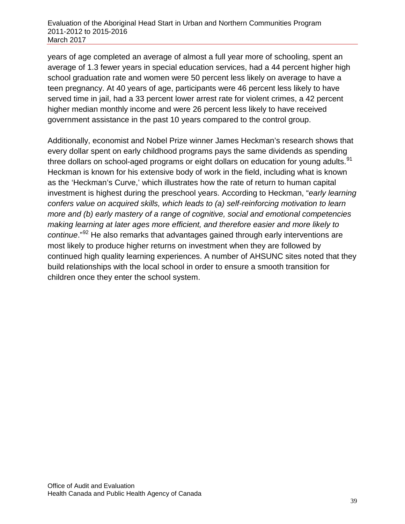years of age completed an average of almost a full year more of schooling, spent an average of 1.3 fewer years in special education services, had a 44 percent higher high school graduation rate and women were 50 percent less likely on average to have a teen pregnancy. At 40 years of age, participants were 46 percent less likely to have served time in jail, had a 33 percent lower arrest rate for violent crimes, a 42 percent higher median monthly income and were 26 percent less likely to have received government assistance in the past 10 years compared to the control group.

Additionally, economist and Nobel Prize winner James Heckman's research shows that every dollar spent on early childhood programs pays the same dividends as spending three dollars on school-aged programs or eight dollars on education for young adults.<sup>[91](#page-77-21)</sup> Heckman is known for his extensive body of work in the field, including what is known as the 'Heckman's Curve,' which illustrates how the rate of return to human capital investment is highest during the preschool years. According to Heckman, "*early learning confers value on acquired skills, which leads to (a) self-reinforcing motivation to learn more and (b) early mastery of a range of cognitive, social and emotional competencies making learning at later ages more efficient, and therefore easier and more likely to continue*."[92](#page-77-22) He also remarks that advantages gained through early interventions are most likely to produce higher returns on investment when they are followed by continued high quality learning experiences. A number of AHSUNC sites noted that they build relationships with the local school in order to ensure a smooth transition for children once they enter the school system.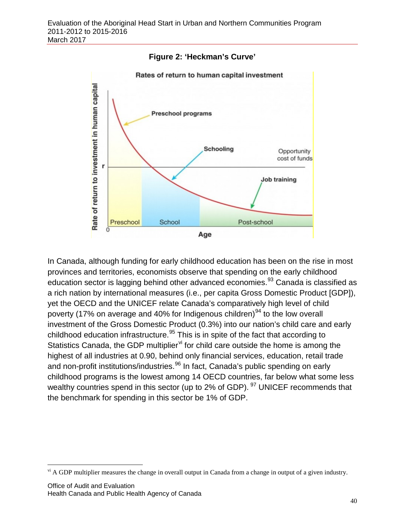



In Canada, although funding for early childhood education has been on the rise in most provinces and territories, economists observe that spending on the early childhood education sector is lagging behind other advanced economies.<sup>[93](#page-77-8)</sup> Canada is classified as a rich nation by international measures (i.e., per capita Gross Domestic Product [GDP]), yet the OECD and the UNICEF relate Canada's comparatively high level of child poverty (17% on average and 40% for Indigenous children) $94$  to the low overall investment of the Gross Domestic Product (0.3%) into our nation's child care and early childhood education infrastructure.<sup>[95](#page-77-24)</sup> This is in spite of the fact that according to Statistics Canada, the GDP multiplier $\theta$  for child care outside the home is among the highest of all industries at 0.90, behind only financial services, education, retail trade and non-profit institutions/industries.<sup>[96](#page-77-25)</sup> In fact, Canada's public spending on early childhood programs is the lowest among 14 OECD countries, far below what some less wealthy countries spend in this sector (up to 2% of GDP). <sup>[97](#page-77-26)</sup> UNICEF recommends that the benchmark for spending in this sector be 1% of GDP.

<span id="page-49-0"></span><sup>&</sup>lt;sup>vi</sup> A GDP multiplier measures the change in overall output in Canada from a change in output of a given industry.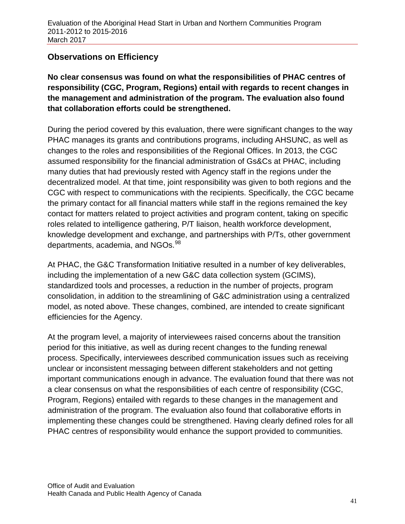### **Observations on Efficiency**

**No clear consensus was found on what the responsibilities of PHAC centres of responsibility (CGC, Program, Regions) entail with regards to recent changes in the management and administration of the program. The evaluation also found that collaboration efforts could be strengthened.**

During the period covered by this evaluation, there were significant changes to the way PHAC manages its grants and contributions programs, including AHSUNC, as well as changes to the roles and responsibilities of the Regional Offices. In 2013, the CGC assumed responsibility for the financial administration of Gs&Cs at PHAC, including many duties that had previously rested with Agency staff in the regions under the decentralized model. At that time, joint responsibility was given to both regions and the CGC with respect to communications with the recipients. Specifically, the CGC became the primary contact for all financial matters while staff in the regions remained the key contact for matters related to project activities and program content, taking on specific roles related to intelligence gathering, P/T liaison, health workforce development, knowledge development and exchange, and partnerships with P/Ts, other government departments, academia, and NGOs.<sup>[98](#page-77-27)</sup>

At PHAC, the G&C Transformation Initiative resulted in a number of key deliverables, including the implementation of a new G&C data collection system (GCIMS), standardized tools and processes, a reduction in the number of projects, program consolidation, in addition to the streamlining of G&C administration using a centralized model, as noted above. These changes, combined, are intended to create significant efficiencies for the Agency.

At the program level, a majority of interviewees raised concerns about the transition period for this initiative, as well as during recent changes to the funding renewal process. Specifically, interviewees described communication issues such as receiving unclear or inconsistent messaging between different stakeholders and not getting important communications enough in advance. The evaluation found that there was not a clear consensus on what the responsibilities of each centre of responsibility (CGC, Program, Regions) entailed with regards to these changes in the management and administration of the program. The evaluation also found that collaborative efforts in implementing these changes could be strengthened. Having clearly defined roles for all PHAC centres of responsibility would enhance the support provided to communities.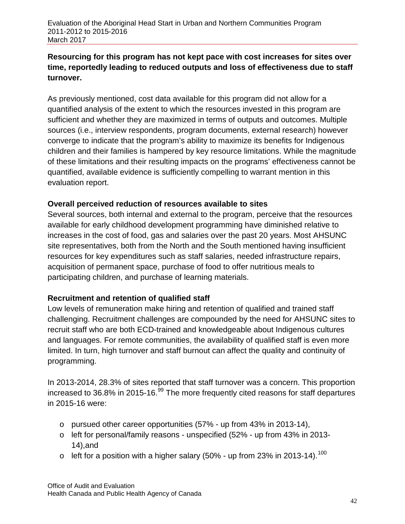### **Resourcing for this program has not kept pace with cost increases for sites over time, reportedly leading to reduced outputs and loss of effectiveness due to staff turnover.**

As previously mentioned, cost data available for this program did not allow for a quantified analysis of the extent to which the resources invested in this program are sufficient and whether they are maximized in terms of outputs and outcomes. Multiple sources (i.e., interview respondents, program documents, external research) however converge to indicate that the program's ability to maximize its benefits for Indigenous children and their families is hampered by key resource limitations. While the magnitude of these limitations and their resulting impacts on the programs' effectiveness cannot be quantified, available evidence is sufficiently compelling to warrant mention in this evaluation report.

### **Overall perceived reduction of resources available to sites**

Several sources, both internal and external to the program, perceive that the resources available for early childhood development programming have diminished relative to increases in the cost of food, gas and salaries over the past 20 years. Most AHSUNC site representatives, both from the North and the South mentioned having insufficient resources for key expenditures such as staff salaries, needed infrastructure repairs, acquisition of permanent space, purchase of food to offer nutritious meals to participating children, and purchase of learning materials.

### **Recruitment and retention of qualified staff**

Low levels of remuneration make hiring and retention of qualified and trained staff challenging. Recruitment challenges are compounded by the need for AHSUNC sites to recruit staff who are both ECD-trained and knowledgeable about Indigenous cultures and languages. For remote communities, the availability of qualified staff is even more limited. In turn, high turnover and staff burnout can affect the quality and continuity of programming.

In 2013-2014, 28.3% of sites reported that staff turnover was a concern. This proportion increased to  $36.8\%$  in 2015-16. $99$  The more frequently cited reasons for staff departures in 2015-16 were:

- $\circ$  pursued other career opportunities (57% up from 43% in 2013-14),
- o left for personal/family reasons unspecified (52% up from 43% in 2013- 14),and
- $\circ$  left for a position with a higher salary (50% up from 23% in 2013-14).<sup>[100](#page-77-29)</sup>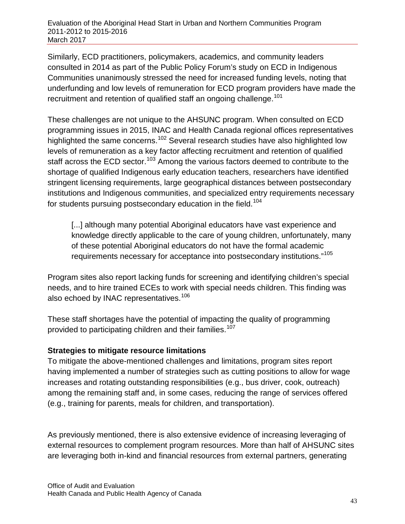Similarly, ECD practitioners, policymakers, academics, and community leaders consulted in 2014 as part of the Public Policy Forum's study on ECD in Indigenous Communities unanimously stressed the need for increased funding levels, noting that underfunding and low levels of remuneration for ECD program providers have made the recruitment and retention of qualified staff an ongoing challenge.<sup>[101](#page-77-30)</sup>

These challenges are not unique to the AHSUNC program. When consulted on ECD programming issues in 2015, INAC and Health Canada regional offices representatives highlighted the same concerns.<sup>[102](#page-77-31)</sup> Several research studies have also highlighted low levels of remuneration as a key factor affecting recruitment and retention of qualified staff across the ECD sector.<sup>[103](#page-77-32)</sup> Among the various factors deemed to contribute to the shortage of qualified Indigenous early education teachers, researchers have identified stringent licensing requirements, large geographical distances between postsecondary institutions and Indigenous communities, and specialized entry requirements necessary for students pursuing postsecondary education in the field.<sup>[104](#page-77-33)</sup>

[...] although many potential Aboriginal educators have vast experience and knowledge directly applicable to the care of young children, unfortunately, many of these potential Aboriginal educators do not have the formal academic requirements necessary for acceptance into postsecondary institutions."[105](#page-77-34)

Program sites also report lacking funds for screening and identifying children's special needs, and to hire trained ECEs to work with special needs children. This finding was also echoed by INAC representatives.<sup>[106](#page-77-35)</sup>

These staff shortages have the potential of impacting the quality of programming provided to participating children and their families.<sup>[107](#page-77-36)</sup>

### **Strategies to mitigate resource limitations**

To mitigate the above-mentioned challenges and limitations, program sites report having implemented a number of strategies such as cutting positions to allow for wage increases and rotating outstanding responsibilities (e.g., bus driver, cook, outreach) among the remaining staff and, in some cases, reducing the range of services offered (e.g., training for parents, meals for children, and transportation).

As previously mentioned, there is also extensive evidence of increasing leveraging of external resources to complement program resources. More than half of AHSUNC sites are leveraging both in-kind and financial resources from external partners, generating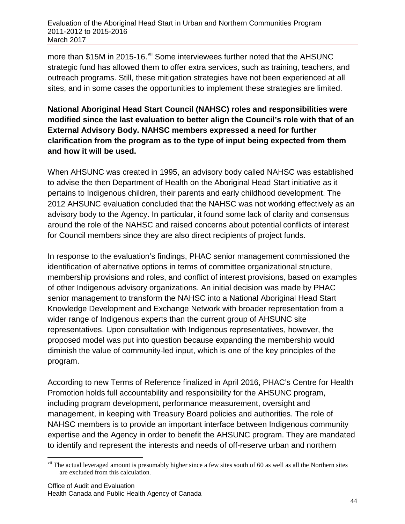more than \$15M in 2015-16.<sup>[vii](#page-53-0)</sup> Some interviewees further noted that the AHSUNC strategic fund has allowed them to offer extra services, such as training, teachers, and outreach programs. Still, these mitigation strategies have not been experienced at all sites, and in some cases the opportunities to implement these strategies are limited.

### **National Aboriginal Head Start Council (NAHSC) roles and responsibilities were modified since the last evaluation to better align the Council's role with that of an External Advisory Body. NAHSC members expressed a need for further clarification from the program as to the type of input being expected from them and how it will be used.**

When AHSUNC was created in 1995, an advisory body called NAHSC was established to advise the then Department of Health on the Aboriginal Head Start initiative as it pertains to Indigenous children, their parents and early childhood development. The 2012 AHSUNC evaluation concluded that the NAHSC was not working effectively as an advisory body to the Agency. In particular, it found some lack of clarity and consensus around the role of the NAHSC and raised concerns about potential conflicts of interest for Council members since they are also direct recipients of project funds.

In response to the evaluation's findings, PHAC senior management commissioned the identification of alternative options in terms of committee organizational structure, membership provisions and roles, and conflict of interest provisions, based on examples of other Indigenous advisory organizations. An initial decision was made by PHAC senior management to transform the NAHSC into a National Aboriginal Head Start Knowledge Development and Exchange Network with broader representation from a wider range of Indigenous experts than the current group of AHSUNC site representatives. Upon consultation with Indigenous representatives, however, the proposed model was put into question because expanding the membership would diminish the value of community-led input, which is one of the key principles of the program.

According to new Terms of Reference finalized in April 2016, PHAC's Centre for Health Promotion holds full accountability and responsibility for the AHSUNC program, including program development, performance measurement, oversight and management, in keeping with Treasury Board policies and authorities. The role of NAHSC members is to provide an important interface between Indigenous community expertise and the Agency in order to benefit the AHSUNC program. They are mandated to identify and represent the interests and needs of off-reserve urban and northern

<span id="page-53-0"></span><sup>&</sup>lt;sup>vii</sup> The actual leveraged amount is presumably higher since a few sites south of 60 as well as all the Northern sites are excluded from this calculation.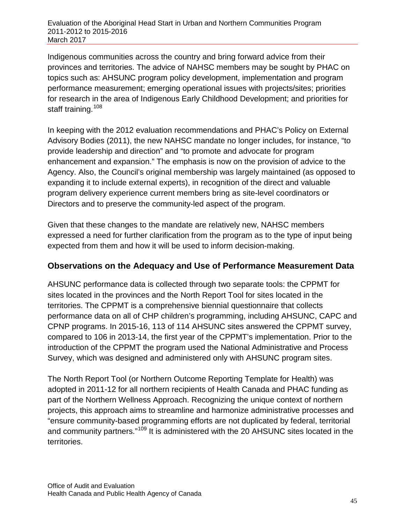Indigenous communities across the country and bring forward advice from their provinces and territories. The advice of NAHSC members may be sought by PHAC on topics such as: AHSUNC program policy development, implementation and program performance measurement; emerging operational issues with projects/sites; priorities for research in the area of Indigenous Early Childhood Development; and priorities for staff training.<sup>[108](#page-77-37)</sup>

In keeping with the 2012 evaluation recommendations and PHAC's Policy on External Advisory Bodies (2011), the new NAHSC mandate no longer includes, for instance, "to provide leadership and direction" and "to promote and advocate for program enhancement and expansion." The emphasis is now on the provision of advice to the Agency. Also, the Council's original membership was largely maintained (as opposed to expanding it to include external experts), in recognition of the direct and valuable program delivery experience current members bring as site-level coordinators or Directors and to preserve the community-led aspect of the program.

Given that these changes to the mandate are relatively new, NAHSC members expressed a need for further clarification from the program as to the type of input being expected from them and how it will be used to inform decision-making.

### **Observations on the Adequacy and Use of Performance Measurement Data**

AHSUNC performance data is collected through two separate tools: the CPPMT for sites located in the provinces and the North Report Tool for sites located in the territories. The CPPMT is a comprehensive biennial questionnaire that collects performance data on all of CHP children's programming, including AHSUNC, CAPC and CPNP programs. In 2015-16, 113 of 114 AHSUNC sites answered the CPPMT survey, compared to 106 in 2013-14, the first year of the CPPMT's implementation. Prior to the introduction of the CPPMT the program used the National Administrative and Process Survey, which was designed and administered only with AHSUNC program sites.

The North Report Tool (or Northern Outcome Reporting Template for Health) was adopted in 2011-12 for all northern recipients of Health Canada and PHAC funding as part of the Northern Wellness Approach. Recognizing the unique context of northern projects, this approach aims to streamline and harmonize administrative processes and "ensure community-based programming efforts are not duplicated by federal, territorial and community partners."<sup>[109](#page-77-38)</sup> It is administered with the 20 AHSUNC sites located in the territories.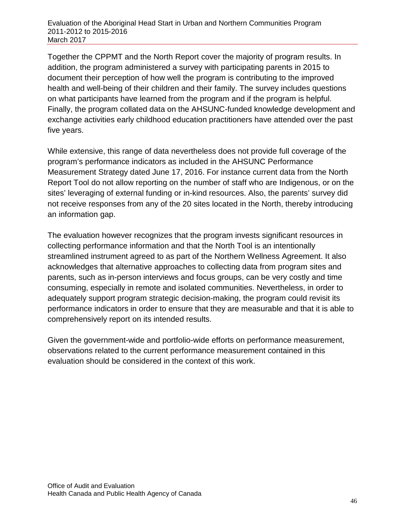Together the CPPMT and the North Report cover the majority of program results. In addition, the program administered a survey with participating parents in 2015 to document their perception of how well the program is contributing to the improved health and well-being of their children and their family. The survey includes questions on what participants have learned from the program and if the program is helpful. Finally, the program collated data on the AHSUNC-funded knowledge development and exchange activities early childhood education practitioners have attended over the past five years.

While extensive, this range of data nevertheless does not provide full coverage of the program's performance indicators as included in the AHSUNC Performance Measurement Strategy dated June 17, 2016. For instance current data from the North Report Tool do not allow reporting on the number of staff who are Indigenous, or on the sites' leveraging of external funding or in-kind resources. Also, the parents' survey did not receive responses from any of the 20 sites located in the North, thereby introducing an information gap.

The evaluation however recognizes that the program invests significant resources in collecting performance information and that the North Tool is an intentionally streamlined instrument agreed to as part of the Northern Wellness Agreement. It also acknowledges that alternative approaches to collecting data from program sites and parents, such as in-person interviews and focus groups, can be very costly and time consuming, especially in remote and isolated communities. Nevertheless, in order to adequately support program strategic decision-making, the program could revisit its performance indicators in order to ensure that they are measurable and that it is able to comprehensively report on its intended results.

Given the government-wide and portfolio-wide efforts on performance measurement, observations related to the current performance measurement contained in this evaluation should be considered in the context of this work.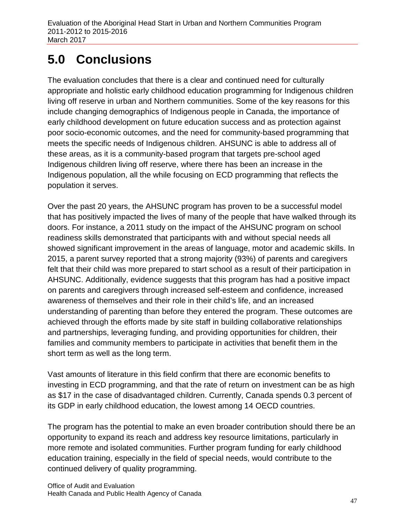# **5.0 Conclusions**

The evaluation concludes that there is a clear and continued need for culturally appropriate and holistic early childhood education programming for Indigenous children living off reserve in urban and Northern communities. Some of the key reasons for this include changing demographics of Indigenous people in Canada, the importance of early childhood development on future education success and as protection against poor socio-economic outcomes, and the need for community-based programming that meets the specific needs of Indigenous children. AHSUNC is able to address all of these areas, as it is a community-based program that targets pre-school aged Indigenous children living off reserve, where there has been an increase in the Indigenous population, all the while focusing on ECD programming that reflects the population it serves.

Over the past 20 years, the AHSUNC program has proven to be a successful model that has positively impacted the lives of many of the people that have walked through its doors. For instance, a 2011 study on the impact of the AHSUNC program on school readiness skills demonstrated that participants with and without special needs all showed significant improvement in the areas of language, motor and academic skills. In 2015, a parent survey reported that a strong majority (93%) of parents and caregivers felt that their child was more prepared to start school as a result of their participation in AHSUNC. Additionally, evidence suggests that this program has had a positive impact on parents and caregivers through increased self-esteem and confidence, increased awareness of themselves and their role in their child's life, and an increased understanding of parenting than before they entered the program. These outcomes are achieved through the efforts made by site staff in building collaborative relationships and partnerships, leveraging funding, and providing opportunities for children, their families and community members to participate in activities that benefit them in the short term as well as the long term.

Vast amounts of literature in this field confirm that there are economic benefits to investing in ECD programming, and that the rate of return on investment can be as high as \$17 in the case of disadvantaged children. Currently, Canada spends 0.3 percent of its GDP in early childhood education, the lowest among 14 OECD countries.

The program has the potential to make an even broader contribution should there be an opportunity to expand its reach and address key resource limitations, particularly in more remote and isolated communities. Further program funding for early childhood education training, especially in the field of special needs, would contribute to the continued delivery of quality programming.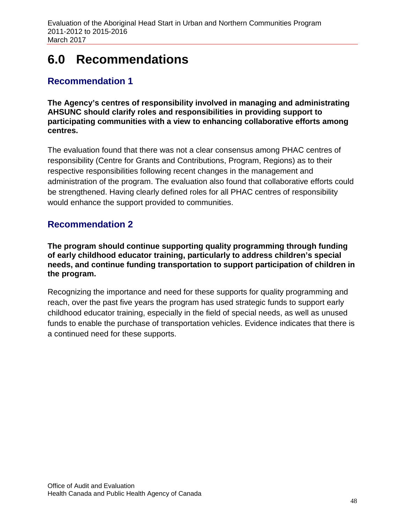## **6.0 Recommendations**

## **Recommendation 1**

**The Agency's centres of responsibility involved in managing and administrating AHSUNC should clarify roles and responsibilities in providing support to participating communities with a view to enhancing collaborative efforts among centres.**

The evaluation found that there was not a clear consensus among PHAC centres of responsibility (Centre for Grants and Contributions, Program, Regions) as to their respective responsibilities following recent changes in the management and administration of the program. The evaluation also found that collaborative efforts could be strengthened. Having clearly defined roles for all PHAC centres of responsibility would enhance the support provided to communities.

## **Recommendation 2**

**The program should continue supporting quality programming through funding of early childhood educator training, particularly to address children's special needs, and continue funding transportation to support participation of children in the program.** 

Recognizing the importance and need for these supports for quality programming and reach, over the past five years the program has used strategic funds to support early childhood educator training, especially in the field of special needs, as well as unused funds to enable the purchase of transportation vehicles. Evidence indicates that there is a continued need for these supports.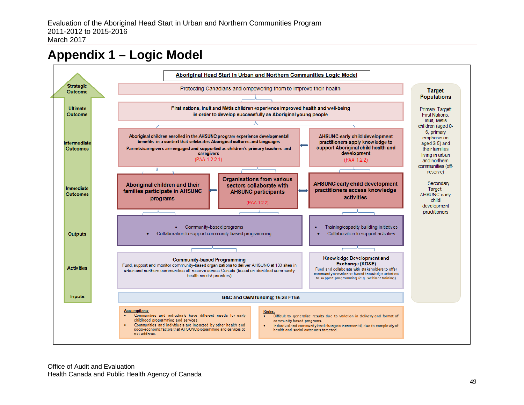## **Appendix 1 – Logic Model**

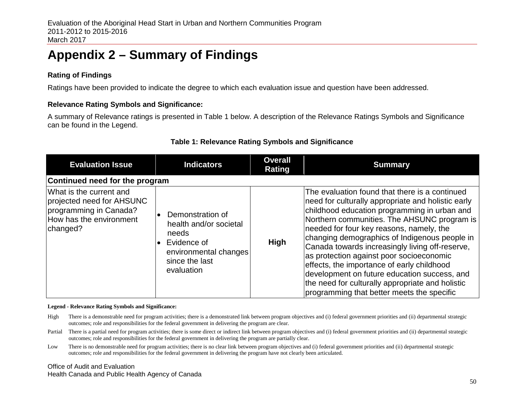# **Appendix 2 – Summary of Findings**

### **Rating of Findings**

Ratings have been provided to indicate the degree to which each evaluation issue and question have been addressed.

### **Relevance Rating Symbols and Significance:**

A summary of Relevance ratings is presented in Table 1 below. A description of the Relevance Ratings Symbols and Significance can be found in the Legend.

#### **Table 1: Relevance Rating Symbols and Significance**

| <b>Evaluation Issue</b>                                                                                               | <b>Indicators</b>                                                                                                                        | <b>Overall</b><br>Rating | <b>Summary</b>                                                                                                                                                                                                                                                                                                                                                                                                                                                                                                                                                                                  |  |  |  |  |  |
|-----------------------------------------------------------------------------------------------------------------------|------------------------------------------------------------------------------------------------------------------------------------------|--------------------------|-------------------------------------------------------------------------------------------------------------------------------------------------------------------------------------------------------------------------------------------------------------------------------------------------------------------------------------------------------------------------------------------------------------------------------------------------------------------------------------------------------------------------------------------------------------------------------------------------|--|--|--|--|--|
| Continued need for the program                                                                                        |                                                                                                                                          |                          |                                                                                                                                                                                                                                                                                                                                                                                                                                                                                                                                                                                                 |  |  |  |  |  |
| What is the current and<br>projected need for AHSUNC<br>programming in Canada?<br>How has the environment<br>changed? | Demonstration of<br>health and/or societal<br>needs<br>Evidence of<br>$\bullet$<br>environmental changes<br>since the last<br>evaluation | <b>High</b>              | The evaluation found that there is a continued<br>need for culturally appropriate and holistic early<br>childhood education programming in urban and<br>Northern communities. The AHSUNC program is<br>needed for four key reasons, namely, the<br>changing demographics of Indigenous people in<br>Canada towards increasingly living off-reserve,<br>as protection against poor socioeconomic<br>effects, the importance of early childhood<br>development on future education success, and<br>the need for culturally appropriate and holistic<br>programming that better meets the specific |  |  |  |  |  |

#### **Legend - Relevance Rating Symbols and Significance:**

- High There is a demonstrable need for program activities; there is a demonstrated link between program objectives and (i) federal government priorities and (ii) departmental strategic outcomes; role and responsibilities for the federal government in delivering the program are clear.
- Partial There is a partial need for program activities; there is some direct or indirect link between program objectives and (i) federal government priorities and (ii) departmental strategic outcomes; role and responsibilities for the federal government in delivering the program are partially clear.
- Low There is no demonstrable need for program activities; there is no clear link between program objectives and (i) federal government priorities and (ii) departmental strategic outcomes; role and responsibilities for the federal government in delivering the program have not clearly been articulated.

Office of Audit and Evaluation Health Canada and Public Health Agency of Canada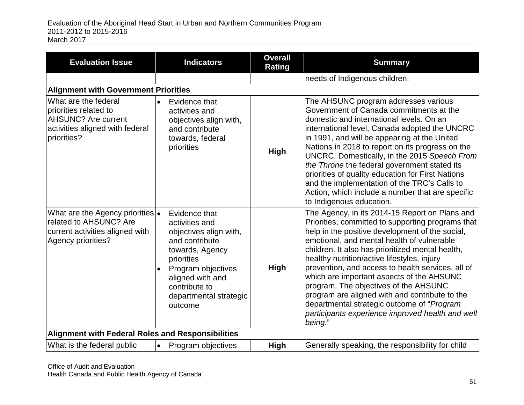| <b>Evaluation Issue</b>                                                                                                       |           | <b>Indicators</b>                                                                                                                                                                                            | <b>Overall</b><br><b>Rating</b> | <b>Summary</b>                                                                                                                                                                                                                                                                                                                                                                                                                                                                                                                                                                                                    |
|-------------------------------------------------------------------------------------------------------------------------------|-----------|--------------------------------------------------------------------------------------------------------------------------------------------------------------------------------------------------------------|---------------------------------|-------------------------------------------------------------------------------------------------------------------------------------------------------------------------------------------------------------------------------------------------------------------------------------------------------------------------------------------------------------------------------------------------------------------------------------------------------------------------------------------------------------------------------------------------------------------------------------------------------------------|
|                                                                                                                               |           |                                                                                                                                                                                                              |                                 | needs of Indigenous children.                                                                                                                                                                                                                                                                                                                                                                                                                                                                                                                                                                                     |
| <b>Alignment with Government Priorities</b>                                                                                   |           |                                                                                                                                                                                                              |                                 |                                                                                                                                                                                                                                                                                                                                                                                                                                                                                                                                                                                                                   |
| What are the federal<br>priorities related to<br><b>AHSUNC?</b> Are current<br>activities aligned with federal<br>priorities? | $\bullet$ | Evidence that<br>activities and<br>objectives align with,<br>and contribute<br>towards, federal<br>priorities                                                                                                | <b>High</b>                     | The AHSUNC program addresses various<br>Government of Canada commitments at the<br>domestic and international levels. On an<br>international level, Canada adopted the UNCRC<br>in 1991, and will be appearing at the United<br>Nations in 2018 to report on its progress on the<br>UNCRC. Domestically, in the 2015 Speech From<br>the Throne the federal government stated its<br>priorities of quality education for First Nations<br>and the implementation of the TRC's Calls to<br>Action, which include a number that are specific<br>to Indigenous education.                                             |
| What are the Agency priorities $\bullet$<br>related to AHSUNC? Are<br>current activities aligned with<br>Agency priorities?   |           | Evidence that<br>activities and<br>objectives align with,<br>and contribute<br>towards, Agency<br>priorities<br>Program objectives<br>aligned with and<br>contribute to<br>departmental strategic<br>outcome | High                            | The Agency, in its 2014-15 Report on Plans and<br>Priorities, committed to supporting programs that<br>help in the positive development of the social,<br>emotional, and mental health of vulnerable<br>children. It also has prioritized mental health,<br>healthy nutrition/active lifestyles, injury<br>prevention, and access to health services, all of<br>which are important aspects of the AHSUNC<br>program. The objectives of the AHSUNC<br>program are aligned with and contribute to the<br>departmental strategic outcome of "Program<br>participants experience improved health and well<br>being." |
| <b>Alignment with Federal Roles and Responsibilities</b>                                                                      |           |                                                                                                                                                                                                              |                                 |                                                                                                                                                                                                                                                                                                                                                                                                                                                                                                                                                                                                                   |
| What is the federal public                                                                                                    | $\bullet$ | Program objectives                                                                                                                                                                                           | High                            | Generally speaking, the responsibility for child                                                                                                                                                                                                                                                                                                                                                                                                                                                                                                                                                                  |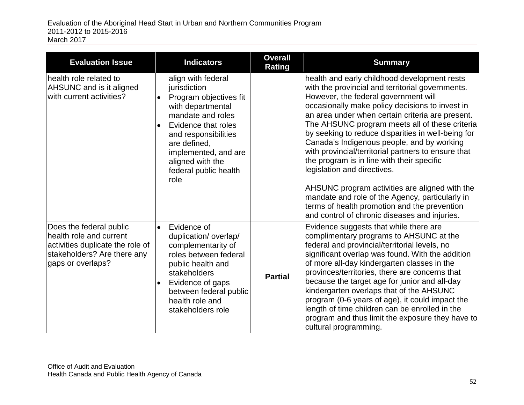| <b>Evaluation Issue</b>                                                                                                                    | <b>Indicators</b>                                                                                                                                                                                                                                                            | <b>Overall</b><br><b>Rating</b> | <b>Summary</b>                                                                                                                                                                                                                                                                                                                                                                                                                                                                                                                                                                                                                                                                                                                                  |
|--------------------------------------------------------------------------------------------------------------------------------------------|------------------------------------------------------------------------------------------------------------------------------------------------------------------------------------------------------------------------------------------------------------------------------|---------------------------------|-------------------------------------------------------------------------------------------------------------------------------------------------------------------------------------------------------------------------------------------------------------------------------------------------------------------------------------------------------------------------------------------------------------------------------------------------------------------------------------------------------------------------------------------------------------------------------------------------------------------------------------------------------------------------------------------------------------------------------------------------|
| health role related to<br>AHSUNC and is it aligned<br>with current activities?                                                             | align with federal<br>jurisdiction<br>Program objectives fit<br>$\bullet$<br>with departmental<br>mandate and roles<br>Evidence that roles<br>$\bullet$<br>and responsibilities<br>are defined,<br>implemented, and are<br>aligned with the<br>federal public health<br>role |                                 | health and early childhood development rests<br>with the provincial and territorial governments.<br>However, the federal government will<br>occasionally make policy decisions to invest in<br>an area under when certain criteria are present.<br>The AHSUNC program meets all of these criteria<br>by seeking to reduce disparities in well-being for<br>Canada's Indigenous people, and by working<br>with provincial/territorial partners to ensure that<br>the program is in line with their specific<br>legislation and directives.<br>AHSUNC program activities are aligned with the<br>mandate and role of the Agency, particularly in<br>terms of health promotion and the prevention<br>and control of chronic diseases and injuries. |
| Does the federal public<br>health role and current<br>activities duplicate the role of<br>stakeholders? Are there any<br>gaps or overlaps? | Evidence of<br>$\bullet$<br>duplication/overlap/<br>complementarity of<br>roles between federal<br>public health and<br>stakeholders<br>Evidence of gaps<br>$\bullet$<br>between federal public<br>health role and<br>stakeholders role                                      | <b>Partial</b>                  | Evidence suggests that while there are<br>complimentary programs to AHSUNC at the<br>federal and provincial/territorial levels, no<br>significant overlap was found. With the addition<br>of more all-day kindergarten classes in the<br>provinces/territories, there are concerns that<br>because the target age for junior and all-day<br>kindergarten overlaps that of the AHSUNC<br>program (0-6 years of age), it could impact the<br>length of time children can be enrolled in the<br>program and thus limit the exposure they have to<br>cultural programming.                                                                                                                                                                          |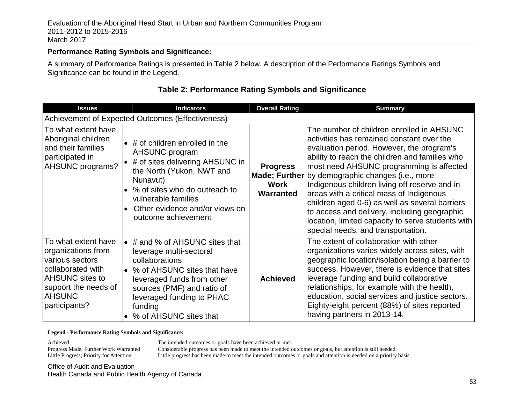#### **Performance Rating Symbols and Significance:**

A summary of Performance Ratings is presented in Table 2 below. A description of the Performance Ratings Symbols and Significance can be found in the Legend.

| <b>Issues</b>                                                                                                                                                         | <b>Indicators</b>                                                                                                                                                                                                                                                | <b>Overall Rating</b>                | <b>Summary</b>                                                                                                                                                                                                                                                                                                                                                                                                                                                                                                                                                                  |
|-----------------------------------------------------------------------------------------------------------------------------------------------------------------------|------------------------------------------------------------------------------------------------------------------------------------------------------------------------------------------------------------------------------------------------------------------|--------------------------------------|---------------------------------------------------------------------------------------------------------------------------------------------------------------------------------------------------------------------------------------------------------------------------------------------------------------------------------------------------------------------------------------------------------------------------------------------------------------------------------------------------------------------------------------------------------------------------------|
|                                                                                                                                                                       | Achievement of Expected Outcomes (Effectiveness)                                                                                                                                                                                                                 |                                      |                                                                                                                                                                                                                                                                                                                                                                                                                                                                                                                                                                                 |
| To what extent have<br>Aboriginal children<br>and their families<br>participated in<br><b>AHSUNC programs?</b>                                                        | $\bullet$ # of children enrolled in the<br>AHSUNC program<br>$\bullet$ # of sites delivering AHSUNC in<br>the North (Yukon, NWT and<br>Nunavut)<br>% of sites who do outreach to<br>vulnerable families<br>Other evidence and/or views on<br>outcome achievement | <b>Progress</b><br>Work<br>Warranted | The number of children enrolled in AHSUNC<br>activities has remained constant over the<br>evaluation period. However, the program's<br>ability to reach the children and families who<br>most need AHSUNC programming is affected<br>Made; Further by demographic changes (i.e., more<br>Indigenous children living off reserve and in<br>areas with a critical mass of Indigenous<br>children aged 0-6) as well as several barriers<br>to access and delivery, including geographic<br>location, limited capacity to serve students with<br>special needs, and transportation. |
| To what extent have<br>organizations from<br>various sectors<br>collaborated with<br><b>AHSUNC</b> sites to<br>support the needs of<br><b>AHSUNC</b><br>participants? | $\bullet$ # and % of AHSUNC sites that<br>leverage multi-sectoral<br>collaborations<br>% of AHSUNC sites that have<br>$\bullet$<br>leveraged funds from other<br>sources (PMF) and ratio of<br>leveraged funding to PHAC<br>funding<br>% of AHSUNC sites that    | <b>Achieved</b>                      | The extent of collaboration with other<br>organizations varies widely across sites, with<br>geographic location/isolation being a barrier to<br>success. However, there is evidence that sites<br>leverage funding and build collaborative<br>relationships, for example with the health,<br>education, social services and justice sectors.<br>Eighty-eight percent (88%) of sites reported<br>having partners in 2013-14.                                                                                                                                                     |

### **Table 2: Performance Rating Symbols and Significance**

#### **Legend - Performance Rating Symbols and Significance:**

Achieved<br>The intended outcomes or goals have been achieved or met.<br>Progress Made; Further Work Warranted<br>Considerable progress has been made to meet the intended or

Progress Made; Further Work Warranted Considerable progress has been made to meet the intended outcomes or goals, but attention is still needed.<br>Little Progress; Priority for Attention Little progress has been made to meet

Little progress has been made to meet the intended outcomes or goals and attention is needed on a priority basis.

Office of Audit and Evaluation Health Canada and Public Health Agency of Canada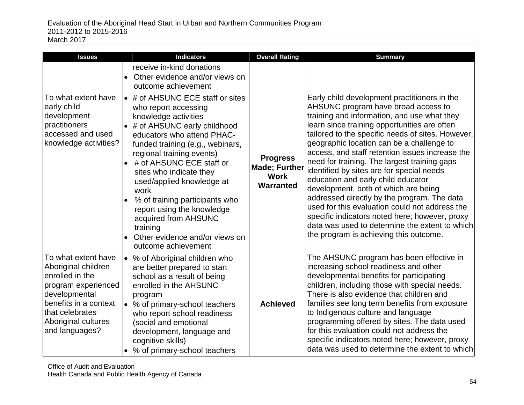| <b>Issues</b>                                                                                                                                                                              |                                     | <b>Indicators</b>                                                                                                                                                                                                                                                                                                                                                                                                                                                       | <b>Overall Rating</b>                                               | <b>Summary</b>                                                                                                                                                                                                                                                                                                                                                                                                                                                                                                                                                                                                                                                                                                                                                    |
|--------------------------------------------------------------------------------------------------------------------------------------------------------------------------------------------|-------------------------------------|-------------------------------------------------------------------------------------------------------------------------------------------------------------------------------------------------------------------------------------------------------------------------------------------------------------------------------------------------------------------------------------------------------------------------------------------------------------------------|---------------------------------------------------------------------|-------------------------------------------------------------------------------------------------------------------------------------------------------------------------------------------------------------------------------------------------------------------------------------------------------------------------------------------------------------------------------------------------------------------------------------------------------------------------------------------------------------------------------------------------------------------------------------------------------------------------------------------------------------------------------------------------------------------------------------------------------------------|
|                                                                                                                                                                                            | $\bullet$                           | receive in-kind donations<br>Other evidence and/or views on<br>outcome achievement                                                                                                                                                                                                                                                                                                                                                                                      |                                                                     |                                                                                                                                                                                                                                                                                                                                                                                                                                                                                                                                                                                                                                                                                                                                                                   |
| To what extent have<br>early child<br>development<br>practitioners<br>accessed and used<br>knowledge activities?                                                                           | $\bullet$<br>$\bullet$              | • # of AHSUNC ECE staff or sites<br>who report accessing<br>knowledge activities<br># of AHSUNC early childhood<br>educators who attend PHAC-<br>funded training (e.g., webinars,<br>regional training events)<br># of AHSUNC ECE staff or<br>sites who indicate they<br>used/applied knowledge at<br>work<br>% of training participants who<br>report using the knowledge<br>acquired from AHSUNC<br>training<br>Other evidence and/or views on<br>outcome achievement | <b>Progress</b><br><b>Made; Further</b><br><b>Work</b><br>Warranted | Early child development practitioners in the<br>AHSUNC program have broad access to<br>training and information, and use what they<br>learn since training opportunities are often<br>tailored to the specific needs of sites. However,<br>geographic location can be a challenge to<br>access, and staff retention issues increase the<br>need for training. The largest training gaps<br>identified by sites are for special needs<br>education and early child educator<br>development, both of which are being<br>addressed directly by the program. The data<br>used for this evaluation could not address the<br>specific indicators noted here; however, proxy<br>data was used to determine the extent to which<br>the program is achieving this outcome. |
| To what extent have<br>Aboriginal children<br>enrolled in the<br>program experienced<br>developmental<br>benefits in a context<br>that celebrates<br>Aboriginal cultures<br>and languages? | $\bullet$<br>$\bullet$<br>$\bullet$ | % of Aboriginal children who<br>are better prepared to start<br>school as a result of being<br>enrolled in the AHSUNC<br>program<br>% of primary-school teachers<br>who report school readiness<br>(social and emotional<br>development, language and<br>cognitive skills)<br>% of primary-school teachers                                                                                                                                                              | <b>Achieved</b>                                                     | The AHSUNC program has been effective in<br>increasing school readiness and other<br>developmental benefits for participating<br>children, including those with special needs.<br>There is also evidence that children and<br>families see long term benefits from exposure<br>to Indigenous culture and language<br>programming offered by sites. The data used<br>for this evaluation could not address the<br>specific indicators noted here; however, proxy<br>data was used to determine the extent to which                                                                                                                                                                                                                                                 |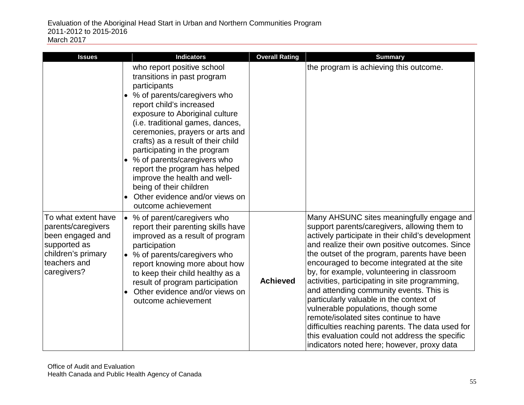| <b>Issues</b>                                                                                                                      |                                                     | <b>Indicators</b>                                                                                                                                                                                                                                                                                                                                                                                                                                                                       | <b>Overall Rating</b> | <b>Summary</b>                                                                                                                                                                                                                                                                                                                                                                                                                                                                                                                                                                                                                                                                                                             |
|------------------------------------------------------------------------------------------------------------------------------------|-----------------------------------------------------|-----------------------------------------------------------------------------------------------------------------------------------------------------------------------------------------------------------------------------------------------------------------------------------------------------------------------------------------------------------------------------------------------------------------------------------------------------------------------------------------|-----------------------|----------------------------------------------------------------------------------------------------------------------------------------------------------------------------------------------------------------------------------------------------------------------------------------------------------------------------------------------------------------------------------------------------------------------------------------------------------------------------------------------------------------------------------------------------------------------------------------------------------------------------------------------------------------------------------------------------------------------------|
|                                                                                                                                    | participants<br>$\bullet$<br>$\bullet$<br>$\bullet$ | who report positive school<br>transitions in past program<br>% of parents/caregivers who<br>report child's increased<br>exposure to Aboriginal culture<br>(i.e. traditional games, dances,<br>ceremonies, prayers or arts and<br>crafts) as a result of their child<br>participating in the program<br>% of parents/caregivers who<br>report the program has helped<br>improve the health and well-<br>being of their children<br>Other evidence and/or views on<br>outcome achievement |                       | the program is achieving this outcome.                                                                                                                                                                                                                                                                                                                                                                                                                                                                                                                                                                                                                                                                                     |
| To what extent have<br>parents/caregivers<br>been engaged and<br>supported as<br>children's primary<br>teachers and<br>caregivers? | $\bullet$                                           | % of parent/caregivers who<br>report their parenting skills have<br>improved as a result of program<br>participation<br>• % of parents/caregivers who<br>report knowing more about how<br>to keep their child healthy as a<br>result of program participation<br>Other evidence and/or views on<br>outcome achievement                                                                                                                                                                  | <b>Achieved</b>       | Many AHSUNC sites meaningfully engage and<br>support parents/caregivers, allowing them to<br>actively participate in their child's development<br>and realize their own positive outcomes. Since<br>the outset of the program, parents have been<br>encouraged to become integrated at the site<br>by, for example, volunteering in classroom<br>activities, participating in site programming,<br>and attending community events. This is<br>particularly valuable in the context of<br>vulnerable populations, though some<br>remote/isolated sites continue to have<br>difficulties reaching parents. The data used for<br>this evaluation could not address the specific<br>indicators noted here; however, proxy data |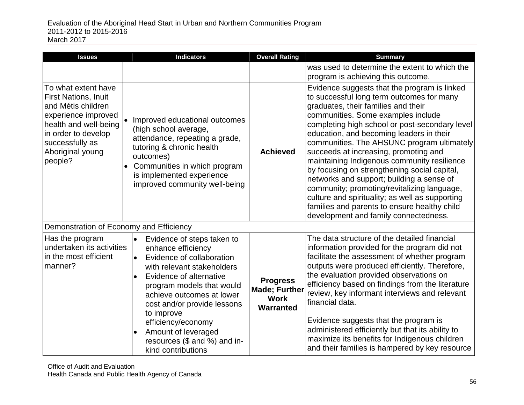| <b>Issues</b>                                                                                                                                                                                     | <b>Indicators</b>                                                                                                                                                                                                                                                                                                                                                                                    | <b>Overall Rating</b>                                               | <b>Summary</b>                                                                                                                                                                                                                                                                                                                                                                                                                                                                                                                                                                                                                                                                                     |
|---------------------------------------------------------------------------------------------------------------------------------------------------------------------------------------------------|------------------------------------------------------------------------------------------------------------------------------------------------------------------------------------------------------------------------------------------------------------------------------------------------------------------------------------------------------------------------------------------------------|---------------------------------------------------------------------|----------------------------------------------------------------------------------------------------------------------------------------------------------------------------------------------------------------------------------------------------------------------------------------------------------------------------------------------------------------------------------------------------------------------------------------------------------------------------------------------------------------------------------------------------------------------------------------------------------------------------------------------------------------------------------------------------|
|                                                                                                                                                                                                   |                                                                                                                                                                                                                                                                                                                                                                                                      |                                                                     | was used to determine the extent to which the<br>program is achieving this outcome.                                                                                                                                                                                                                                                                                                                                                                                                                                                                                                                                                                                                                |
| To what extent have<br><b>First Nations, Inuit</b><br>and Métis children<br>experience improved<br>health and well-being<br>in order to develop<br>successfully as<br>Aboriginal young<br>people? | Improved educational outcomes<br>(high school average,<br>attendance, repeating a grade,<br>tutoring & chronic health<br>outcomes)<br>Communities in which program<br>is implemented experience<br>improved community well-being                                                                                                                                                                     | <b>Achieved</b>                                                     | Evidence suggests that the program is linked<br>to successful long term outcomes for many<br>graduates, their families and their<br>communities. Some examples include<br>completing high school or post-secondary level<br>education, and becoming leaders in their<br>communities. The AHSUNC program ultimately<br>succeeds at increasing, promoting and<br>maintaining Indigenous community resilience<br>by focusing on strengthening social capital,<br>networks and support; building a sense of<br>community; promoting/revitalizing language,<br>culture and spirituality; as well as supporting<br>families and parents to ensure healthy child<br>development and family connectedness. |
| Demonstration of Economy and Efficiency                                                                                                                                                           |                                                                                                                                                                                                                                                                                                                                                                                                      |                                                                     |                                                                                                                                                                                                                                                                                                                                                                                                                                                                                                                                                                                                                                                                                                    |
| Has the program<br>undertaken its activities<br>in the most efficient<br>manner?                                                                                                                  | $\bullet$<br>Evidence of steps taken to<br>enhance efficiency<br>Evidence of collaboration<br>$\bullet$<br>with relevant stakeholders<br>Evidence of alternative<br>$\bullet$<br>program models that would<br>achieve outcomes at lower<br>cost and/or provide lessons<br>to improve<br>efficiency/economy<br>Amount of leveraged<br>$\bullet$<br>resources (\$ and %) and in-<br>kind contributions | <b>Progress</b><br><b>Made; Further</b><br><b>Work</b><br>Warranted | The data structure of the detailed financial<br>information provided for the program did not<br>facilitate the assessment of whether program<br>outputs were produced efficiently. Therefore,<br>the evaluation provided observations on<br>efficiency based on findings from the literature<br>review, key informant interviews and relevant<br>financial data.<br>Evidence suggests that the program is<br>administered efficiently but that its ability to<br>maximize its benefits for Indigenous children<br>and their families is hampered by key resource                                                                                                                                   |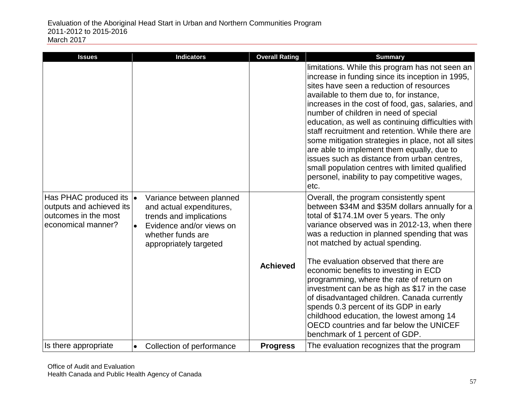| <b>Issues</b>                                                                                   | <b>Indicators</b>                                                                                                                                                                    | <b>Overall Rating</b> | <b>Summary</b>                                                                                                                                                                                                                                                                                                                                                                                                                                                                                                                                                                                           |
|-------------------------------------------------------------------------------------------------|--------------------------------------------------------------------------------------------------------------------------------------------------------------------------------------|-----------------------|----------------------------------------------------------------------------------------------------------------------------------------------------------------------------------------------------------------------------------------------------------------------------------------------------------------------------------------------------------------------------------------------------------------------------------------------------------------------------------------------------------------------------------------------------------------------------------------------------------|
|                                                                                                 |                                                                                                                                                                                      |                       | limitations. While this program has not seen an<br>increase in funding since its inception in 1995,<br>sites have seen a reduction of resources<br>available to them due to, for instance,<br>increases in the cost of food, gas, salaries, and<br>number of children in need of special<br>education, as well as continuing difficulties with<br>staff recruitment and retention. While there are<br>some mitigation strategies in place, not all sites<br>are able to implement them equally, due to<br>issues such as distance from urban centres,<br>small population centres with limited qualified |
|                                                                                                 |                                                                                                                                                                                      |                       | personel, inability to pay competitive wages,<br>etc.                                                                                                                                                                                                                                                                                                                                                                                                                                                                                                                                                    |
| Has PHAC produced its<br>outputs and achieved its<br>outcomes in the most<br>economical manner? | $\bullet$<br>Variance between planned<br>and actual expenditures,<br>trends and implications<br>Evidence and/or views on<br>$\bullet$<br>whether funds are<br>appropriately targeted |                       | Overall, the program consistently spent<br>between \$34M and \$35M dollars annually for a<br>total of \$174.1M over 5 years. The only<br>variance observed was in 2012-13, when there<br>was a reduction in planned spending that was<br>not matched by actual spending.<br>The evaluation observed that there are                                                                                                                                                                                                                                                                                       |
|                                                                                                 |                                                                                                                                                                                      | <b>Achieved</b>       | economic benefits to investing in ECD<br>programming, where the rate of return on<br>investment can be as high as \$17 in the case<br>of disadvantaged children. Canada currently<br>spends 0.3 percent of its GDP in early<br>childhood education, the lowest among 14<br>OECD countries and far below the UNICEF<br>benchmark of 1 percent of GDP.                                                                                                                                                                                                                                                     |
| Is there appropriate                                                                            | Collection of performance<br>$\bullet$                                                                                                                                               | <b>Progress</b>       | The evaluation recognizes that the program                                                                                                                                                                                                                                                                                                                                                                                                                                                                                                                                                               |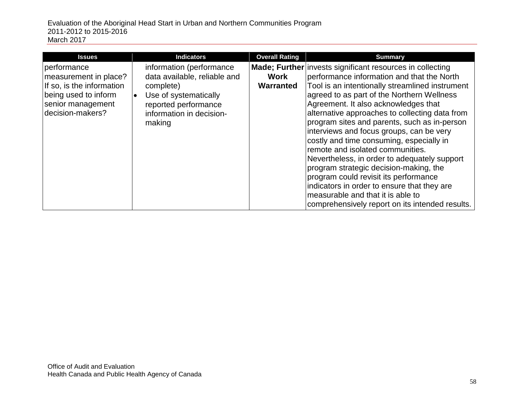| <b>Issues</b>                                                                                                                      | <b>Indicators</b>                                                                                                                                                         | <b>Overall Rating</b>    | <b>Summary</b>                                                                                                                                                                                                                                                                                                                                                                                                                                                                                                                                                                                                                                                                                                                                                   |
|------------------------------------------------------------------------------------------------------------------------------------|---------------------------------------------------------------------------------------------------------------------------------------------------------------------------|--------------------------|------------------------------------------------------------------------------------------------------------------------------------------------------------------------------------------------------------------------------------------------------------------------------------------------------------------------------------------------------------------------------------------------------------------------------------------------------------------------------------------------------------------------------------------------------------------------------------------------------------------------------------------------------------------------------------------------------------------------------------------------------------------|
| performance<br>measurement in place?<br>If so, is the information<br>being used to inform<br>senior management<br>decision-makers? | information (performance<br>data available, reliable and<br>complete)<br>Use of systematically<br>$\bullet$<br>reported performance<br>information in decision-<br>making | <b>Work</b><br>Warranted | <b>Made</b> ; Further invests significant resources in collecting<br>performance information and that the North<br>Tool is an intentionally streamlined instrument<br>agreed to as part of the Northern Wellness<br>Agreement. It also acknowledges that<br>alternative approaches to collecting data from<br>program sites and parents, such as in-person<br>interviews and focus groups, can be very<br>costly and time consuming, especially in<br>remote and isolated communities.<br>Nevertheless, in order to adequately support<br>program strategic decision-making, the<br>program could revisit its performance<br>indicators in order to ensure that they are<br>measurable and that it is able to<br>comprehensively report on its intended results. |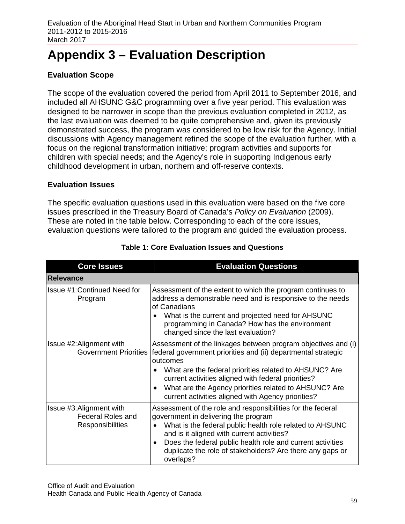# **Appendix 3 – Evaluation Description**

### **Evaluation Scope**

The scope of the evaluation covered the period from April 2011 to September 2016, and included all AHSUNC G&C programming over a five year period. This evaluation was designed to be narrower in scope than the previous evaluation completed in 2012, as the last evaluation was deemed to be quite comprehensive and, given its previously demonstrated success, the program was considered to be low risk for the Agency. Initial discussions with Agency management refined the scope of the evaluation further, with a focus on the regional transformation initiative; program activities and supports for children with special needs; and the Agency's role in supporting Indigenous early childhood development in urban, northern and off-reserve contexts.

### **Evaluation Issues**

The specific evaluation questions used in this evaluation were based on the five core issues prescribed in the Treasury Board of Canada's *Policy on Evaluation* (2009). These are noted in the table below. Corresponding to each of the core issues, evaluation questions were tailored to the program and guided the evaluation process.

| <b>Core Issues</b>                                                       | <b>Evaluation Questions</b>                                                                                                                                                                                                                                                                                                                                                |
|--------------------------------------------------------------------------|----------------------------------------------------------------------------------------------------------------------------------------------------------------------------------------------------------------------------------------------------------------------------------------------------------------------------------------------------------------------------|
| <b>Relevance</b>                                                         |                                                                                                                                                                                                                                                                                                                                                                            |
| Issue #1: Continued Need for<br>Program                                  | Assessment of the extent to which the program continues to<br>address a demonstrable need and is responsive to the needs<br>of Canadians<br>What is the current and projected need for AHSUNC<br>programming in Canada? How has the environment<br>changed since the last evaluation?                                                                                      |
| Issue #2: Alignment with<br><b>Government Priorities</b>                 | Assessment of the linkages between program objectives and (i)<br>federal government priorities and (ii) departmental strategic<br>outcomes<br>What are the federal priorities related to AHSUNC? Are<br>current activities aligned with federal priorities?<br>What are the Agency priorities related to AHSUNC? Are<br>current activities aligned with Agency priorities? |
| Issue #3: Alignment with<br><b>Federal Roles and</b><br>Responsibilities | Assessment of the role and responsibilities for the federal<br>government in delivering the program<br>What is the federal public health role related to AHSUNC<br>$\bullet$<br>and is it aligned with current activities?<br>Does the federal public health role and current activities<br>duplicate the role of stakeholders? Are there any gaps or<br>overlaps?         |

| <b>Table 1: Core Evaluation Issues and Questions</b> |  |
|------------------------------------------------------|--|
|------------------------------------------------------|--|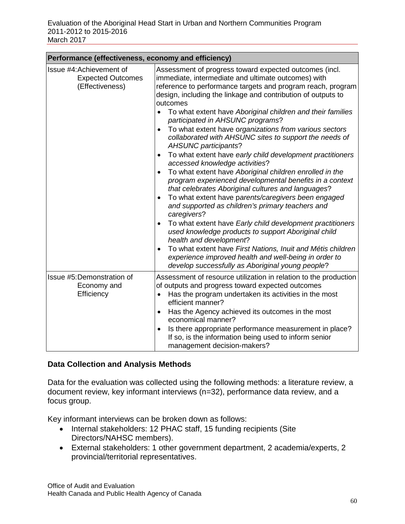| Performance (effectiveness, economy and efficiency)                     |                                                                                                                                                                                                                                                                                                                                                                                                                                                                                                                                                                                                                                                                                                                                                                                                                                                                                                                                                                                                                                                                                                                                                                                                                                                            |  |
|-------------------------------------------------------------------------|------------------------------------------------------------------------------------------------------------------------------------------------------------------------------------------------------------------------------------------------------------------------------------------------------------------------------------------------------------------------------------------------------------------------------------------------------------------------------------------------------------------------------------------------------------------------------------------------------------------------------------------------------------------------------------------------------------------------------------------------------------------------------------------------------------------------------------------------------------------------------------------------------------------------------------------------------------------------------------------------------------------------------------------------------------------------------------------------------------------------------------------------------------------------------------------------------------------------------------------------------------|--|
| Issue #4: Achievement of<br><b>Expected Outcomes</b><br>(Effectiveness) | Assessment of progress toward expected outcomes (incl.<br>immediate, intermediate and ultimate outcomes) with<br>reference to performance targets and program reach, program<br>design, including the linkage and contribution of outputs to<br>outcomes<br>To what extent have Aboriginal children and their families<br>participated in AHSUNC programs?<br>To what extent have organizations from various sectors<br>collaborated with AHSUNC sites to support the needs of<br><b>AHSUNC participants?</b><br>To what extent have early child development practitioners<br>accessed knowledge activities?<br>To what extent have Aboriginal children enrolled in the<br>program experienced developmental benefits in a context<br>that celebrates Aboriginal cultures and languages?<br>To what extent have parents/caregivers been engaged<br>and supported as children's primary teachers and<br>caregivers?<br>To what extent have Early child development practitioners<br>used knowledge products to support Aboriginal child<br>health and development?<br>To what extent have First Nations, Inuit and Métis children<br>$\bullet$<br>experience improved health and well-being in order to<br>develop successfully as Aboriginal young people? |  |
| Issue #5:Demonstration of<br>Economy and<br>Efficiency                  | Assessment of resource utilization in relation to the production<br>of outputs and progress toward expected outcomes<br>Has the program undertaken its activities in the most<br>efficient manner?<br>Has the Agency achieved its outcomes in the most<br>economical manner?<br>Is there appropriate performance measurement in place?<br>$\bullet$<br>If so, is the information being used to inform senior<br>management decision-makers?                                                                                                                                                                                                                                                                                                                                                                                                                                                                                                                                                                                                                                                                                                                                                                                                                |  |

### **Data Collection and Analysis Methods**

Data for the evaluation was collected using the following methods: a literature review, a document review, key informant interviews (n=32), performance data review, and a focus group.

Key informant interviews can be broken down as follows:

- Internal stakeholders: 12 PHAC staff, 15 funding recipients (Site Directors/NAHSC members).
- External stakeholders: 1 other government department, 2 academia/experts, 2 provincial/territorial representatives.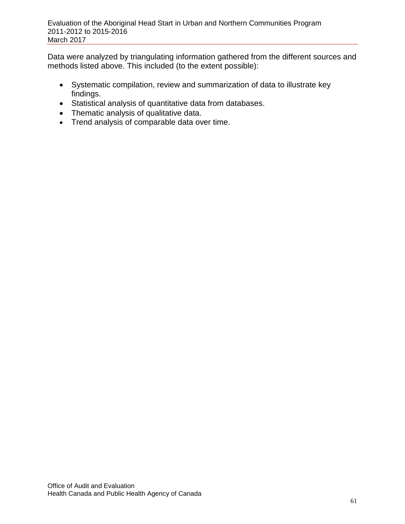Data were analyzed by triangulating information gathered from the different sources and methods listed above. This included (to the extent possible):

- Systematic compilation, review and summarization of data to illustrate key findings.
- Statistical analysis of quantitative data from databases.
- Thematic analysis of qualitative data.
- Trend analysis of comparable data over time.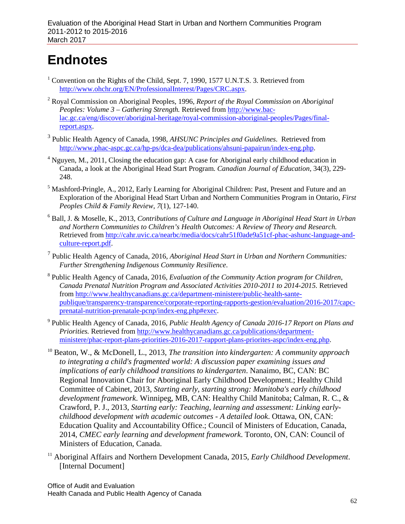# **Endnotes**

- <sup>1</sup> Convention on the Rights of the Child, Sept. 7, 1990, 1577 U.N.T.S. 3. Retrieved from [http://www.ohchr.org/EN/ProfessionalInterest/Pages/CRC.aspx.](http://www.ohchr.org/EN/ProfessionalInterest/Pages/CRC.aspx)
- <sup>2</sup> Royal Commission on Aboriginal Peoples, 1996, *Report of the Royal Commission on Aboriginal Peoples: Volume 3 – Gathering Strength.* Retrieved from [http://www.bac](http://www.bac-lac.gc.ca/eng/discover/aboriginal-heritage/royal-commission-aboriginal-peoples/Pages/final-report.aspx)[lac.gc.ca/eng/discover/aboriginal-heritage/royal-commission-aboriginal-peoples/Pages/final](http://www.bac-lac.gc.ca/eng/discover/aboriginal-heritage/royal-commission-aboriginal-peoples/Pages/final-report.aspx)[report.aspx.](http://www.bac-lac.gc.ca/eng/discover/aboriginal-heritage/royal-commission-aboriginal-peoples/Pages/final-report.aspx)
- <sup>3</sup> Public Health Agency of Canada, 1998, *AHSUNC Principles and Guidelines*. Retrieved from [http://www.phac-aspc.gc.ca/hp-ps/dca-dea/publications/ahsuni-papairun/index-eng.php.](http://www.phac-aspc.gc.ca/hp-ps/dca-dea/publications/ahsuni-papairun/index-eng.php)
- $4$  Nguyen, M., 2011, Closing the education gap: A case for Aboriginal early childhood education in Canada, a look at the Aboriginal Head Start Program. *Canadian Journal of Education*, 34(3), 229- 248.
- $<sup>5</sup>$  Mashford-Pringle, A., 2012, Early Learning for Aboriginal Children: Past, Present and Future and an</sup> Exploration of the Aboriginal Head Start Urban and Northern Communities Program in Ontario, *First Peoples Child & Family Review, 7*(1), 127-140.
- <sup>6</sup> Ball, J. & Moselle, K., 2013, *Contributions of Culture and Language in Aboriginal Head Start in Urban and Northern Communities to Children's Health Outcomes: A Review of Theory and Research.*  Retrieved fro[m http://cahr.uvic.ca/nearbc/media/docs/cahr51f0ade9a51cf-phac-ashunc-language-and](http://cahr.uvic.ca/nearbc/media/docs/cahr51f0ade9a51cf-phac-ashunc-language-and-culture-report.pdf)[culture-report.pdf.](http://cahr.uvic.ca/nearbc/media/docs/cahr51f0ade9a51cf-phac-ashunc-language-and-culture-report.pdf)
- <sup>7</sup> Public Health Agency of Canada, 2016, *Aboriginal Head Start in Urban and Northern Communities: Further Strengthening Indigenous Community Resilience*.
- <sup>8</sup> Public Health Agency of Canada, 2016, *Evaluation of the Community Action program for Children, Canada Prenatal Nutrition Program and Associated Activities 2010-2011 to 2014-2015.* Retrieved from [http://www.healthycanadians.gc.ca/department-ministere/public-health-sante](http://www.healthycanadians.gc.ca/department-ministere/public-health-sante-publique/transparency-transparence/corporate-reporting-rapports-gestion/evaluation/2016-2017/capc-prenatal-nutrition-prenatale-pcnp/index-eng.php#exec)[publique/transparency-transparence/corporate-reporting-rapports-gestion/evaluation/2016-2017/capc](http://www.healthycanadians.gc.ca/department-ministere/public-health-sante-publique/transparency-transparence/corporate-reporting-rapports-gestion/evaluation/2016-2017/capc-prenatal-nutrition-prenatale-pcnp/index-eng.php#exec)[prenatal-nutrition-prenatale-pcnp/index-eng.php#exec.](http://www.healthycanadians.gc.ca/department-ministere/public-health-sante-publique/transparency-transparence/corporate-reporting-rapports-gestion/evaluation/2016-2017/capc-prenatal-nutrition-prenatale-pcnp/index-eng.php#exec)
- <sup>9</sup> Public Health Agency of Canada, 2016, *Public Health Agency of Canada 2016-17 Report on Plans and Priorities.* Retrieved from [http://www.healthycanadians.gc.ca/publications/department](http://www.healthycanadians.gc.ca/publications/department-ministere/phac-report-plans-priorities-2016-2017-rapport-plans-priorites-aspc/index-eng.php)[ministere/phac-report-plans-priorities-2016-2017-rapport-plans-priorites-aspc/index-eng.php.](http://www.healthycanadians.gc.ca/publications/department-ministere/phac-report-plans-priorities-2016-2017-rapport-plans-priorites-aspc/index-eng.php)
- <sup>10</sup> Beaton, W., & McDonell, L., 2013, *The transition into kindergarten: A community approach to integrating a child's fragmented world: A discussion paper examining issues and implications of early childhood transitions to kindergarten*. Nanaimo, BC, CAN: BC Regional Innovation Chair for Aboriginal Early Childhood Development.; Healthy Child Committee of Cabinet, 2013, *Starting early, starting strong: Manitoba's early childhood development framework*. Winnipeg, MB, CAN: Healthy Child Manitoba; Calman, R. C., & Crawford, P. J., 2013, *Starting early: Teaching, learning and assessment: Linking earlychildhood development with academic outcomes - A detailed look*. Ottawa, ON, CAN: Education Quality and Accountability Office.; Council of Ministers of Education, Canada, 2014, *CMEC early learning and development framework*. Toronto, ON, CAN: Council of Ministers of Education, Canada.
- <sup>11</sup> Aboriginal Affairs and Northern Development Canada, 2015, *Early Childhood Development*. [Internal Document]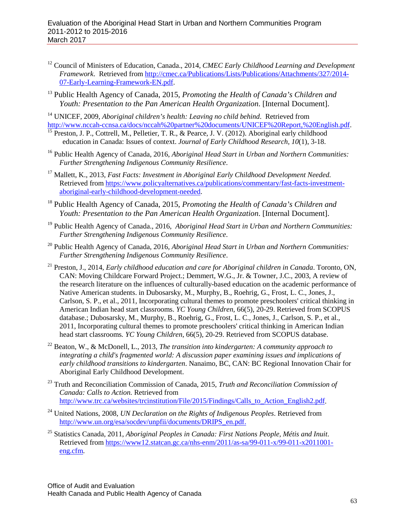- <sup>12</sup> Council of Ministers of Education, Canada., 2014, *CMEC Early Childhood Learning and Development Framework*. Retrieved from [http://cmec.ca/Publications/Lists/Publications/Attachments/327/2014-](http://cmec.ca/Publications/Lists/Publications/Attachments/327/2014-07-Early-Learning-Framework-EN.pdf) [07-Early-Learning-Framework-EN.pdf.](http://cmec.ca/Publications/Lists/Publications/Attachments/327/2014-07-Early-Learning-Framework-EN.pdf)
- <sup>13</sup> Public Health Agency of Canada, 2015, *Promoting the Health of Canada's Children and Youth: Presentation to the Pan American Health Organization*. [Internal Document].
- <sup>14</sup> UNICEF, 2009, *Aboriginal children's health: Leaving no child behind.* Retrieved from<br>http://www.nccah-ccnsa.ca/docs/nccah%20partner%20documents/UNICEF%20Report,%20English.pdf.
- $\frac{15}{15}$  $\frac{15}{15}$  $\frac{15}{15}$  Preston, J. P., Cottrell, M., Pelletier, T. R., & Pearce, J. V. (2012). Aboriginal early childhood education in Canada: Issues of context. *Journal of Early Childhood Research, 10*(1), 3-18.
- <sup>16</sup> Public Health Agency of Canada, 2016, *Aboriginal Head Start in Urban and Northern Communities: Further Strengthening Indigenous Community Resilience*.
- <sup>17</sup> Mallett, K., 2013, *Fast Facts: Investment in Aboriginal Early Childhood Development Needed.*  Retrieved fro[m https://www.policyalternatives.ca/publications/commentary/fast-facts-investment](https://www.policyalternatives.ca/publications/commentary/fast-facts-investment-aboriginal-early-childhood-development-needed)[aboriginal-early-childhood-development-needed.](https://www.policyalternatives.ca/publications/commentary/fast-facts-investment-aboriginal-early-childhood-development-needed)
- <sup>18</sup> Public Health Agency of Canada, 2015, *Promoting the Health of Canada's Children and Youth: Presentation to the Pan American Health Organization*. [Internal Document].
- <sup>19</sup> Public Health Agency of Canada., 2016, *Aboriginal Head Start in Urban and Northern Communities: Further Strengthening Indigenous Community Resilience*.
- <sup>20</sup> Public Health Agency of Canada, 2016, *Aboriginal Head Start in Urban and Northern Communities: Further Strengthening Indigenous Community Resilience*.
- <sup>21</sup> Preston, J., 2014, *Early childhood education and care for Aboriginal children in Canada*. Toronto, ON, CAN: Moving Childcare Forward Project.; Demmert, W.G., Jr. & Towner, J.C., 2003, A review of the research literature on the influences of culturally-based education on the academic performance of Native American students. in Dubosarsky, M., Murphy, B., Roehrig, G., Frost, L. C., Jones, J., Carlson, S. P., et al., 2011*,* Incorporating cultural themes to promote preschoolers' critical thinking in American Indian head start classrooms. *YC Young Children*, 66(5), 20-29. Retrieved from SCOPUS database.; Dubosarsky, M., Murphy, B., Roehrig, G., Frost, L. C., Jones, J., Carlson, S. P., et al., 2011, Incorporating cultural themes to promote preschoolers' critical thinking in American Indian head start classrooms*. YC Young Children*, 66(5), 20-29. Retrieved from SCOPUS database.
- <sup>22</sup> Beaton, W., & McDonell, L., 2013, *The transition into kindergarten: A community approach to integrating a child's fragmented world: A discussion paper examining issues and implications of early childhood transitions to kindergarten*. Nanaimo, BC, CAN: BC Regional Innovation Chair for Aboriginal Early Childhood Development.
- <sup>23</sup> Truth and Reconciliation Commission of Canada, 2015, *Truth and Reconciliation Commission of Canada: Calls to Action.* Retrieved from [http://www.trc.ca/websites/trcinstitution/File/2015/Findings/Calls\\_to\\_Action\\_English2.pdf.](http://www.trc.ca/websites/trcinstitution/File/2015/Findings/Calls_to_Action_English2.pdf)
- <sup>24</sup> United Nations, 2008, *UN Declaration on the Rights of Indigenous Peoples*. Retrieved from [http://www.un.org/esa/socdev/unpfii/documents/DRIPS\\_en.pdf.](http://www.un.org/esa/socdev/unpfii/documents/DRIPS_en.pdf)
- <sup>25</sup> Statistics Canada, 2011, *Aboriginal Peoples in Canada: First Nations People, Métis and Inuit*. Retrieved fro[m https://www12.statcan.gc.ca/nhs-enm/2011/as-sa/99-011-x/99-011-x2011001](https://www12.statcan.gc.ca/nhs-enm/2011/as-sa/99-011-x/99-011-x2011001-eng.cfm) [eng.cfm.](https://www12.statcan.gc.ca/nhs-enm/2011/as-sa/99-011-x/99-011-x2011001-eng.cfm)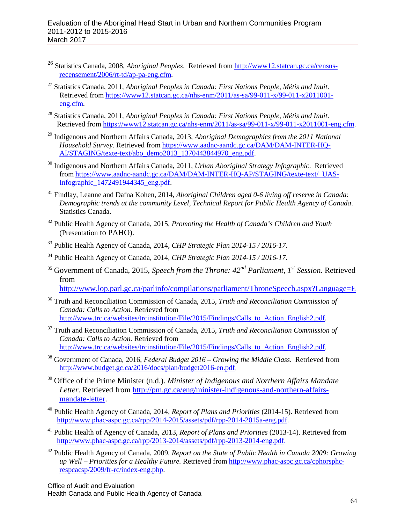- <sup>26</sup> Statistics Canada, 2008, *Aboriginal Peoples*. Retrieved from [http://www12.statcan.gc.ca/census](http://www12.statcan.gc.ca/census-recensement/2006/rt-td/ap-pa-eng.cfm)[recensement/2006/rt-td/ap-pa-eng.cfm.](http://www12.statcan.gc.ca/census-recensement/2006/rt-td/ap-pa-eng.cfm)
- <sup>27</sup> Statistics Canada, 2011, *Aboriginal Peoples in Canada: First Nations People, Métis and Inuit*. Retrieved fro[m https://www12.statcan.gc.ca/nhs-enm/2011/as-sa/99-011-x/99-011-x2011001](https://www12.statcan.gc.ca/nhs-enm/2011/as-sa/99-011-x/99-011-x2011001-eng.cfm) [eng.cfm.](https://www12.statcan.gc.ca/nhs-enm/2011/as-sa/99-011-x/99-011-x2011001-eng.cfm)
- <sup>28</sup> Statistics Canada, 2011, *Aboriginal Peoples in Canada: First Nations People, Métis and Inuit*. Retrieved from [https://www12.statcan.gc.ca/nhs-enm/2011/as-sa/99-011-x/99-011-x2011001-eng.cfm.](https://www12.statcan.gc.ca/nhs-enm/2011/as-sa/99-011-x/99-011-x2011001-eng.cfm)
- <sup>29</sup> Indigenous and Northern Affairs Canada, 2013, *Aboriginal Demographics from the 2011 National Household Survey*. Retrieved from [https://www.aadnc-aandc.gc.ca/DAM/DAM-INTER-HQ-](https://www.aadnc-aandc.gc.ca/DAM/DAM-INTER-HQ-AI/STAGING/texte-text/abo_demo2013_1370443844970_eng.pdf)[AI/STAGING/texte-text/abo\\_demo2013\\_1370443844970\\_eng.pdf.](https://www.aadnc-aandc.gc.ca/DAM/DAM-INTER-HQ-AI/STAGING/texte-text/abo_demo2013_1370443844970_eng.pdf)
- <sup>30</sup> Indigenous and Northern Affairs Canada, 2011, *Urban Aboriginal Strategy Infographic*. Retrieved from [https://www.aadnc-aandc.gc.ca/DAM/DAM-INTER-HQ-AP/STAGING/texte-text/\\_UAS-](https://www.aadnc-aandc.gc.ca/DAM/DAM-INTER-HQ-AP/STAGING/texte-text/_UAS-Infographic_1472491944345_eng.pdf)[Infographic\\_1472491944345\\_eng.pdf.](https://www.aadnc-aandc.gc.ca/DAM/DAM-INTER-HQ-AP/STAGING/texte-text/_UAS-Infographic_1472491944345_eng.pdf)
- <sup>31</sup> Findlay, Leanne and Dafna Kohen, 2014, *Aboriginal Children aged 0-6 living off reserve in Canada: Demographic trends at the community Level, Technical Report for Public Health Agency of Canada*. Statistics Canada.
- <sup>32</sup> Public Health Agency of Canada, 2015, *Promoting the Health of Canada's Children and Youth* (Presentation to PAHO).
- <sup>33</sup> Public Health Agency of Canada, 2014, *CHP Strategic Plan 2014-15 / 2016-17*.
- <sup>34</sup> Public Health Agency of Canada, 2014, *CHP Strategic Plan 2014-15 / 2016-17*.
- <sup>35</sup> Government of Canada, 2015, *Speech from the Throne: 42nd Parliament, 1st Session*. Retrieved from

<http://www.lop.parl.gc.ca/parlinfo/compilations/parliament/ThroneSpeech.aspx?Language=E>

- <sup>36</sup> Truth and Reconciliation Commission of Canada, 2015, *Truth and Reconciliation Commission of Canada: Calls to Action.* Retrieved from [http://www.trc.ca/websites/trcinstitution/File/2015/Findings/Calls\\_to\\_Action\\_English2.pdf.](http://www.trc.ca/websites/trcinstitution/File/2015/Findings/Calls_to_Action_English2.pdf)
- <sup>37</sup> Truth and Reconciliation Commission of Canada, 2015, *Truth and Reconciliation Commission of Canada: Calls to Action.* Retrieved from [http://www.trc.ca/websites/trcinstitution/File/2015/Findings/Calls\\_to\\_Action\\_English2.pdf.](http://www.trc.ca/websites/trcinstitution/File/2015/Findings/Calls_to_Action_English2.pdf)
- <sup>38</sup> Government of Canada, 2016, *Federal Budget 2016 – Growing the Middle Class*. Retrieved from [http://www.budget.gc.ca/2016/docs/plan/budget2016-en.pdf.](http://www.budget.gc.ca/2016/docs/plan/budget2016-en.pdf)
- <sup>39</sup> Office of the Prime Minister (n.d.). *Minister of Indigenous and Northern Affairs Mandate Letter.* Retrieved from [http://pm.gc.ca/eng/minister-indigenous-and-northern-affairs](http://pm.gc.ca/eng/minister-indigenous-and-northern-affairs-mandate-letter)[mandate-letter.](http://pm.gc.ca/eng/minister-indigenous-and-northern-affairs-mandate-letter)
- <sup>40</sup> Public Health Agency of Canada, 2014, *Report of Plans and Priorities* (2014-15). Retrieved from [http://www.phac-aspc.gc.ca/rpp/2014-2015/assets/pdf/rpp-2014-2015a-eng.pdf.](http://www.phac-aspc.gc.ca/rpp/2014-2015/assets/pdf/rpp-2014-2015a-eng.pdf)
- <sup>41</sup> Public Health of Agency of Canada, 2013, *Report of Plans and Priorities* (2013-14). Retrieved from [http://www.phac-aspc.gc.ca/rpp/2013-2014/assets/pdf/rpp-2013-2014-eng.pdf.](http://www.phac-aspc.gc.ca/rpp/2013-2014/assets/pdf/rpp-2013-2014-eng.pdf)
- <sup>42</sup> Public Health Agency of Canada, 2009, *Report on the State of Public Health in Canada 2009: Growing up Well – Priorities for a Healthy Future.* Retrieved from [http://www.phac-aspc.gc.ca/cphorsphc](http://www.phac-aspc.gc.ca/cphorsphc-respcacsp/2009/fr-rc/index-eng.php)[respcacsp/2009/fr-rc/index-eng.php.](http://www.phac-aspc.gc.ca/cphorsphc-respcacsp/2009/fr-rc/index-eng.php)

Office of Audit and Evaluation Health Canada and Public Health Agency of Canada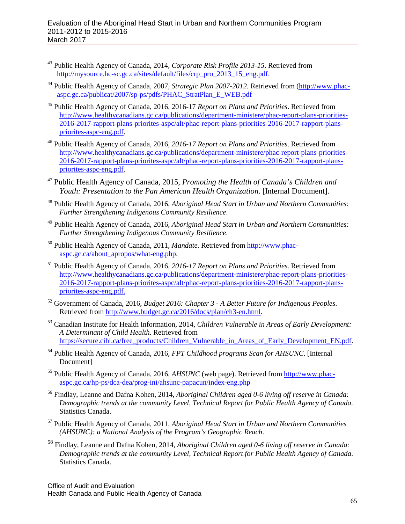- <sup>43</sup> Public Health Agency of Canada, 2014, *Corporate Risk Profile 2013-15*. Retrieved from [http://mysource.hc-sc.gc.ca/sites/default/files/crp\\_pro\\_2013\\_15\\_eng.pdf.](http://mysource.hc-sc.gc.ca/sites/default/files/crp_pro_2013_15_eng.pdf)
- <sup>44</sup> Public Health Agency of Canada, 2007, *Strategic Plan 2007-2012.* Retrieved from [\(http://www.phac](http://www.phac-aspc.gc.ca/publicat/2007/sp-ps/pdfs/PHAC_StratPlan_E_WEB.pdf)[aspc.gc.ca/publicat/2007/sp-ps/pdfs/PHAC\\_StratPlan\\_E\\_WEB.pdf](http://www.phac-aspc.gc.ca/publicat/2007/sp-ps/pdfs/PHAC_StratPlan_E_WEB.pdf)
- <sup>45</sup> Public Health Agency of Canada, 2016, 2016-17 *Report on Plans and Priorities*. Retrieved from [http://www.healthycanadians.gc.ca/publications/department-ministere/phac-report-plans-priorities-](http://www.healthycanadians.gc.ca/publications/department-ministere/phac-report-plans-priorities-2016-2017-rapport-plans-priorites-aspc/alt/phac-report-plans-priorities-2016-2017-rapport-plans-priorites-aspc-eng.pdf)[2016-2017-rapport-plans-priorites-aspc/alt/phac-report-plans-priorities-2016-2017-rapport-plans](http://www.healthycanadians.gc.ca/publications/department-ministere/phac-report-plans-priorities-2016-2017-rapport-plans-priorites-aspc/alt/phac-report-plans-priorities-2016-2017-rapport-plans-priorites-aspc-eng.pdf)[priorites-aspc-eng.pdf.](http://www.healthycanadians.gc.ca/publications/department-ministere/phac-report-plans-priorities-2016-2017-rapport-plans-priorites-aspc/alt/phac-report-plans-priorities-2016-2017-rapport-plans-priorites-aspc-eng.pdf)
- <sup>46</sup> Public Health Agency of Canada, 2016, *2016-17 Report on Plans and Priorities*. Retrieved from [http://www.healthycanadians.gc.ca/publications/department-ministere/phac-report-plans-priorities-](http://www.healthycanadians.gc.ca/publications/department-ministere/phac-report-plans-priorities-2016-2017-rapport-plans-priorites-aspc/alt/phac-report-plans-priorities-2016-2017-rapport-plans-priorites-aspc-eng.pdf)[2016-2017-rapport-plans-priorites-aspc/alt/phac-report-plans-priorities-2016-2017-rapport-plans](http://www.healthycanadians.gc.ca/publications/department-ministere/phac-report-plans-priorities-2016-2017-rapport-plans-priorites-aspc/alt/phac-report-plans-priorities-2016-2017-rapport-plans-priorites-aspc-eng.pdf)[priorites-aspc-eng.pdf.](http://www.healthycanadians.gc.ca/publications/department-ministere/phac-report-plans-priorities-2016-2017-rapport-plans-priorites-aspc/alt/phac-report-plans-priorities-2016-2017-rapport-plans-priorites-aspc-eng.pdf)
- <sup>47</sup> Public Health Agency of Canada, 2015, *Promoting the Health of Canada's Children and Youth: Presentation to the Pan American Health Organization*. [Internal Document].
- <sup>48</sup> Public Health Agency of Canada, 2016, *Aboriginal Head Start in Urban and Northern Communities: Further Strengthening Indigenous Community Resilience*.
- <sup>49</sup> Public Health Agency of Canada, 2016, *Aboriginal Head Start in Urban and Northern Communities: Further Strengthening Indigenous Community Resilience*.
- <sup>50</sup> Public Health Agency of Canada, 2011, *Mandate.* Retrieved from [http://www.phac](http://www.phac-aspc.gc.ca/about_apropos/what-eng.php)[aspc.gc.ca/about\\_apropos/what-eng.php.](http://www.phac-aspc.gc.ca/about_apropos/what-eng.php)
- <sup>51</sup> Public Health Agency of Canada, 2016, *2016-17 Report on Plans and Priorities*. Retrieved from [http://www.healthycanadians.gc.ca/publications/department-ministere/phac-report-plans-priorities-](http://www.healthycanadians.gc.ca/publications/department-ministere/phac-report-plans-priorities-2016-2017-rapport-plans-priorites-aspc/alt/phac-report-plans-priorities-2016-2017-rapport-plans-priorites-aspc-eng.pdf)[2016-2017-rapport-plans-priorites-aspc/alt/phac-report-plans-priorities-2016-2017-rapport-plans](http://www.healthycanadians.gc.ca/publications/department-ministere/phac-report-plans-priorities-2016-2017-rapport-plans-priorites-aspc/alt/phac-report-plans-priorities-2016-2017-rapport-plans-priorites-aspc-eng.pdf)[priorites-aspc-eng.pdf.](http://www.healthycanadians.gc.ca/publications/department-ministere/phac-report-plans-priorities-2016-2017-rapport-plans-priorites-aspc/alt/phac-report-plans-priorities-2016-2017-rapport-plans-priorites-aspc-eng.pdf)
- <sup>52</sup> Government of Canada, 2016, *Budget 2016: Chapter 3 - A Better Future for Indigenous Peoples*. Retrieved fro[m http://www.budget.gc.ca/2016/docs/plan/ch3-en.html.](http://www.budget.gc.ca/2016/docs/plan/ch3-en.html)
- <sup>53</sup> Canadian Institute for Health Information, 2014, *Children Vulnerable in Areas of Early Development: A Determinant of Child Health.* Retrieved from [https://secure.cihi.ca/free\\_products/Children\\_Vulnerable\\_in\\_Areas\\_of\\_Early\\_Development\\_EN.pdf.](https://secure.cihi.ca/free_products/Children_Vulnerable_in_Areas_of_Early_Development_EN.pdf)
- <sup>54</sup> Public Health Agency of Canada, 2016, *FPT Childhood programs Scan for AHSUNC*. [Internal Document]
- <sup>55</sup> Public Health Agency of Canada, 2016, *AHSUNC* (web page). Retrieved from [http://www.phac](http://www.phac-aspc.gc.ca/hp-ps/dca-dea/prog-ini/ahsunc-papacun/index-eng.php)[aspc.gc.ca/hp-ps/dca-dea/prog-ini/ahsunc-papacun/index-eng.php](http://www.phac-aspc.gc.ca/hp-ps/dca-dea/prog-ini/ahsunc-papacun/index-eng.php)
- <sup>56</sup> Findlay, Leanne and Dafna Kohen, 2014, *Aboriginal Children aged 0-6 living off reserve in Canada: Demographic trends at the community Level, Technical Report for Public Health Agency of Canada*. Statistics Canada.
- <sup>57</sup> Public Health Agency of Canada, 2011, *Aboriginal Head Start in Urban and Northern Communities (AHSUNC): a National Analysis of the Program's Geographic Reach*.
- <sup>58</sup> Findlay, Leanne and Dafna Kohen, 2014, *Aboriginal Children aged 0-6 living off reserve in Canada: Demographic trends at the community Level, Technical Report for Public Health Agency of Canada*. Statistics Canada.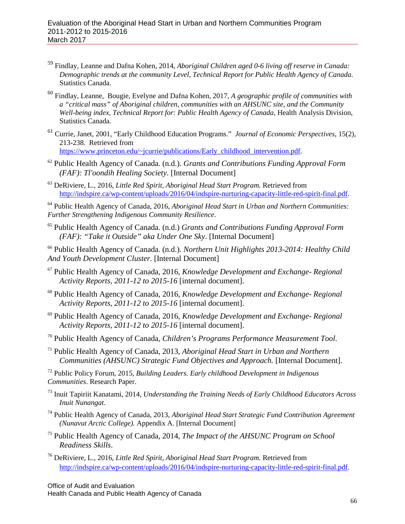- <sup>59</sup> Findlay, Leanne and Dafna Kohen, 2014, *Aboriginal Children aged 0-6 living off reserve in Canada: Demographic trends at the community Level, Technical Report for Public Health Agency of Canada*. Statistics Canada.
- <sup>60</sup> Findlay, Leanne, Bougie, Evelyne and Dafna Kohen, 2017, *A geographic profile of communities with a "critical mass" of Aboriginal children, communities with an AHSUNC site, and the Community Well-being index, Technical Report for: Public Health Agency of Canada*, Health Analysis Division, Statistics Canada.
- <sup>61</sup> Currie, Janet, 2001, "Early Childhood Education Programs." *Journal of Economic Perspectives*, 15(2), 213-238. Retrieved from [https://www.princeton.edu/~jcurrie/publications/Early\\_childhood\\_intervention.pdf.](https://www.princeton.edu/%7Ejcurrie/publications/Early_childhood_intervention.pdf)
- <sup>62</sup> Public Health Agency of Canada. (n.d.). *Grants and Contributions Funding Approval Form (FAF): Tl'oondih Healing Society*. [Internal Document]

<sup>63</sup> DeRiviere, L., 2016, *Little Red Spirit, Aboriginal Head Start Program.* Retrieved from [http://indspire.ca/wp-content/uploads/2016/04/indspire-nurturing-capacity-little-red-spirit-final.pdf.](http://indspire.ca/wp-content/uploads/2016/04/indspire-nurturing-capacity-little-red-spirit-final.pdf)

<sup>64</sup> Public Health Agency of Canada, 2016, *Aboriginal Head Start in Urban and Northern Communities: Further Strengthening Indigenous Community Resilience*.

- <sup>65</sup> Public Health Agency of Canada. (n.d.) *Grants and Contributions Funding Approval Form (FAF): "Take it Outside" aka Under One Sky*. [Internal Document]
- <sup>66</sup> Public Health Agency of Canada. (n.d.). *Northern Unit Highlights 2013-2014: Healthy Child And Youth Development Cluster*. [Internal Document]
- <sup>67</sup> Public Health Agency of Canada, 2016, *Knowledge Development and Exchange- Regional Activity Reports, 2011-12 to 2015-16* [internal document].
- <sup>68</sup> Public Health Agency of Canada, 2016, *Knowledge Development and Exchange- Regional Activity Reports, 2011-12 to 2015-16* [internal document].
- <sup>69</sup> Public Health Agency of Canada, 2016, *Knowledge Development and Exchange- Regional Activity Reports, 2011-12 to 2015-16* [internal document].
- <sup>70</sup> Public Health Agency of Canada, *Children's Programs Performance Measurement Tool*.
- <sup>71</sup> Public Health Agency of Canada, 2013, *Aboriginal Head Start in Urban and Northern Communities (AHSUNC) Strategic Fund Objectives and Approach.* [Internal Document].

<sup>72</sup> Public Policy Forum, 2015, *Building Leaders. Early childhood Development in Indigenous Communities*. Research Paper.

- <sup>73</sup> Inuit Tapiriit Kanatami, 2014, *Understanding the Training Needs of Early Childhood Educators Across Inuit Nunangat*.
- <sup>74</sup> Public Health Agency of Canada, 2013, *Aboriginal Head Start Strategic Fund Contribution Agreement (Nunavut Arctic College).* Appendix A. [Internal Document]
- <sup>75</sup> Public Health Agency of Canada, 2014, *The Impact of the AHSUNC Program on School Readiness Skills*.
- <sup>76</sup> DeRiviere, L., 2016, *Little Red Spirit, Aboriginal Head Start Program.* Retrieved from [http://indspire.ca/wp-content/uploads/2016/04/indspire-nurturing-capacity-little-red-spirit-final.pdf.](http://indspire.ca/wp-content/uploads/2016/04/indspire-nurturing-capacity-little-red-spirit-final.pdf)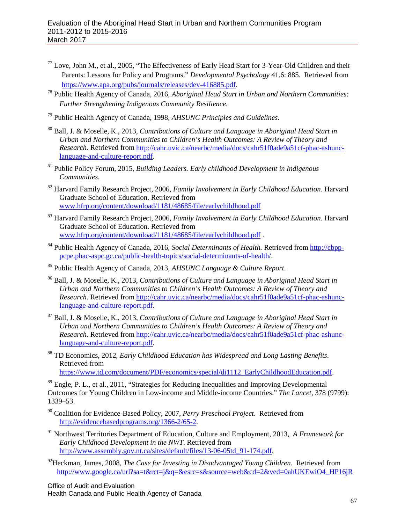- $77$  Love, John M., et al., 2005, "The Effectiveness of Early Head Start for 3-Year-Old Children and their Parents: Lessons for Policy and Programs." *Developmental Psychology* 41.6: 885. Retrieved from
- [https://www.apa.org/pubs/journals/releases/dev-416885.pdf.](https://www.apa.org/pubs/journals/releases/dev-416885.pdf) 78 Public Health Agency of Canada, 2016, *Aboriginal Head Start in Urban and Northern Communities: Further Strengthening Indigenous Community Resilience.*
- <sup>79</sup> Public Health Agency of Canada, 1998, *AHSUNC Principles and Guidelines*.
- <sup>80</sup> Ball, J. & Moselle, K., 2013, *Contributions of Culture and Language in Aboriginal Head Start in Urban and Northern Communities to Children's Health Outcomes: A Review of Theory and Research.* Retrieved from [http://cahr.uvic.ca/nearbc/media/docs/cahr51f0ade9a51cf-phac-ashunc](http://cahr.uvic.ca/nearbc/media/docs/cahr51f0ade9a51cf-phac-ashunc-language-and-culture-report.pdf)[language-and-culture-report.pdf.](http://cahr.uvic.ca/nearbc/media/docs/cahr51f0ade9a51cf-phac-ashunc-language-and-culture-report.pdf)
- <sup>81</sup> Public Policy Forum, 2015, *Building Leaders. Early childhood Development in Indigenous Communities*.
- <sup>82</sup> Harvard Family Research Project, 2006, *Family Involvement in Early Childhood Education*. Harvard Graduate School of Education. Retrieved from [www.hfrp.org/content/download/1181/48685/file/earlychildhood.pdf](http://www.hfrp.org/content/download/1181/48685/file/earlychildhood.pdf)
- <sup>83</sup> Harvard Family Research Project, 2006, *Family Involvement in Early Childhood Education*. Harvard Graduate School of Education. Retrieved from [www.hfrp.org/content/download/1181/48685/file/earlychildhood.pdf](http://www.hfrp.org/content/download/1181/48685/file/earlychildhood.pdf) .
- <sup>84</sup> Public Health Agency of Canada, 2016, *Social Determinants of Health.* Retrieved from [http://cbpp](http://cbpp-pcpe.phac-aspc.gc.ca/public-health-topics/social-determinants-of-health/)[pcpe.phac-aspc.gc.ca/public-health-topics/social-determinants-of-health/.](http://cbpp-pcpe.phac-aspc.gc.ca/public-health-topics/social-determinants-of-health/)
- <sup>85</sup> Public Health Agency of Canada, 2013, *AHSUNC Language & Culture Report*.
- <sup>86</sup> Ball, J. & Moselle, K., 2013, *Contributions of Culture and Language in Aboriginal Head Start in Urban and Northern Communities to Children's Health Outcomes: A Review of Theory and Research.* Retrieved from [http://cahr.uvic.ca/nearbc/media/docs/cahr51f0ade9a51cf-phac-ashunc](http://cahr.uvic.ca/nearbc/media/docs/cahr51f0ade9a51cf-phac-ashunc-language-and-culture-report.pdf)[language-and-culture-report.pdf.](http://cahr.uvic.ca/nearbc/media/docs/cahr51f0ade9a51cf-phac-ashunc-language-and-culture-report.pdf)
- <sup>87</sup> Ball, J. & Moselle, K., 2013, *Contributions of Culture and Language in Aboriginal Head Start in Urban and Northern Communities to Children's Health Outcomes: A Review of Theory and Research.* Retrieved from [http://cahr.uvic.ca/nearbc/media/docs/cahr51f0ade9a51cf-phac-ashunc](http://cahr.uvic.ca/nearbc/media/docs/cahr51f0ade9a51cf-phac-ashunc-language-and-culture-report.pdf)[language-and-culture-report.pdf.](http://cahr.uvic.ca/nearbc/media/docs/cahr51f0ade9a51cf-phac-ashunc-language-and-culture-report.pdf)
- <sup>88</sup> TD Economics, 2012, *Early Childhood Education has Widespread and Long Lasting Benefits*. Retrieved from [https://www.td.com/document/PDF/economics/special/di1112\\_EarlyChildhoodEducation.pdf.](https://www.td.com/document/PDF/economics/special/di1112_EarlyChildhoodEducation.pdf)

<sup>89</sup> Engle, P. L., et al., 2011, "Strategies for Reducing Inequalities and Improving Developmental Outcomes for Young Children in Low-income and Middle-income Countries." *The Lancet,* 378 (9799):

1339–53.

- <sup>90</sup> Coalition for Evidence-Based Policy, 2007, *Perry Preschool Project*. Retrieved from [http://evidencebasedprograms.org/1366-2/65-2.](http://evidencebasedprograms.org/1366-2/65-2)
- <sup>91</sup> Northwest Territories Department of Education, Culture and Employment, 2013, *A Framework for Early Childhood Development in the NWT*. Retrieved from [http://www.assembly.gov.nt.ca/sites/default/files/13-06-05td\\_91-174.pdf.](http://www.assembly.gov.nt.ca/sites/default/files/13-06-05td_91-174.pdf)
- 92Heckman, James, 2008, *The Case for Investing in Disadvantaged Young Children*. Retrieved from [http://www.google.ca/url?sa=t&rct=j&q=&esrc=s&source=web&cd=2&ved=0ahUKEwiO4\\_HP16jR](http://www.google.ca/url?sa=t&rct=j&q=&esrc=s&source=web&cd=2&ved=0ahUKEwiO4_HP16jRAhVD9IMKHa0hCCgQFggjMAE&url=http%3A%2F%2Fheckmanequation.org%2Fdownload.php%3Ffile%3DHeckman%24%24%24Investing%24%24%24in%24%24%24Young%24%24%24Children.pdf&usg=AFQjCNHk-i_mGmNz-wDWwHtAfgP_mgazww&sig2=8EoLr2gstHXabG1hyaPqTg)